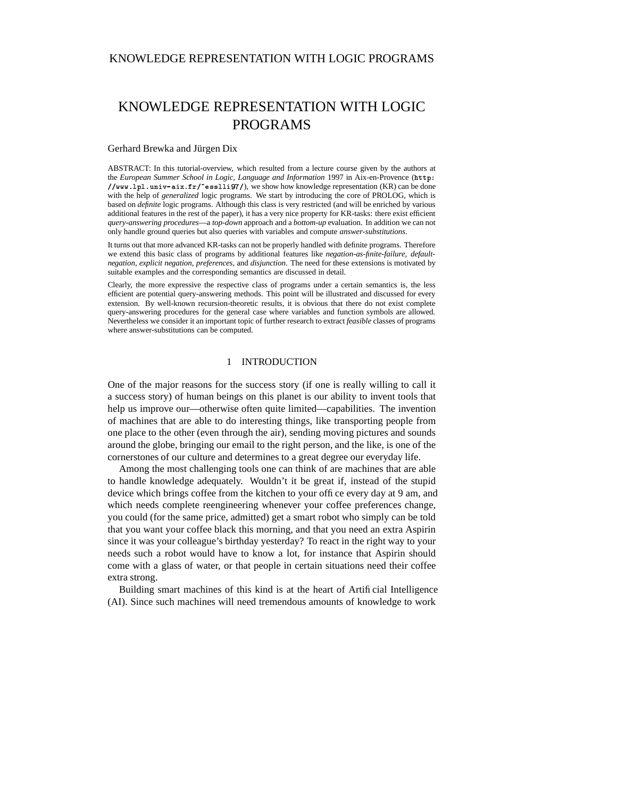# KNOWLEDGE REPRESENTATION WITH LOGIC PROGRAMS

#### Gerhard Brewka and Jürgen Dix

ABSTRACT: In this tutorial-overview, which resulted from a lecture course given by the authors at the *European Summer School in Logic, Language and Information* 1997 in Aix-en-Provence (- //www.lpl.univ-aix.fr/"esslli97/), we show how knowledge representation (KR) can be done with the help of *generalized* logic programs. We start by introducing the core of PROLOG, which is based on *definite* logic programs. Although this class is very restricted (and will be enriched by various additional features in the rest of the paper), it has a very nice property for KR-tasks: there exist efficient *query-answering procedures*—a *top-down* approach and a *bottom-up* evaluation. In addition we can not only handle ground queries but also queries with variables and compute *answer-substitutions*.

It turns out that more advanced KR-tasks can not be properly handled with definite programs. Therefore we extend this basic class of programs by additional features like *negation-as-finite-failure*, *defaultnegation*, *explicit negation*, *preferences*, and *disjunction*. The need for these extensions is motivated by suitable examples and the corresponding semantics are discussed in detail.

Clearly, the more expressive the respective class of programs under a certain semantics is, the less efficient are potential query-answering methods. This point will be illustrated and discussed for every extension. By well-known recursion-theoretic results, it is obvious that there do not exist complete query-answering procedures for the general case where variables and function symbols are allowed. Nevertheless we consider it an important topic of further research to extract *feasible* classes of programs where answer-substitutions can be computed.

#### 1 INTRODUCTION

One of the major reasons for the success story (if one is really willing to call it a success story) of human beings on this planet is our ability to invent tools that help us improve our—otherwise often quite limited—capabilities. The invention of machines that are able to do interesting things, like transporting people from one place to the other (even through the air), sending moving pictures and sounds around the globe, bringing our email to the right person, and the like, is one of the cornerstones of our culture and determines to a great degree our everyday life.

Among the most challenging tools one can think of are machines that are able to handle knowledge adequately. Wouldn't it be great if, instead of the stupid device which brings coffee from the kitchen to your office every day at 9 am, and which needs complete reengineering whenever your coffee preferences change, you could (for the same price, admitted) get a smart robot who simply can be told that you want your coffee black this morning, and that you need an extra Aspirin since it was your colleague's birthday yesterday? To react in the right way to your needs such a robot would have to know a lot, for instance that Aspirin should come with a glass of water, or that people in certain situations need their coffee extra strong.

Building smart machines of this kind is at the heart of Artificial Intelligence (AI). Since such machines will need tremendous amounts of knowledge to work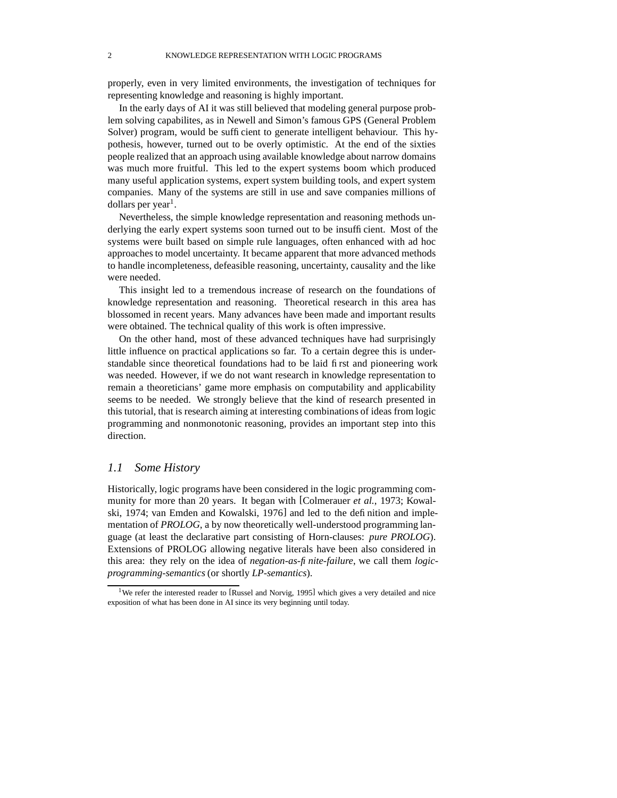properly, even in very limited environments, the investigation of techniques for representing knowledge and reasoning is highly important.

In the early days of AI it was still believed that modeling general purpose problem solving capabilites, as in Newell and Simon's famous GPS (General Problem Solver) program, would be sufficient to generate intelligent behaviour. This hypothesis, however, turned out to be overly optimistic. At the end of the sixties people realized that an approach using available knowledge about narrow domains was much more fruitful. This led to the expert systems boom which produced many useful application systems, expert system building tools, and expert system companies. Many of the systems are still in use and save companies millions of dollars per year<sup>1</sup>.

Nevertheless, the simple knowledge representation and reasoning methods underlying the early expert systems soon turned out to be insufficient. Most of the systems were built based on simple rule languages, often enhanced with ad hoc approaches to model uncertainty. It became apparent that more advanced methods to handle incompleteness, defeasible reasoning, uncertainty, causality and the like were needed.

This insight led to a tremendous increase of research on the foundations of knowledge representation and reasoning. Theoretical research in this area has blossomed in recent years. Many advances have been made and important results were obtained. The technical quality of this work is often impressive.

On the other hand, most of these advanced techniques have had surprisingly little influence on practical applications so far. To a certain degree this is understandable since theoretical foundations had to be laid first and pioneering work was needed. However, if we do not want research in knowledge representation to remain a theoreticians' game more emphasis on computability and applicability seems to be needed. We strongly believe that the kind of research presented in this tutorial, that is research aiming at interesting combinations of ideas from logic programming and nonmonotonic reasoning, provides an important step into this direction.

# *1.1 Some History*

Historically, logic programs have been considered in the logic programming community for more than 20 years. It began with [Colmerauer *et al.*, 1973; Kowalski, 1974; van Emden and Kowalski, 1976] and led to the definition and implementation of *PROLOG*, a by now theoretically well-understood programming language (at least the declarative part consisting of Horn-clauses: *pure PROLOG*). Extensions of PROLOG allowing negative literals have been also considered in this area: they rely on the idea of *negation-as-finite-failure*, we call them *logicprogramming-semantics* (or shortly *LP-semantics*).

<sup>&</sup>lt;sup>1</sup>We refer the interested reader to [Russel and Norvig, 1995] which gives a very detailed and nice exposition of what has been done in AI since its very beginning until today.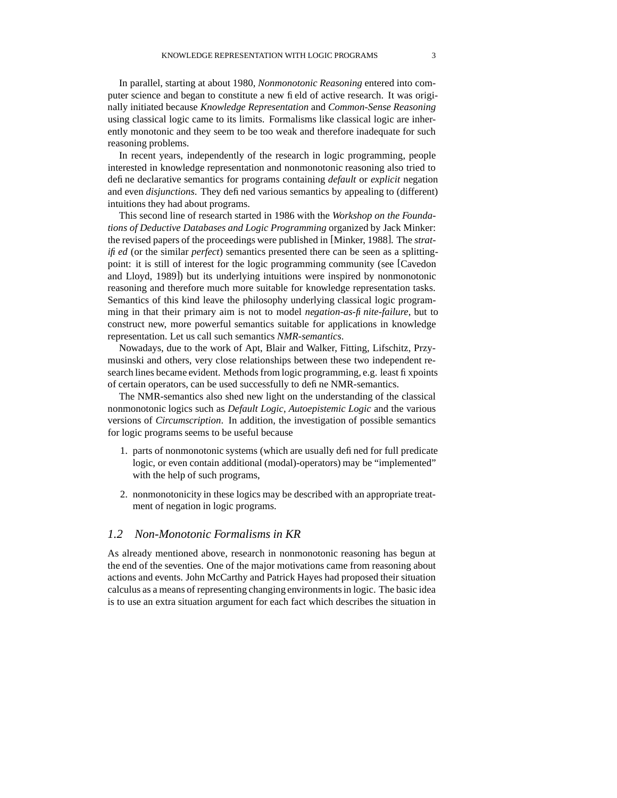In parallel, starting at about 1980, *Nonmonotonic Reasoning* entered into computer science and began to constitute a new field of active research. It was originally initiated because *Knowledge Representation* and *Common-Sense Reasoning* using classical logic came to its limits. Formalisms like classical logic are inherently monotonic and they seem to be too weak and therefore inadequate for such reasoning problems.

In recent years, independently of the research in logic programming, people interested in knowledge representation and nonmonotonic reasoning also tried to define declarative semantics for programs containing *default* or *explicit* negation and even *disjunctions*. They defined various semantics by appealing to (different) intuitions they had about programs.

This second line of research started in 1986 with the *Workshop on the Foundations of Deductive Databases and Logic Programming* organized by Jack Minker: the revised papers of the proceedings were published in [Minker, 1988]. The *stratified* (or the similar *perfect*) semantics presented there can be seen as a splittingpoint: it is still of interest for the logic programming community (see [Cavedon and Lloyd, 1989]) but its underlying intuitions were inspired by nonmonotonic reasoning and therefore much more suitable for knowledge representation tasks. Semantics of this kind leave the philosophy underlying classical logic programming in that their primary aim is not to model *negation-as-finite-failure*, but to construct new, more powerful semantics suitable for applications in knowledge representation. Let us call such semantics *NMR-semantics*.

Nowadays, due to the work of Apt, Blair and Walker, Fitting, Lifschitz, Przymusinski and others, very close relationships between these two independent research lines became evident. Methods from logic programming, e.g. least fix points of certain operators, can be used successfully to define NMR-semantics.

The NMR-semantics also shed new light on the understanding of the classical nonmonotonic logics such as *Default Logic*, *Autoepistemic Logic* and the various versions of *Circumscription*. In addition, the investigation of possible semantics for logic programs seems to be useful because

- 1. parts of nonmonotonic systems (which are usually defined for full predicate logic, or even contain additional (modal)-operators) may be "implemented" with the help of such programs,
- 2. nonmonotonicity in these logics may be described with an appropriate treatment of negation in logic programs.

# *1.2 Non-Monotonic Formalisms in KR*

As already mentioned above, research in nonmonotonic reasoning has begun at the end of the seventies. One of the major motivations came from reasoning about actions and events. John McCarthy and Patrick Hayes had proposed their situation calculus as a means of representing changing environmentsin logic. The basic idea is to use an extra situation argument for each fact which describes the situation in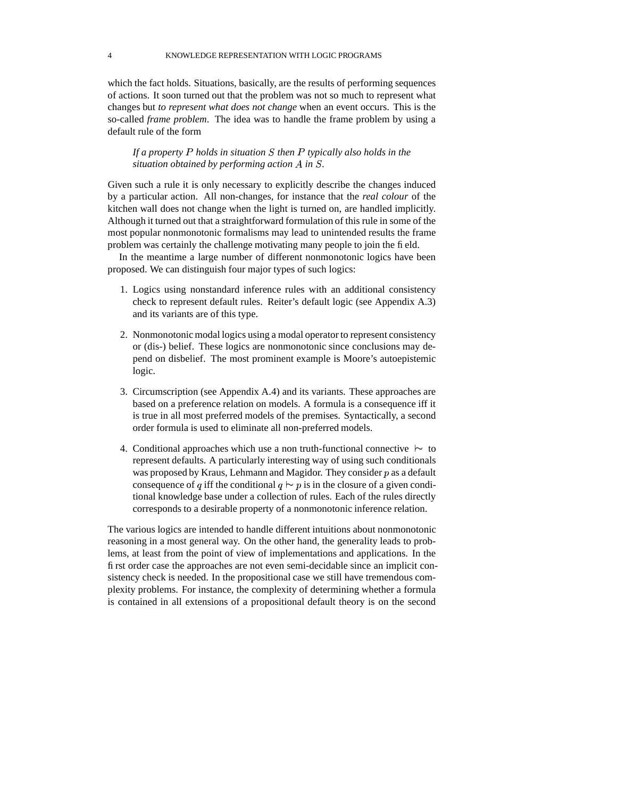which the fact holds. Situations, basically, are the results of performing sequences of actions. It soon turned out that the problem was not so much to represent what changes but *to represent what does not change* when an event occurs. This is the so-called *frame problem*. The idea was to handle the frame problem by using a default rule of the form

# *If a property holds in situation then typically also holds in the situation obtained by performing action A in S.*

Given such a rule it is only necessary to explicitly describe the changes induced by a particular action. All non-changes, for instance that the *real colour* of the kitchen wall does not change when the light is turned on, are handled implicitly. Although it turned out that a straightforward formulation of this rule in some of the most popular nonmonotonic formalisms may lead to unintended results the frame problem was certainly the challenge motivating many people to join the field.

In the meantime a large number of different nonmonotonic logics have been proposed. We can distinguish four major types of such logics:

- 1. Logics using nonstandard inference rules with an additional consistency check to represent default rules. Reiter's default logic (see Appendix A.3) and its variants are of this type.
- 2. Nonmonotonic modal logics using a modal operator to represent consistency or (dis-) belief. These logics are nonmonotonic since conclusions may depend on disbelief. The most prominent example is Moore's autoepistemic logic.
- 3. Circumscription (see Appendix A.4) and its variants. These approaches are based on a preference relation on models. A formula is a consequence iff it is true in all most preferred models of the premises. Syntactically, a second order formula is used to eliminate all non-preferred models.
- 4. Conditional approaches which use a non truth-functional connective  $\sim$  to represent defaults. A particularly interesting way of using such conditionals was proposed by Kraus, Lehmann and Magidor. They consider  $p$  as a default consequence of q iff the conditional  $q \sim p$  is in the closure of a given conditional knowledge base under a collection of rules. Each of the rules directly corresponds to a desirable property of a nonmonotonic inference relation.

The various logics are intended to handle different intuitions about nonmonotonic reasoning in a most general way. On the other hand, the generality leads to problems, at least from the point of view of implementations and applications. In the first order case the approaches are not even semi-decidable since an implicit consistency check is needed. In the propositional case we still have tremendous complexity problems. For instance, the complexity of determining whether a formula is contained in all extensions of a propositional default theory is on the second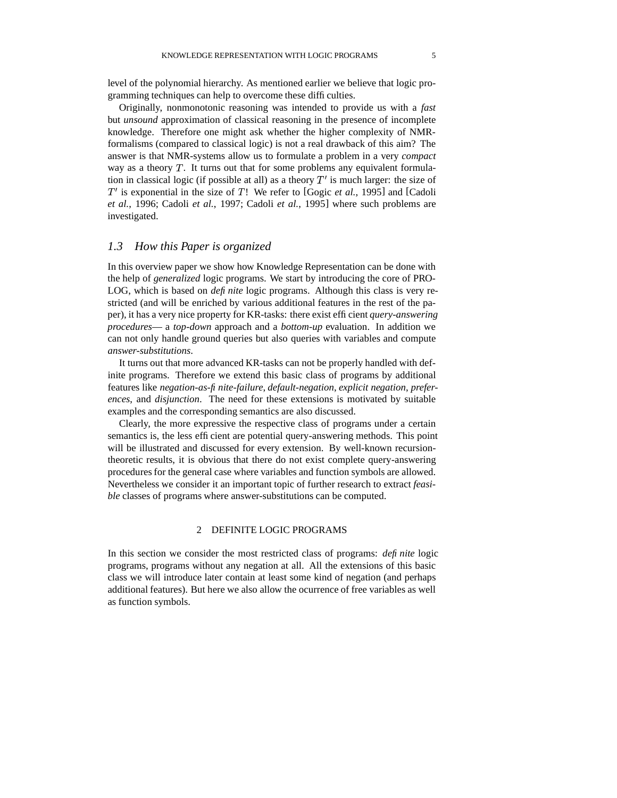level of the polynomial hierarchy. As mentioned earlier we believe that logic programming techniques can help to overcome these difficulties.

Originally, nonmonotonic reasoning was intended to provide us with a *fast* but *unsound* approximation of classical reasoning in the presence of incomplete knowledge. Therefore one might ask whether the higher complexity of NMRformalisms (compared to classical logic) is not a real drawback of this aim? The answer is that NMR-systems allow us to formulate a problem in a very *compact* way as a theory  $T$ . It turns out that for some problems any equivalent formulation in classical logic (if possible at all) as a theory  $T'$  is much larger: the size of  $T'$  is exponential in the size of  $T'$ ! We refer to [Gogic *et al.*, 1995] and [Cadoli *et al.*, 1996; Cadoli *et al.*, 1997; Cadoli *et al.*, 1995] where such problems are investigated.

# *1.3 How this Paper is organized*

In this overview paper we show how Knowledge Representation can be done with the help of *generalized* logic programs. We start by introducing the core of PRO-LOG, which is based on *definite* logic programs. Although this class is very restricted (and will be enriched by various additional features in the rest of the paper), it has a very nice property for KR-tasks: there exist efficient *query-answering procedures*— a *top-down* approach and a *bottom-up* evaluation. In addition we can not only handle ground queries but also queries with variables and compute *answer-substitutions*.

It turns out that more advanced KR-tasks can not be properly handled with definite programs. Therefore we extend this basic class of programs by additional features like *negation-as-finite-failure*, *default-negation*, *explicit negation*, *preferences*, and *disjunction*. The need for these extensions is motivated by suitable examples and the corresponding semantics are also discussed.

Clearly, the more expressive the respective class of programs under a certain semantics is, the less efficient are potential query-answering methods. This point will be illustrated and discussed for every extension. By well-known recursiontheoretic results, it is obvious that there do not exist complete query-answering procedures for the general case where variables and function symbols are allowed. Nevertheless we consider it an important topic of further research to extract *feasible* classes of programs where answer-substitutions can be computed.

# 2 DEFINITE LOGIC PROGRAMS

In this section we consider the most restricted class of programs: *definite* logic programs, programs without any negation at all. All the extensions of this basic class we will introduce later contain at least some kind of negation (and perhaps additional features). But here we also allow the ocurrence of free variables as well as function symbols.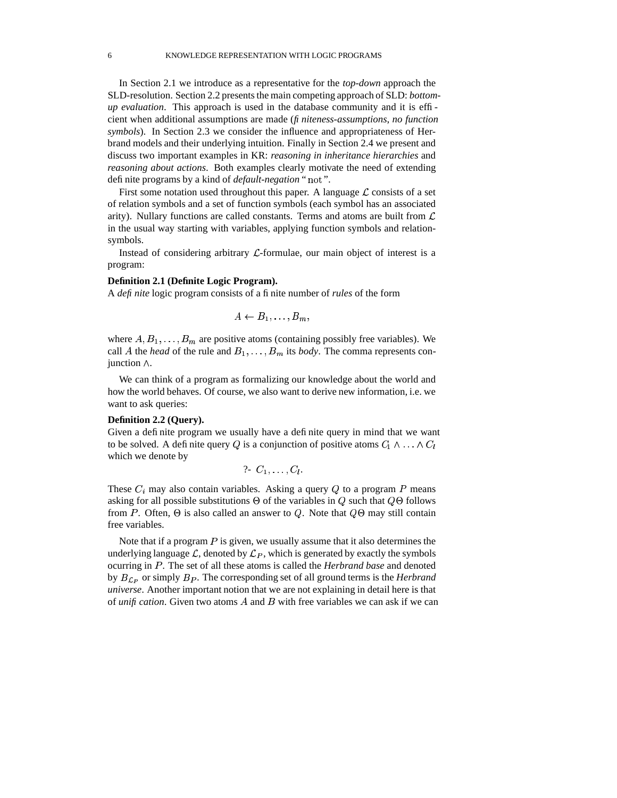In Section 2.1 we introduce as a representative for the *top-down* approach the SLD-resolution. Section 2.2 presentsthe main competing approach of SLD: *bottomup evaluation*. This approach is used in the database community and it is efficient when additional assumptions are made (*finiteness-assumptions*, *no function symbols*). In Section 2.3 we consider the influence and appropriateness of Herbrand models and their underlying intuition. Finally in Section 2.4 we present and discuss two important examples in KR: *reasoning in inheritance hierarchies* and *reasoning about actions*. Both examples clearly motivate the need of extending definite programs by a kind of *default-negation* "not".

First some notation used throughout this paper. A language  $\mathcal L$  consists of a set of relation symbols and a set of function symbols (each symbol has an associated arity). Nullary functions are called constants. Terms and atoms are built from  $\mathcal L$ in the usual way starting with variables, applying function symbols and relationsymbols.

Instead of considering arbitrary  $\mathcal L$ -formulae, our main object of interest is a program:

#### **Definition 2.1 (Definite Logic Program).**

A *definite* logic program consists of a finite number of *rules* of the form

$$
A \leftarrow B_1, \ldots, B_m,
$$

where  $A, B_1, \ldots, B_m$  are positive atoms (containing possibly free variables). We call A the *head* of the rule and  $B_1, \ldots, B_m$  its *body*. The comma represents conjunction  $\wedge$ .

We can think of a program as formalizing our knowledge about the world and how the world behaves. Of course, we also want to derive new information, i.e. we want to ask queries:

#### **Definition 2.2 (Query).**

Given a definite program we usually have a definite query in mind that we want to be solved. A definite query Q is a conjunction of positive atoms  $C_1 \wedge \ldots \wedge C_l$ which we denote by

$$
? \quad C_1, \ldots, C_l.
$$

These  $C_i$  may also contain variables. Asking a query  $Q$  to a program  $P$  means asking for all possible substitutions  $\Theta$  of the variables in  $Q$  such that  $Q\Theta$  follows from P. Often,  $\Theta$  is also called an answer to Q. Note that  $Q\Theta$  may still contain free variables.

Note that if a program  $P$  is given, we usually assume that it also determines the underlying language  $\mathcal{L}$ , denoted by  $\mathcal{L}_P$ , which is generated by exactly the symbols ocurring in P. The set of all these atoms is called the *Herbrand* base and denoted by  $B_{\mathcal{L}_P}$  or simply  $B_P$ . The corresponding set of all ground terms is the *Herbrand universe*. Another important notion that we are not explaining in detail here is that of *unification*. Given two atoms  $A$  and  $B$  with free variables we can ask if we can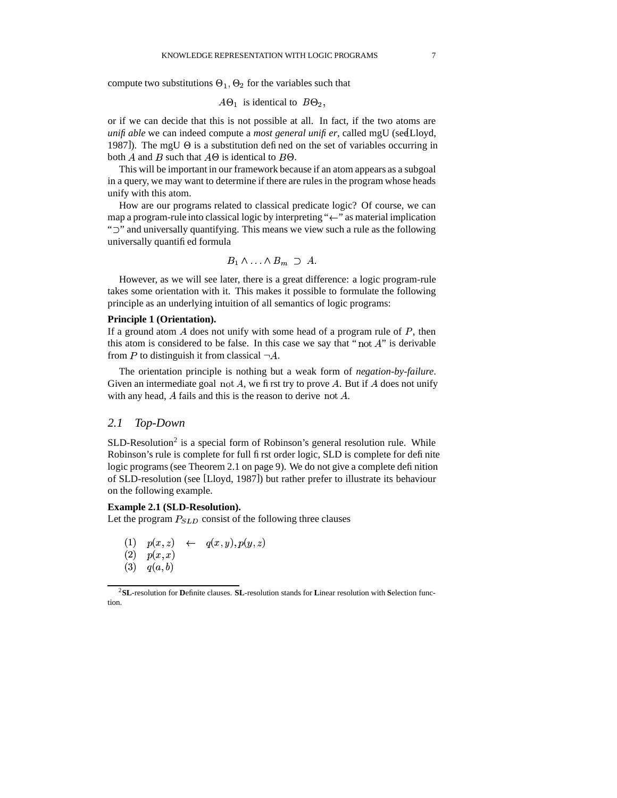compute two substitutions  $\Theta_1$ ,  $\Theta_2$  for the variables such that

$$
A\Theta_1
$$
 is identical to  $B\Theta_2$ ,

or if we can decide that this is not possible at all. In fact, if the two atoms are *unifi able* we can indeed compute a *most general unifier*, called mgU (sedLloyd, 1987]). The mgU  $\Theta$  is a substitution defined on the set of variables occurring in both A and B such that  $A\Theta$  is identical to  $B\Theta$ .

This will be important in our framework because if an atom appears as a subgoal in a query, we may want to determine if there are rules in the program whose heads unify with this atom.

How are our programs related to classical predicate logic? Of course, we can map a program-rule into classical logic by interpreting " $\leftarrow$ " as material implication " $\sup$ " and universally quantifying. This means we view such a rule as the following universally quantified formula

$$
B_1 \wedge \ldots \wedge B_m \supset A.
$$

However, as we will see later, there is a great difference: a logic program-rule takes some orientation with it. This makes it possible to formulate the following principle as an underlying intuition of all semantics of logic programs:

#### **Principle 1 (Orientation).**

If a ground atom  $A$  does not unify with some head of a program rule of  $P$ , then this atom is considered to be false. In this case we say that "not  $A$ " is derivable from P to distinguish it from classical  $\neg A$ .

The orientation principle is nothing but a weak form of *negation-by-failure*. Given an intermediate goal not  $A$ , we first try to prove  $A$ . But if  $A$  does not unify with any head,  $A$  fails and this is the reason to derive not  $A$ .

# *2.1 Top-Down*

 $SLD$ -Resolution<sup>2</sup> is a special form of Robinson's general resolution rule. While Robinson's rule is complete for full first order logic, SLD is complete for definite logic programs (see Theorem 2.1 on page 9). We do not give a complete definition of SLD-resolution (see [Lloyd, 1987]) but rather prefer to illustrate its behaviour on the following example.

# **Example 2.1 (SLD-Resolution).**

Let the program  $P_{SLD}$  consist of the following three clauses

 $(1)$   $p(x, z)$   $\leftarrow$   $q(x, y), p(y, z)$ 

 $(2)$   $p(x,x)$ 

(3)  $q(a, b)$ 

<sup>2</sup>**SL**-resolution for **D**efinite clauses. **SL**-resolution stands for **L**inear resolution with **S**election function.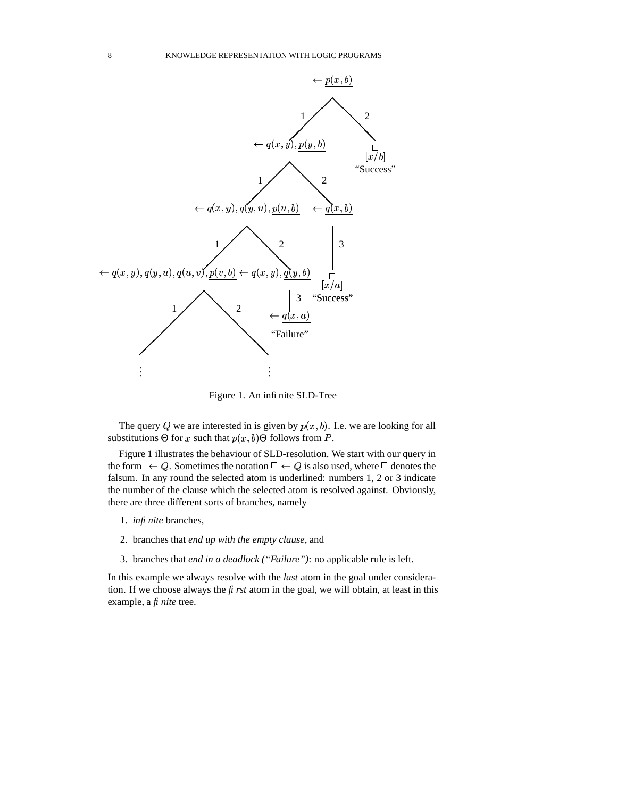

Figure 1. An infinite SLD-Tree

The query Q we are interested in is given by  $p(x, b)$ . I.e. we are looking for all substitutions  $\Theta$  for x such that  $p(x, b) \Theta$  follows from P.

Figure 1 illustrates the behaviour of SLD-resolution. We start with our query in the form  $\leftarrow Q$ . Sometimes the notation  $\Box \leftarrow Q$  is also used, where  $\Box$  denotes the falsum. In any round the selected atom is underlined: numbers 1, 2 or 3 indicate the number of the clause which the selected atom is resolved against. Obviously, there are three different sorts of branches, namely

- 1. *infinite* branches,
- 2. branches that *end up with the empty clause*, and
- 3. branches that *end in a deadlock ("Failure")*: no applicable rule is left.

In this example we always resolve with the *last* atom in the goal under consideration. If we choose always the *first* atom in the goal, we will obtain, at least in this example, a *fi nite* tree.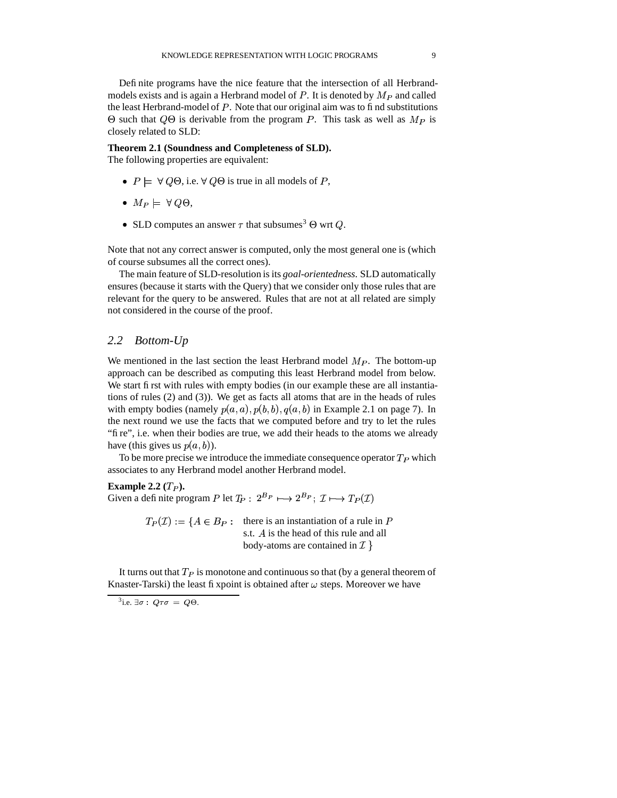Definite programs have the nice feature that the intersection of all Herbrandmodels exists and is again a Herbrand model of  $P$ . It is denoted by  $M_P$  and called the least Herbrand-model of  $P$ . Note that our original aim was to find substitutions  $\Theta$  such that  $Q\Theta$  is derivable from the program P. This task as well as  $M_P$  is closely related to SLD:

# **Theorem 2.1 (Soundness and Completeness of SLD).**

The following properties are equivalent:

- $P \models \forall Q\Theta$ , i.e.  $\forall Q\Theta$  is true in all models of P,
- $\bullet$   $M_P \models \; \forall \, Q\Theta,$
- SLD computes an answer  $\tau$  that subsumes<sup>3</sup>  $\Theta$  wrt  $Q$ .

Note that not any correct answer is computed, only the most general one is (which of course subsumes all the correct ones).

The main feature of SLD-resolution is its *goal-orientedness*. SLD automatically ensures (because it starts with the Query) that we consider only those rules that are relevant for the query to be answered. Rules that are not at all related are simply not considered in the course of the proof.

# *2.2 Bottom-Up*

We mentioned in the last section the least Herbrand model  $M_P$ . The bottom-up approach can be described as computing this least Herbrand model from below. We start first with rules with empty bodies (in our example these are all instantiations of rules (2) and (3)). We get as facts all atoms that are in the heads of rules with empty bodies (namely  $p(a, a), p(b, b), q(a, b)$  in Example 2.1 on page 7). In the next round we use the facts that we computed before and try to let the rules "fire", i.e. when their bodies are true, we add their heads to the atoms we already have (this gives us  $p(a, b)$ ).

To be more precise we introduce the immediate consequence operator  $T_P$  which associates to any Herbrand model another Herbrand model.

**Example** 2.2  $(T_P)$ . Given a defi nite program P let  $T_P: 2^{B_P} \longmapsto 2^{B_P}; \mathcal{I} \longmapsto T_P(\mathcal{I})$ 

> $T_P(\mathcal{I}) := \{ A \in B_P : \text{ there is an instantiation of a rule in } P \}$ s.t. A is the head of this rule and all body-atoms are contained in  $\mathcal{I}$  }

It turns out that  $T_P$  is monotone and continuous so that (by a general theorem of Knaster-Tarski) the least fixpoint is obtained after  $\omega$  steps. Moreover we have

<sup>3</sup>i.e.  $\exists \sigma : Q\tau\sigma = Q\Theta$ .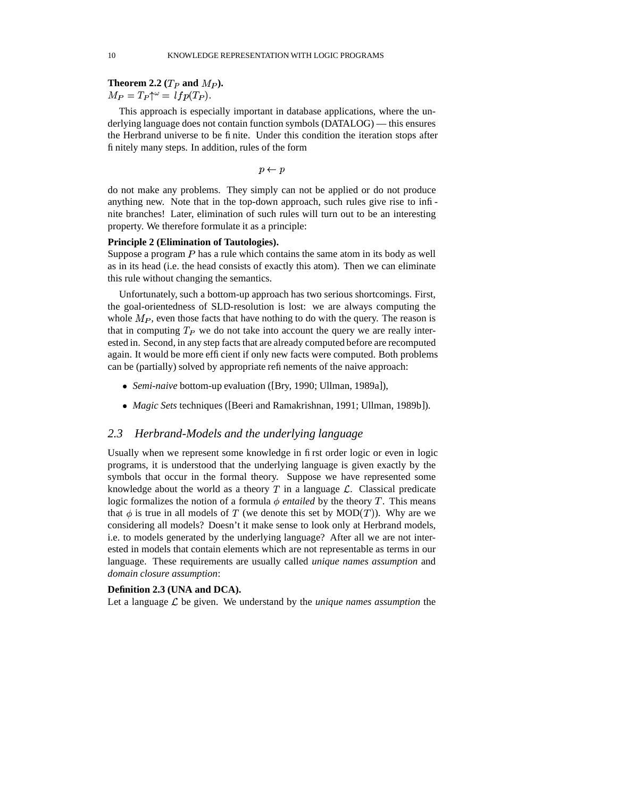**Theorem 2.2** ( $T_P$  and  $M_P$ ).

 $M_P = T_P \uparrow^{\omega} = lfp(T_P).$ 

This approach is especially important in database applications, where the underlying language does not contain function symbols (DATALOG) — this ensures the Herbrand universe to be finite. Under this condition the iteration stops after finitely many steps. In addition, rules of the form

 $p \leftarrow p$ 

do not make any problems. They simply can not be applied or do not produce anything new. Note that in the top-down approach, such rules give rise to infinite branches! Later, elimination of such rules will turn out to be an interesting property. We therefore formulate it as a principle:

#### **Principle 2 (Elimination of Tautologies).**

Suppose a program  $P$  has a rule which contains the same atom in its body as well as in its head (i.e. the head consists of exactly this atom). Then we can eliminate this rule without changing the semantics.

Unfortunately, such a bottom-up approach has two serious shortcomings. First, the goal-orientedness of SLD-resolution is lost: we are always computing the whole  $M_P$ , even those facts that have nothing to do with the query. The reason is that in computing  $T_P$  we do not take into account the query we are really interested in. Second, in any step facts that are already computed before are recomputed again. It would be more efficient if only new facts were computed. Both problems can be (partially) solved by appropriate refinements of the naive approach:

- *Semi-naive* bottom-up evaluation ([Bry, 1990; Ullman, 1989a]),
- *Magic Sets* techniques ([Beeri and Ramakrishnan, 1991; Ullman, 1989b]).

# *2.3 Herbrand-Models and the underlying language*

Usually when we represent some knowledge in first order logic or even in logic programs, it is understood that the underlying language is given exactly by the symbols that occur in the formal theory. Suppose we have represented some knowledge about the world as a theory  $T$  in a language  $\mathcal{L}$ . Classical predicate logic formalizes the notion of a formula  $\phi$  *entailed* by the theory T. This means that  $\phi$  is true in all models of T (we denote this set by  $MOD(T)$ ). Why are we considering all models? Doesn't it make sense to look only at Herbrand models, i.e. to models generated by the underlying language? After all we are not interested in models that contain elements which are not representable as terms in our language. These requirements are usually called *unique names assumption* and *domain closure assumption*:

#### **Definition 2.3 (UNA and DCA).**

Let a language  $\mathcal{L}$  be given. We understand by the *unique names assumption* the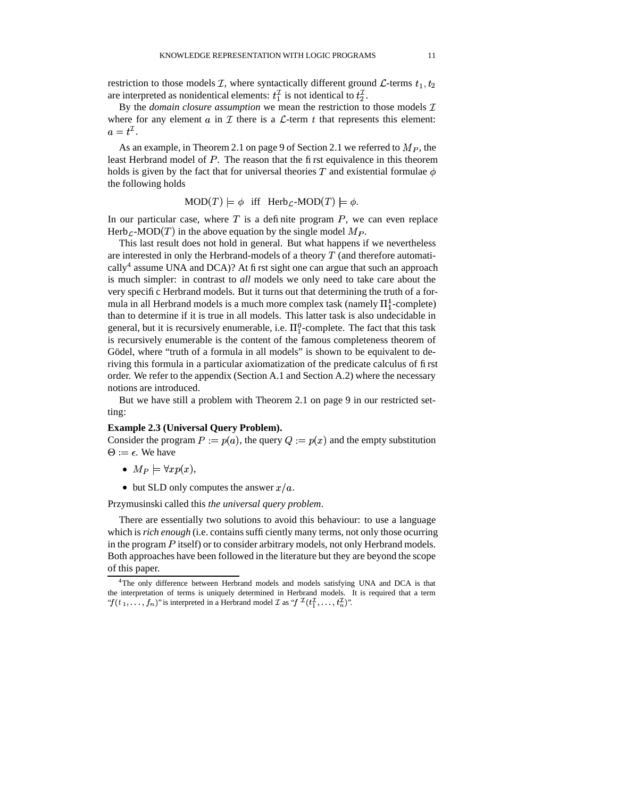By the *domain closure assumption* we mean the restriction to those models where for any element a in  $\mathcal I$  there is a  $\mathcal L$ -term  $t$  that represents this element:  $a=t^{\mathcal{I}}.$ 

As an example, in Theorem 2.1 on page 9 of Section 2.1 we referred to  $M<sub>P</sub>$ , the least Herbrand model of  $P$ . The reason that the first equivalence in this theorem holds is given by the fact that for universal theories T and existential formulae  $\phi$ the following holds

 $\text{MOD}(T) \models \phi \text{ iff } \text{Herb}_{\mathcal{L}}\text{-MOD}(T) \models \phi.$ 

In our particular case, where  $T$  is a definite program  $P$ , we can even replace Herb<sub>c</sub>-MOD(T) in the above equation by the single model  $M_P$ .

This last result does not hold in general. But what happens if we nevertheless are interested in only the Herbrand-models of a theory  $T$  (and therefore automatically<sup>4</sup> assume UNA and DCA)? At first sight one can argue that such an approach is much simpler: in contrast to *all* models we only need to take care about the very specific Herbrand models. But it turns out that determining the truth of a formula in all Herbrand models is a much more complex task (namely  $\prod_{i=1}^{1}$ -complete) than to determine if it is true in all models. This latter task is also undecidable in general, but it is recursively enumerable, i.e.  $\Pi_1^0$ -complete. The fact that this task is recursively enumerable is the content of the famous completeness theorem of Gödel, where "truth of a formula in all models" is shown to be equivalent to deriving this formula in a particular axiomatization of the predicate calculus of first order. We refer to the appendix (Section A.1 and Section A.2) where the necessary notions are introduced.

But we have still a problem with Theorem 2.1 on page 9 in our restricted setting:

#### **Example 2.3 (Universal Query Problem).**

Consider the program  $P := p(a)$ , the query  $Q := p(x)$  and the empty substitution  $\Theta := \epsilon$ . We have

- $M_P \models \forall x p(x),$
- $\bullet$  but SLD only computes the answer  $x/a$ .

Przymusinski called this *the universal query problem*.

There are essentially two solutions to avoid this behaviour: to use a language which is *rich enough* (i.e. contains sufficiently many terms, not only those ocurring in the program  $P$  itself) or to consider arbitrary models, not only Herbrand models. Both approaches have been followed in the literature but they are beyond the scope of this paper.

<sup>4</sup>The only difference between Herbrand models and models satisfying UNA and DCA is that the interpretation of terms is uniquely determined in Herbrand models. It is required that a term " $f(t_1,\ldots,t_n)$ " is interpreted in a Herbrand model  $\mathcal I$  as " $f^{\mathcal I}(t_1^{\mathcal I},\ldots,t_n^{\mathcal I})$ ".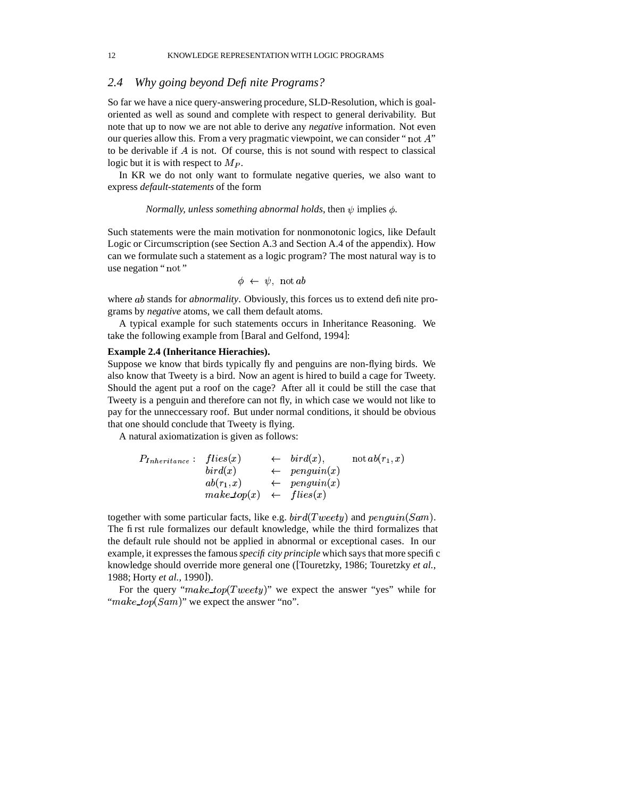# *2.4 Why going beyond Definite Programs?*

So far we have a nice query-answering procedure, SLD-Resolution, which is goaloriented as well as sound and complete with respect to general derivability. But note that up to now we are not able to derive any *negative* information. Not even our queries allow this. From a very pragmatic viewpoint, we can consider "not  $A$ " to be derivable if  $A$  is not. Of course, this is not sound with respect to classical logic but it is with respect to  $M_P$ .

In KR we do not only want to formulate negative queries, we also want to express *default-statements* of the form

#### *Normally, unless something abnormal holds, then*  $\psi$  implies  $\phi$ .

Such statements were the main motivation for nonmonotonic logics, like Default Logic or Circumscription (see Section A.3 and Section A.4 of the appendix). How can we formulate such a statement as a logic program? The most natural way is to use negation "not"

$$
\phi \leftarrow \psi, \text{ not } ab
$$

where ab stands for *abnormality*. Obviously, this forces us to extend definite programs by *negative* atoms, we call them default atoms.

A typical example for such statements occurs in Inheritance Reasoning. We take the following example from [Baral and Gelfond, 1994]:

## **Example 2.4 (Inheritance Hierachies).**

Suppose we know that birds typically fly and penguins are non-flying birds. We also know that Tweety is a bird. Now an agent is hired to build a cage for Tweety. Should the agent put a roof on the cage? After all it could be still the case that Tweety is a penguin and therefore can not fly, in which case we would not like to pay for the unneccessary roof. But under normal conditions, it should be obvious that one should conclude that Tweety is flying.

A natural axiomatization is given as follows:

$$
P_{Inheritance}: \begin{array}{lcl} \nline \nflineariance: & \n files(x) & \leftarrow & \n bird(x), & \n not \n ab(r_1, x) & \leftarrow & \n penguin(x) \\ \n ab(r_1, x) & \leftarrow & penguin(x) \\ \n make \n top(x) & \leftarrow & files(x) \n \end{array}
$$

together with some particular facts, like e.g.  $bird(Tweety)$  and  $penguin(Sam)$ . The first rule formalizes our default knowledge, while the third formalizes that the default rule should not be applied in abnormal or exceptional cases. In our example, it expresses the famous *specificity principle* which says that more specific knowledge should override more general one ([Touretzky, 1986; Touretzky *et al.*, 1988; Horty *et al.*, 1990]).

For the query " $make \textit{top}(T \textit{weety})$ " we expect the answer "yes" while for " $make\_top(Sam)$ " we expect the answer "no".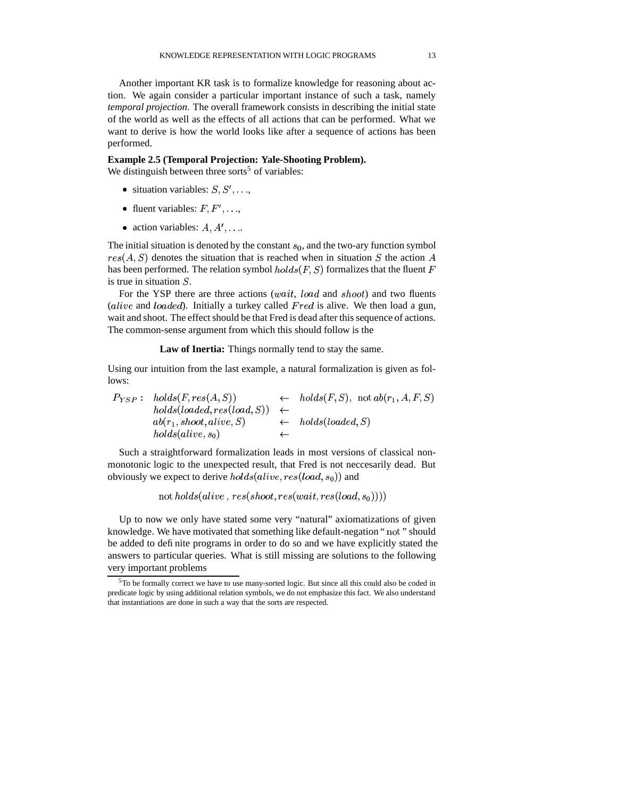# **Example 2.5 (Temporal Projection: Yale-Shooting Problem).**

We distinguish between three sorts<sup>5</sup> of variables:

" # -

- situation variables:  $S, S', \ldots$
- fluent variables:  $F, F', \ldots$
- action variables:  $A, A', \ldots$

The initial situation is denoted by the constant  $s_0$ , and the two-ary function symbol  $res(A, S)$  denotes the situation that is reached when in situation S the action A has been performed. The relation symbol  $holds(F, S)$  formalizes that the fluent  $F$ is true in situation  $S$ .

For the YSP there are three actions  $(wait, load \text{ and } shoot)$  and two fluents (*alive* and *loaded*). Initially a turkey called  $Fred$  is alive. We then load a gun, wait and shoot. The effect should be that Fred is dead after this sequence of actions. The common-sense argument from which this should follow is the

**Law of Inertia:** Things normally tend to stay the same.

Using our intuition from the last example, a natural formalization is given as follows:

| $P_{YSP}: \; holds(F, res(A, S))$          | $\leftarrow \; holds(F, S), \; \text{not } ab(r_1, A, F, S)$ |
|--------------------------------------------|--------------------------------------------------------------|
| $holds (loaded, res (load, S)) \leftarrow$ |                                                              |
| $ab(r_1, shoot, alive, S)$                 | $\leftarrow \quad holds(loaded, S)$                          |
| holds(alive, so)                           |                                                              |

Such a straightforward formalization leads in most versions of classical nonmonotonic logic to the unexpected result, that Fred is not neccesarily dead. But obviously we expect to derive  $holds(alive, res(load, s_0))$  and

 ${\rm not}\, holds(alive$  ,  ${\it res}(shoot, res(wait, res(load, s_0))))$ 

Up to now we only have stated some very "natural" axiomatizations of given knowledge. We have motivated that something like default-negation "not" should be added to definite programs in order to do so and we have explicitly stated the answers to particular queries. What is still missing are solutions to the following very important problems

 $5T$ o be formally correct we have to use many-sorted logic. But since all this could also be coded in predicate logic by using additional relation symbols, we do not emphasize this fact. We also understand that instantiations are done in such a way that the sorts are respected.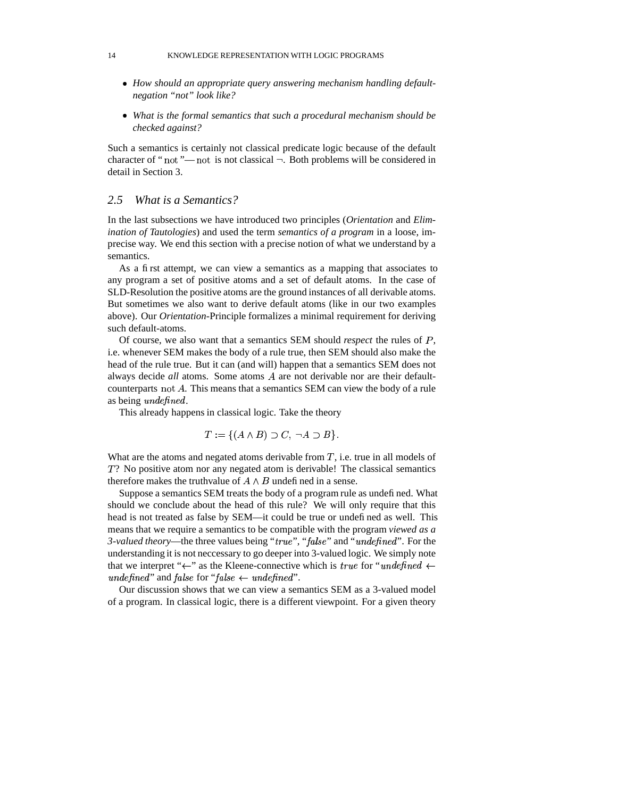- *How should an appropriate query answering mechanism handling defaultnegation "not" look like?*
- *What is the formal semantics that such a procedural mechanism should be checked against?*

Such a semantics is certainly not classical predicate logic because of the default character of "not "—not is not classical  $\neg$ . Both problems will be considered in detail in Section 3.

# *2.5 What is a Semantics?*

In the last subsections we have introduced two principles (*Orientation* and *Elimination of Tautologies*) and used the term *semantics of a program* in a loose, imprecise way. We end this section with a precise notion of what we understand by a semantics.

As a first attempt, we can view a semantics as a mapping that associates to any program a set of positive atoms and a set of default atoms. In the case of SLD-Resolution the positive atoms are the ground instances of all derivable atoms. But sometimes we also want to derive default atoms (like in our two examples above). Our *Orientation-*Principle formalizes a minimal requirement for deriving such default-atoms.

Of course, we also want that a semantics SEM should *respect* the rules of  $P$ , i.e. whenever SEM makes the body of a rule true, then SEM should also make the head of the rule true. But it can (and will) happen that a semantics SEM does not always decide *all* atoms. Some atoms A are not derivable nor are their defaultcounterparts not  $A$ . This means that a semantics SEM can view the body of a rule as being  $undefined$ .

This already happens in classical logic. Take the theory

$$
T := \{ (A \wedge B) \supset C, \neg A \supset B \}.
$$

What are the atoms and negated atoms derivable from  $T$ , i.e. true in all models of ? No positive atom nor any negated atom is derivable! The classical semantics therefore makes the truthvalue of  $A \wedge B$  undefined in a sense.

Suppose a semantics SEM treats the body of a program rule as undefined. What should we conclude about the head of this rule? We will only require that this head is not treated as false by SEM—it could be true or undefined as well. This means that we require a semantics to be compatible with the program *viewed as a 3-valued theory*—the three values being "*true"*, "*false*" and "*undefined*". For the understanding it is not neccessary to go deeper into 3-valued logic. We simply note that we interpret " $\leftarrow$ " as the Kleene-connective which is *true* for "*undefined*  $\leftarrow$  $\emph{undefined}$ " and false for "false  $\leftarrow \emph{undefined}$ ".

Our discussion shows that we can view a semantics SEM as a 3-valued model of a program. In classical logic, there is a different viewpoint. For a given theory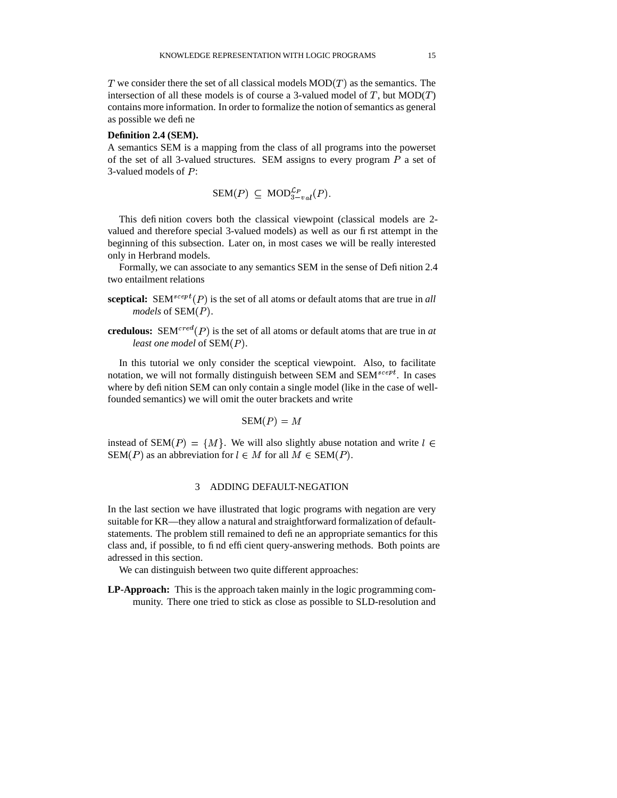T we consider there the set of all classical models  $\text{MOD}(T)$  as the semantics. The intersection of all these models is of course a 3-valued model of  $T$ , but  $MOD(T)$ contains more information. In order to formalize the notion of semantics as general as possible we define

#### **Definition 2.4 (SEM).**

A semantics SEM is a mapping from the class of all programs into the powerset of the set of all 3-valued structures. SEM assigns to every program  $P$  a set of 3-valued models of  $P$ :

$$
\text{SEM}(P) \subseteq \text{MOD}_{3-nd}^{\mathcal{L}_P}(P).
$$

This definition covers both the classical viewpoint (classical models are 2 valued and therefore special 3-valued models) as well as our first attempt in the beginning of this subsection. Later on, in most cases we will be really interested only in Herbrand models.

Formally, we can associate to any semantics SEM in the sense of Definition 2.4 two entailment relations

- **sceptical:**  $SEM^{scept}(P)$  is the set of all atoms or default atoms that are true in *all models* of  $SEM(P)$ .
- **credulous:**  $SEM^{cred}(P)$  is the set of all atoms or default atoms that are true in *at least one model* of  $SEM(P)$ .

In this tutorial we only consider the sceptical viewpoint. Also, to facilitate notation, we will not formally distinguish between SEM and  $SEM^{scept}$ . In cases where by definition SEM can only contain a single model (like in the case of wellfounded semantics) we will omit the outer brackets and write

$$
\operatorname{SEM}(P)=M
$$

instead of SEM(P) =  $\{M\}$ . We will also slightly abuse notation and write  $l \in$  $SEM(P)$  as an abbreviation for  $l \in M$  for all  $M \in SEM(P)$ .

# 3 ADDING DEFAULT-NEGATION

In the last section we have illustrated that logic programs with negation are very suitable for KR—they allow a natural and straightforward formalization of defaultstatements. The problem still remained to define an appropriate semantics for this class and, if possible, to find efficient query-answering methods. Both points are adressed in this section.

We can distinguish between two quite different approaches:

**LP-Approach:** This is the approach taken mainly in the logic programming community. There one tried to stick as close as possible to SLD-resolution and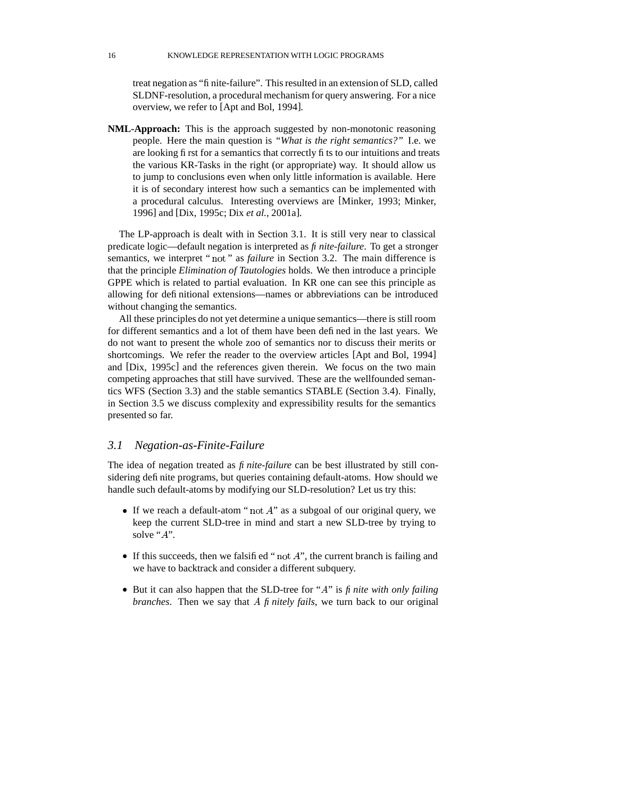treat negation as "finite-failure". Thisresulted in an extension of SLD, called SLDNF-resolution, a procedural mechanism for query answering. For a nice overview, we refer to [Apt and Bol, 1994].

**NML-Approach:** This is the approach suggested by non-monotonic reasoning people. Here the main question is *"What is the right semantics?"* I.e. we are looking first for a semantics that correctly fits to our intuitions and treats the various KR-Tasks in the right (or appropriate) way. It should allow us to jump to conclusions even when only little information is available. Here it is of secondary interest how such a semantics can be implemented with a procedural calculus. Interesting overviews are [Minker, 1993; Minker, 1996] and [Dix, 1995c; Dix *et al.*, 2001a].

The LP-approach is dealt with in Section 3.1. It is still very near to classical predicate logic—default negation is interpreted as *finite-failure*. To get a stronger semantics, we interpret "not" as *failure* in Section 3.2. The main difference is that the principle *Elimination of Tautologies* holds. We then introduce a principle GPPE which is related to partial evaluation. In KR one can see this principle as allowing for definitional extensions—names or abbreviations can be introduced without changing the semantics.

All these principles do not yet determine a unique semantics—there is still room for different semantics and a lot of them have been defined in the last years. We do not want to present the whole zoo of semantics nor to discuss their merits or shortcomings. We refer the reader to the overview articles [Apt and Bol, 1994] and [Dix, 1995c] and the references given therein. We focus on the two main competing approaches that still have survived. These are the wellfounded semantics WFS (Section 3.3) and the stable semantics STABLE (Section 3.4). Finally, in Section 3.5 we discuss complexity and expressibility results for the semantics presented so far.

# *3.1 Negation-as-Finite-Failure*

The idea of negation treated as *finite-failure* can be best illustrated by still considering definite programs, but queries containing default-atoms. How should we handle such default-atoms by modifying our SLD-resolution? Let us try this:

- If we reach a default-atom "not  $A$ " as a subgoal of our original query, we keep the current SLD-tree in mind and start a new SLD-tree by trying to solve " $A$ ".
- If this succeeds, then we falsified "not  $A$ ", the current branch is failing and we have to backtrack and consider a different subquery.
- But it can also happen that the SLD-tree for "A" is *fi nite with only failing branches*. Then we say that A finitely fails, we turn back to our original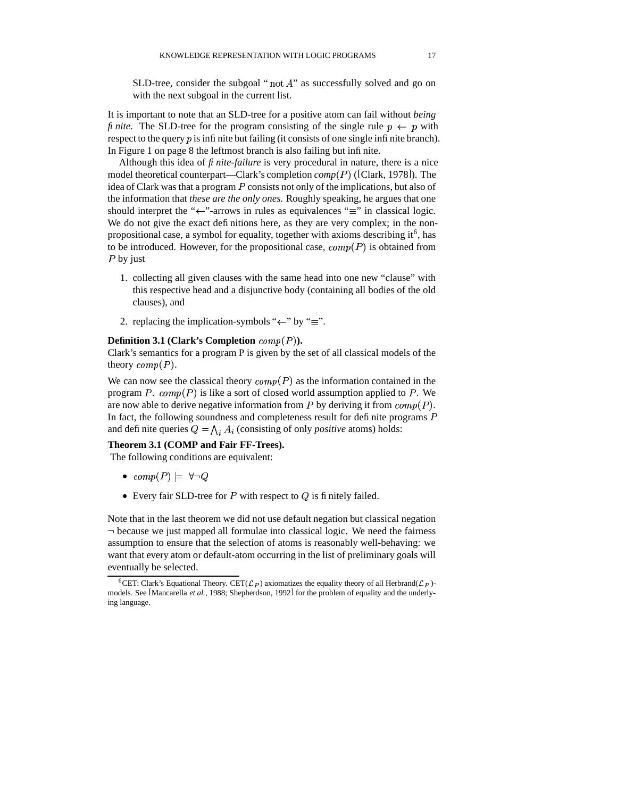SLD-tree, consider the subgoal "not  $A$ " as successfully solved and go on with the next subgoal in the current list.

It is important to note that an SLD-tree for a positive atom can fail without *being fi nite*. The SLD-tree for the program consisting of the single rule  $p \leftarrow p$  with respect to the query  $p$  is infinite but failing (it consists of one single infinite branch). In Figure 1 on page 8 the leftmost branch is also failing but infinite.

Although this idea of *finite-failure* is very procedural in nature, there is a nice model theoretical counterpart—Clark's completion  $comp(P)$  ([Clark, 1978]). The idea of Clark was that a program  $P$  consists not only of the implications, but also of the information that *these are the only ones.* Roughly speaking, he argues that one should interpret the " $\leftarrow$ "-arrows in rules as equivalences " $\equiv$ " in classical logic. We do not give the exact definitions here, as they are very complex; in the nonpropositional case, a symbol for equality, together with axioms describing it<sup>6</sup>, has to be introduced. However, for the propositional case,  $comp(P)$  is obtained from  $P$  by just

- 1. collecting all given clauses with the same head into one new "clause" with this respective head and a disjunctive body (containing all bodies of the old clauses), and
- 2. replacing the implication-symbols " $\leftarrow$ " by " $\equiv$ ".

#### **Definition 3.1** (Clark's Completion  $\mathit{comp}(P)$ ).

Clark's semantics for a program P is given by the set of all classical models of the theory  $comp(P)$ .

We can now see the classical theory  $comp(P)$  as the information contained in the program P.  $comp(P)$  is like a sort of closed world assumption applied to P. We are now able to derive negative information from P by deriving it from  $comp(P)$ . In fact, the following soundness and completeness result for definite programs  $P$ and definite queries  $Q = \bigwedge_i A_i$  (consisting of only *positive* atoms) holds:

# **Theorem 3.1 (COMP and Fair FF-Trees).**

The following conditions are equivalent:

- $\bullet$  comp(P)  $\models$   $\forall \neg Q$
- Every fair SLD-tree for  $P$  with respect to  $Q$  is finitely failed.

Note that in the last theorem we did not use default negation but classical negation  $\neg$  because we just mapped all formulae into classical logic. We need the fairness assumption to ensure that the selection of atoms is reasonably well-behaving: we want that every atom or default-atom occurring in the list of preliminary goals will eventually be selected.

<sup>&</sup>lt;sup>6</sup>CET: Clark's Equational Theory. CET( $\mathcal{L}_P$ ) axiomatizes the equality theory of all Herbrand( $\mathcal{L}_P$ )models. See [Mancarella *et al.*, 1988; Shepherdson, 1992] for the problem of equality and the underlying language.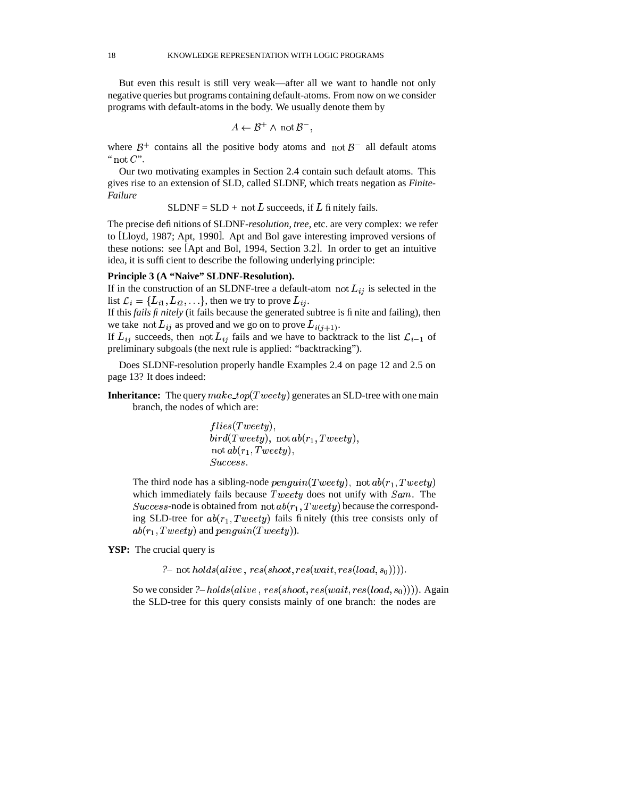But even this result is still very weak—after all we want to handle not only negative queries but programs containing default-atoms. From now on we consider programs with default-atoms in the body. We usually denote them by

$$
A \leftarrow \mathcal{B}^+ \land \operatorname{not} \mathcal{B}^-,
$$

where  $\mathcal{B}^+$  contains all the positive body atoms and not  $\mathcal{B}^-$  all default all default atoms "  $\operatorname{not} C$ ".

Our two motivating examples in Section 2.4 contain such default atoms. This gives rise to an extension of SLD, called SLDNF, which treats negation as *Finite-Failure*

 $SLDNF = SLD + not L$  succeeds, if L finitely fails.

The precise definitions of SLDNF-*resolution*, *tree*, etc. are very complex: we refer to [Lloyd, 1987; Apt, 1990]. Apt and Bol gave interesting improved versions of these notions: see [Apt and Bol, 1994, Section 3.2]. In order to get an intuitive idea, it is sufficient to describe the following underlying principle:

#### **Principle 3 (A "Naive" SLDNF-Resolution).**

If in the construction of an SLDNF-tree a default-atom not  $L_{ij}$  is selected in the list  $\mathcal{L}_i = \{L_{i1}, L_{i2}, \ldots\}$ , then we try to prove  $L_{ij}$ .

If this *fails finitely* (it fails because the generated subtree is finite and failing), then we take not  $L_{ij}$  as proved and we go on to prove  $L_{i(i+1)}$ .

If  $L_{ij}$  succeeds, then not  $L_{ij}$  fails and we have to backtrack to the list  $\mathcal{L}_{i-1}$  of preliminary subgoals (the next rule is applied: "backtracking").

Does SLDNF-resolution properly handle Examples 2.4 on page 12 and 2.5 on page 13? It does indeed:

**Inheritance:** The query  $make\_top(Tweety)$  generates an SLD-tree with one main branch, the nodes of which are:

$$
files(Tweety),\\bird(Tweety), \; \mathrm{not} \, ab(r_1, Tweety),\\ \mathrm{not} \, ab(r_1, Tweety),\\ Success.
$$

The third node has a sibling-node  $\mathit{penguin}(T \mathit{wecty}), \ \mathit{not\,}ab(r_1, T \mathit{wecty})$ which immediately fails because  $Tweety$  does not unify with  $Sam$ . The Success-node is obtained from not  $ab(r_1, Tweet y)$  because the corresponding SLD-tree for  $ab(r_1, Tweet y)$  fails finitely (this tree consists only of  $ab(r_1, Tweet y)$  and  $penguin(Tweet y)).$ 

**YSP:** The crucial query is

 $\emph{?}- \; \text{not} \; holds(alive, \, \emph{res} (\emph{shoot}, \emph{res}(\emph{wait}, \emph{res}(\emph{load}, \emph{s}_0)))\rm).$ 

So we consider *?–*  $holds(alive, res(shot, res(wait, res(load, s_0))))$ . Again the SLD-tree for this query consists mainly of one branch: the nodes are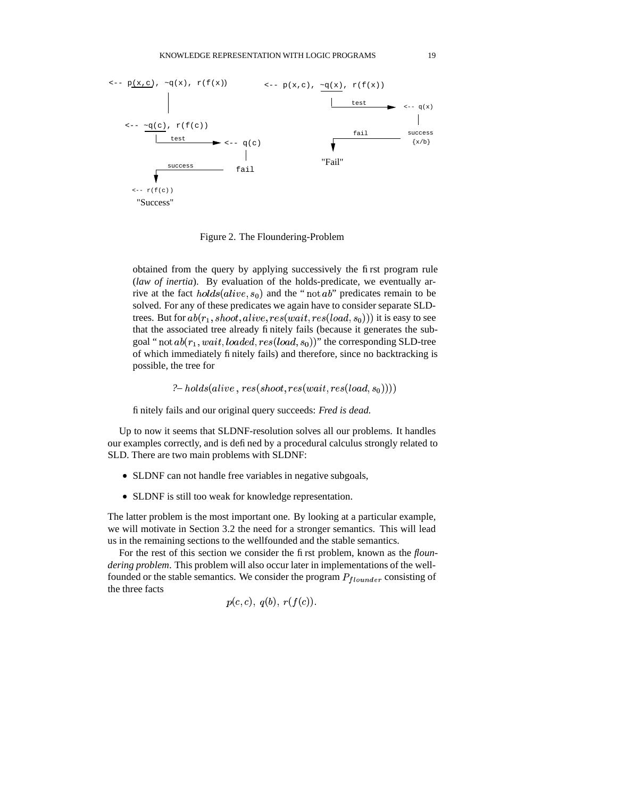

Figure 2. The Floundering-Problem

obtained from the query by applying successively the first program rule (*law of inertia*). By evaluation of the holds-predicate, we eventually arrive at the fact  $holds(alive, s_0)$  and the "not  $ab$ " predicates remain to be solved. For any of these predicates we again have to consider separate SLDtrees. But for  $ab(r_1, shoot, alive, res(wait, res(load, s_0)))$  it is easy to see that the associated tree already finitely fails (because it generates the subgoal "  ${\rm not}\, ab(r_1, wait, loaded, res (load, s_0))^{\boldsymbol{\cdot}}$  the corresponding SLD-tree of which immediately finitely fails) and therefore, since no backtracking is possible, the tree for

 $\left( ?\!\!-\! holds(alive\,,\, res(shot, res(wait, res(load, s_0))))\right)$ 

finitely fails and our original query succeeds: *Fred is dead.*

Up to now it seems that SLDNF-resolution solves all our problems. It handles our examples correctly, and is defined by a procedural calculus strongly related to SLD. There are two main problems with SLDNF:

- SLDNF can not handle free variables in negative subgoals,
- SLDNF is still too weak for knowledge representation.

The latter problem is the most important one. By looking at a particular example, we will motivate in Section 3.2 the need for a stronger semantics. This will lead us in the remaining sections to the wellfounded and the stable semantics.

For the rest of this section we consider the first problem, known as the *floundering problem*. This problem will also occur later in implementations of the wellfounded or the stable semantics. We consider the program  $P_{flounder}$  consisting of the three facts

$$
p(c,c),\ q(b),\ r(f(c)).
$$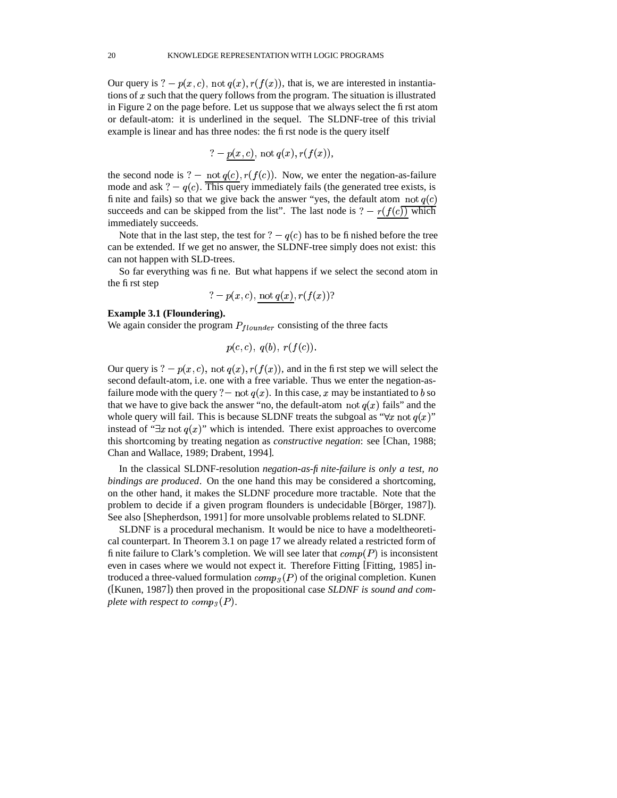Our query is  $? - p(x, c)$ , not  $q(x), r(f(x))$ , that is, we are interested in instantiations of  $x$  such that the query follows from the program. The situation is illustrated in Figure 2 on the page before. Let us suppose that we always select the first atom or default-atom: it is underlined in the sequel. The SLDNF-tree of this trivial example is linear and has three nodes: the first node is the query itself

$$
?-p(x,c),\ \mathrm{not}\, q(x),r(f(x)),
$$

the second node is ? – not  $q(c)$ ,  $r(f(c))$ . Now, we enter the negation-as-failure mode and ask ? –  $q(c)$ . This query immediately fails (the generated tree exists, is finite and fails) so that we give back the answer "yes, the default atom not  $q(c)$ succeeds and can be skipped from the list". The last node is  $? - r(f(c))$  which immediately succeeds.

Note that in the last step, the test for  $? - q(c)$  has to be finished before the tree can be extended. If we get no answer, the SLDNF-tree simply does not exist: this can not happen with SLD-trees.

So far everything was fine. But what happens if we select the second atom in the first step

$$
?-p(x,c),\,\mathrm{not}\,q(x),r(f(x))?
$$

#### **Example 3.1 (Floundering).**

We again consider the program  $P_{flounder}$  consisting of the three facts

$$
p(c,c),\ q(b),\ r(f(c)).
$$

Our query is  $? - p(x, c)$ , not  $q(x), r(f(x))$ , and in the first step we will select the second default-atom, i.e. one with a free variable. Thus we enter the negation-asfailure mode with the query ?  $-$  not  $q(x)$ . In this case, x may be instantiated to b so that we have to give back the answer "no, the default-atom not  $q(x)$  fails" and the whole query will fail. This is because SLDNF treats the subgoal as " $\forall x \text{ not } q(x)$ " instead of " $\exists x \text{ not } q(x)$ " which is intended. There exist approaches to overcome this shortcoming by treating negation as *constructive negation*: see [Chan, 1988; Chan and Wallace, 1989; Drabent, 1994].

In the classical SLDNF-resolution *negation-as-finite-failure is only a test, no bindings are produced*. On the one hand this may be considered a shortcoming, on the other hand, it makes the SLDNF procedure more tractable. Note that the problem to decide if a given program flounders is undecidable [Börger, 1987]). See also [Shepherdson, 1991] for more unsolvable problems related to SLDNF.

SLDNF is a procedural mechanism. It would be nice to have a modeltheoretical counterpart. In Theorem 3.1 on page 17 we already related a restricted form of finite failure to Clark's completion. We will see later that  $comp(P)$  is inconsistent even in cases where we would not expect it. Therefore Fitting [Fitting, 1985] introduced a three-valued formulation  $comp_3(P)$  of the original completion. Kunen ([Kunen, 1987]) then proved in the propositional case *SLDNF is sound and com* $p$  *lete* with respect to  $comp_3(P)$ .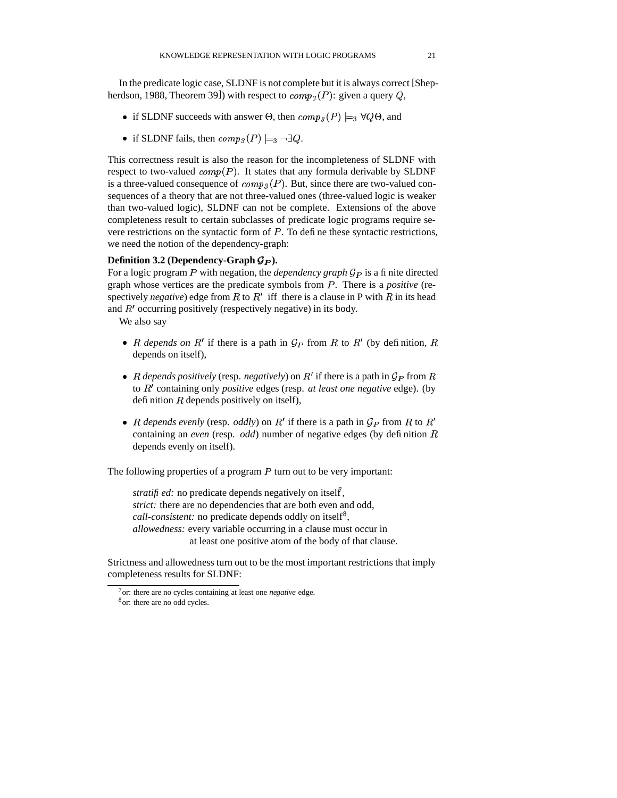In the predicate logic case, SLDNF is not complete but it is always correct [Shepherdson, 1988, Theorem 39]) with respect to  $comp_3(P)$ : given a query Q,

- if SLDNF succeeds with answer  $\Theta$ , then  $comp_3(P) \models_3 \forall Q\Theta$ , and
- if SLDNF fails, then  $comp_3(P) \models_3 \neg \exists Q$ .

This correctness result is also the reason for the incompleteness of SLDNF with respect to two-valued  $comp(P)$ . It states that any formula derivable by SLDNF is a three-valued consequence of  $comp_3(P)$ . But, since there are two-valued consequences of a theory that are not three-valued ones (three-valued logic is weaker than two-valued logic), SLDNF can not be complete. Extensions of the above completeness result to certain subclasses of predicate logic programs require severe restrictions on the syntactic form of  $P$ . To define these syntactic restrictions, we need the notion of the dependency-graph:

### $Definition 3.2 (Dependency-Graph  $\mathcal{G}_P$ ).$

For a logic program P with negation, the *dependency* graph  $\mathcal{G}_P$  is a finite directed graph whose vertices are the predicate symbols from P. There is a *positive* (respectively *negative*) edge from  $R$  to  $R'$  iff there is a clause in P with  $R$  in its head and  $R'$  occurring positively (respectively negative) in its body.

We also say

- *R* depends on  $R'$  if there is a path in  $\mathcal{G}_P$  from  $R$  to  $R'$  (by definition,  $R$ depends on itself),
- *R depends positively* (resp. *negatively*) on  $R'$  if there is a path in  $\mathcal{G}_P$  from  $R$ to  $R'$  containing only *positive* edges (resp. *at least one negative* edge). (by definition  $R$  depends positively on itself),
- *R depends evenly* (resp. *oddly*) on  $R'$  if there is a path in  $\mathcal{G}_P$  from  $R$  to  $R'$ containing an *even* (resp. *odd*) number of negative edges (by definition  $R$ depends evenly on itself).

The following properties of a program  $P$  turn out to be very important:

stratified: no predicate depends negatively on itself, *strict:* there are no dependencies that are both even and odd, *call-consistent:* no predicate depends oddly on itself<sup>8</sup>, *allowedness:* every variable occurring in a clause must occur in at least one positive atom of the body of that clause.

Strictness and allowedness turn out to be the most important restrictions that imply completeness results for SLDNF:

<sup>7</sup>or: there are no cycles containing at least one *negative* edge.

<sup>8</sup>or: there are no odd cycles.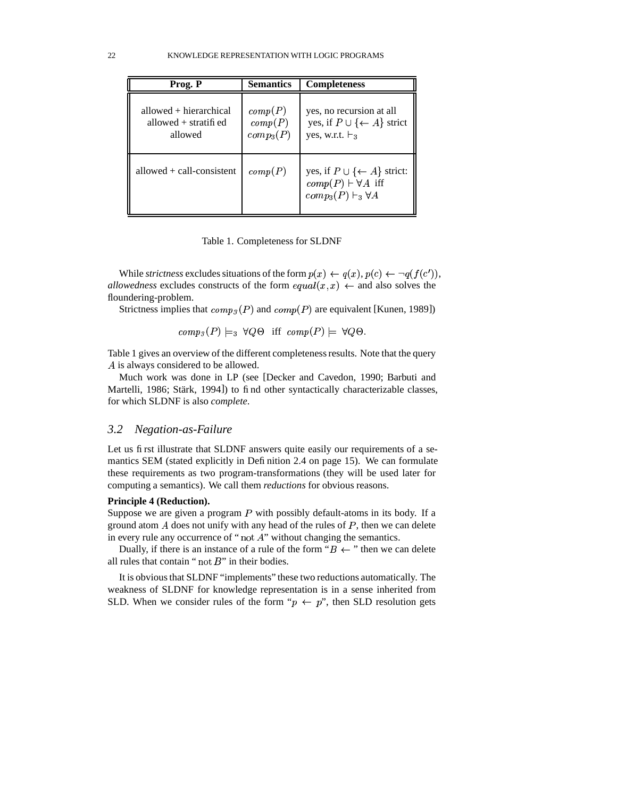| Prog. P                                                   | <b>Semantics</b>                  | <b>Completeness</b>                                                                                           |
|-----------------------------------------------------------|-----------------------------------|---------------------------------------------------------------------------------------------------------------|
| allowed + hierarchical<br>allowed + stratified<br>allowed | comp(P)<br>comp(P)<br>$comp_3(P)$ | yes, no recursion at all<br>yes, if $P \cup \{\leftarrow A\}$ strict<br>yes, w.r.t. $\vdash_3$                |
| allowed $+$ call-consistent                               | comp(P)                           | yes, if $P \cup \{\leftarrow A\}$ strict:<br>$comp(P) \vdash \forall A$ iff<br>$comp_3(P) \vdash_3 \forall A$ |

Table 1. Completeness for SLDNF

While *strictness* excludes situations of the form  $p(x) \leftarrow q(x), p(c) \leftarrow \neg q(f(c'))$ , *allowedness* excludes constructs of the form  $equal(x, x) \leftarrow$  and also solves the floundering-problem.

Strictness implies that  $comp_3(P)$  and  $comp(P)$  are equivalent [Kunen, 1989])

 $comp_3(P) \models_3 \forall Q\Theta \text{ iff } comp(P) \models \forall Q\Theta.$ 

Table 1 gives an overview of the different completenessresults. Note that the query A is always considered to be allowed.

Much work was done in LP (see [Decker and Cavedon, 1990; Barbuti and Martelli, 1986; Stärk, 1994]) to find other syntactically characterizable classes, for which SLDNF is also *complete*.

#### *3.2 Negation-as-Failure*

Let us first illustrate that SLDNF answers quite easily our requirements of a semantics SEM (stated explicitly in Definition 2.4 on page 15). We can formulate these requirements as two program-transformations (they will be used later for computing a semantics). We call them *reductions* for obvious reasons.

## **Principle 4 (Reduction).**

Suppose we are given a program  $P$  with possibly default-atoms in its body. If a ground atom  $A$  does not unify with any head of the rules of  $P$ , then we can delete in every rule any occurrence of "not  $A$ " without changing the semantics.

Dually, if there is an instance of a rule of the form " $B \leftarrow$  " then we can delete all rules that contain " not  $B$ " in their bodies.

It is obviousthat SLDNF "implements" these two reductions automatically. The weakness of SLDNF for knowledge representation is in a sense inherited from SLD. When we consider rules of the form " $p \leftarrow p$ ", then SLD resolution gets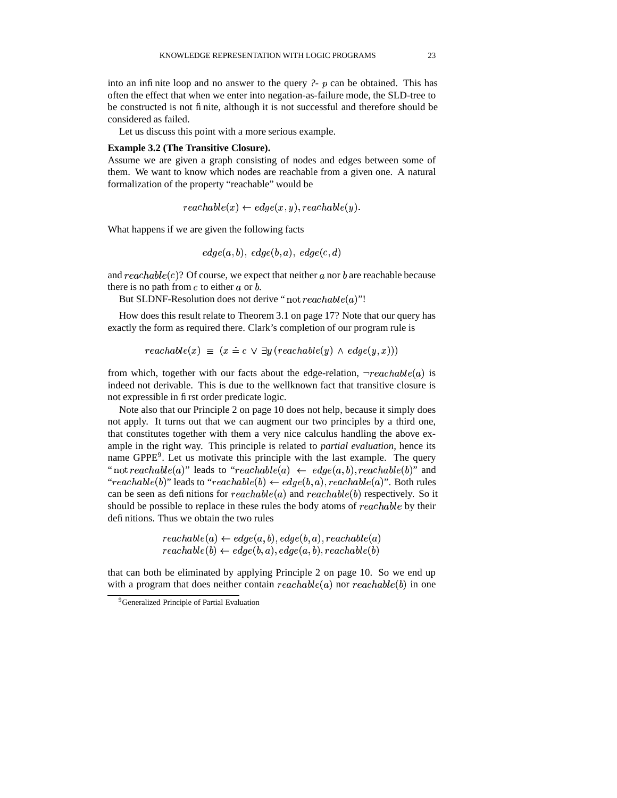into an infinite loop and no answer to the query  $? - p$  can be obtained. This has often the effect that when we enter into negation-as-failure mode, the SLD-tree to be constructed is not finite, although it is not successful and therefore should be considered as failed.

Let us discuss this point with a more serious example.

#### **Example 3.2 (The Transitive Closure).**

Assume we are given a graph consisting of nodes and edges between some of them. We want to know which nodes are reachable from a given one. A natural formalization of the property "reachable" would be

 $\textit{reachable}(x) \leftarrow \textit{edge}(x, y), \textit{reachable}(y).$ 

What happens if we are given the following facts

$$
edge(a,b),\ edge(b,a),\ edge(c,d)
$$

and  $\textit{reachable}(c)$ ? Of course, we expect that neither a nor b are reachable because there is no path from  $c$  to either  $a$  or  $b$ .

But SLDNF-Resolution does not derive "not  $reachable(a)$ "!

How does this result relate to Theorem 3.1 on page 17? Note that our query has exactly the form as required there. Clark's completion of our program rule is

 $\text{reachable}(x) \equiv (x = c \lor \exists y \, (\text{reachable}(y) \land \text{edge}(y, x)))$ 

from which, together with our facts about the edge-relation,  $\neg reachable(a)$  is indeed not derivable. This is due to the wellknown fact that transitive closure is not expressible in first order predicate logic.

Note also that our Principle 2 on page 10 does not help, because it simply does not apply. It turns out that we can augment our two principles by a third one, that constitutes together with them a very nice calculus handling the above example in the right way. This principle is related to *partial evaluation*, hence its name GPPE<sup>9</sup>. Let us motivate this principle with the last example. The query " not reachable(a)" leads to "reachable(a)  $\leftarrow$  edge(a, b), reachable(b)" and " $reachable(b)"$  leads to " $reachable(b) \leftarrow edge(b,a), reachable(a)".$  Both rules can be seen as definitions for  $reachable(a)$  and  $reachable(b)$  respectively. So it should be possible to replace in these rules the body atoms of  $reachable$  by their definitions. Thus we obtain the two rules

> $\textit{reachable}(a) \leftarrow \textit{edge}(a,b), \textit{edge}(b,a), \textit{reachable}(a)$  $\textit{reachable}(b) \leftarrow \textit{edge}(b, a), \textit{edge}(a, b), \textit{reachable}(b)$

that can both be eliminated by applying Principle 2 on page 10. So we end up with a program that does neither contain  $reachable(a)$  nor  $reachable(b)$  in one

<sup>&</sup>lt;sup>9</sup>Generalized Principle of Partial Evaluation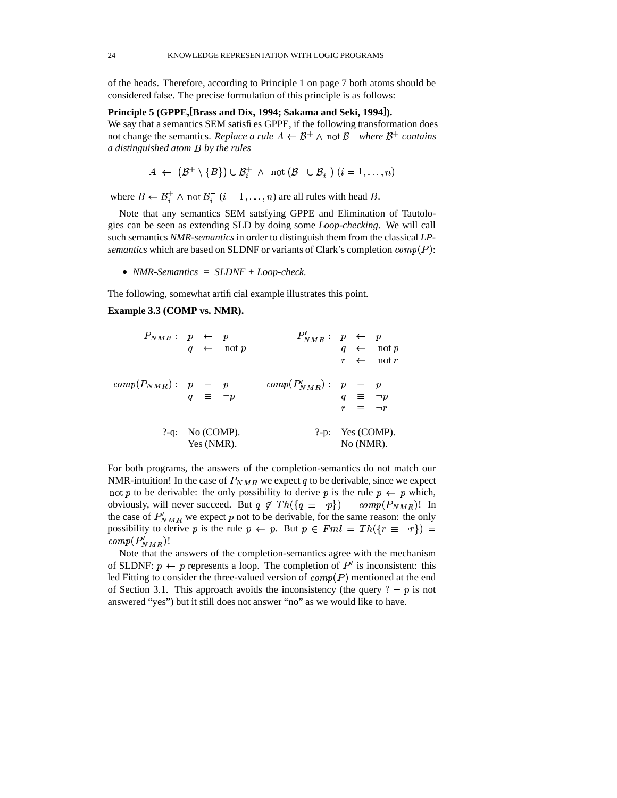of the heads. Therefore, according to Principle 1 on page 7 both atoms should be considered false. The precise formulation of this principle is as follows:

# **Principle 5 (GPPE,[Brass and Dix, 1994; Sakama and Seki, 1994]).**

We say that a semantics SEM satisfies GPPE, if the following transformation does not change the semantics. *Replace a rule*  $A \leftarrow B^+ \wedge \text{ not } B^-$  *where*  $B^+$  *c*  $^-$  where  $B$ <sup>+</sup> contains *a distinguished atom by the rules*

$$
A \leftarrow (\mathcal{B}^+ \setminus \{B\}) \cup \mathcal{B}_i^+ \ \wedge \ \operatorname{not} (\mathcal{B}^- \cup \mathcal{B}_i^-) \ (i = 1, \ldots, n)
$$

where  $B \leftarrow \mathcal{B}_i^+ \wedge \text{not } \mathcal{B}_i^ (i = 1, \ldots,$  $\overline{i}$   $(i = 1, \ldots, n)$  are all rules with head B.

Note that any semantics SEM satsfying GPPE and Elimination of Tautologies can be seen as extending SLD by doing some *Loop-checking*. We will call such semantics *NMR-semantics* in order to distinguish them from the classical *LPsemantics* which are based on SLDNF or variants of Clark's completion  $comp(P)$ :

*NMR-Semantics = SLDNF + Loop-check.*

The following, somewhat artificial example illustrates this point.

#### **Example 3.3 (COMP vs. NMR).**

|                              | $P_{NMR}: p \leftarrow p$           |                               | $P'_{NMR}: p \leftarrow p$ |                   |                                     |
|------------------------------|-------------------------------------|-------------------------------|----------------------------|-------------------|-------------------------------------|
|                              | $q \leftarrow \operatorname{not} p$ |                               |                            |                   | $q \leftarrow \operatorname{not} p$ |
|                              |                                     |                               |                            |                   | $r \leftarrow \text{not } r$        |
|                              |                                     |                               |                            |                   |                                     |
| $comp(P_{NMR}) : p \equiv p$ |                                     | $comp(P'_{NMR}) : p \equiv p$ |                            |                   |                                     |
|                              | $q \equiv \neg p$                   |                               |                            | $q \equiv \neg p$ |                                     |
|                              |                                     |                               |                            | $r \equiv \neg r$ |                                     |
|                              |                                     |                               |                            |                   |                                     |
|                              | $? -q$ : No (COMP).                 |                               | $?$ -p: Yes (COMP).        |                   |                                     |
|                              | Yes (NMR).                          |                               |                            | $No(NMR)$ .       |                                     |

For both programs, the answers of the completion-semantics do not match our NMR-intuition! In the case of  $P_{NMR}$  we expect q to be derivable, since we expect not p to be derivable: the only possibility to derive p is the rule  $p \leftarrow p$  which, obviously, will never succeed. But  $q \notin Th({q \equiv \neg p}) = comp(P_{NMR})!$  In the case of  $P'_{NMR}$  we expect p not to be derivable, for the same reason: the only possibility to derive p is the rule  $p \leftarrow p$ . But  $p \in Fml = Th({r \equiv \neg r}) =$  $comp(P'_{NMR})!$ 

Note that the answers of the completion-semantics agree with the mechanism of SLDNF:  $p \leftarrow p$  represents a loop. The completion of  $P'$  is inconsistent: this led Fitting to consider the three-valued version of  $\mathit{comp}(P)$  mentioned at the end of Section 3.1. This approach avoids the inconsistency (the query  $? - p$  is not answered "yes") but it still does not answer "no" as we would like to have.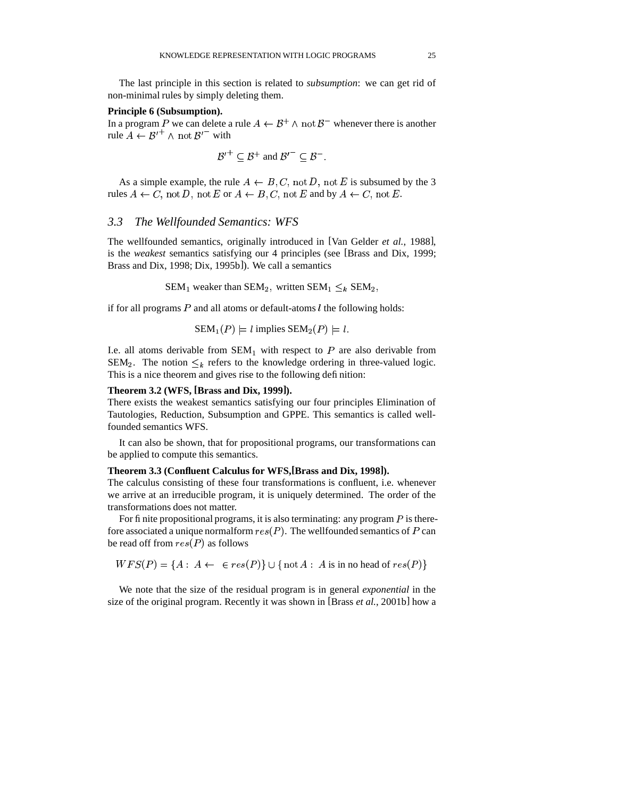The last principle in this section is related to *subsumption*: we can get rid of non-minimal rules by simply deleting them.

#### **Principle 6 (Subsumption).**

In a program  $P$  we can delete a rule  $A \leftarrow \mathcal{B}^+ \wedge \, \mathrm{not} \, \mathcal{B}^-$  whenever th whenever there is another rule  $A \leftarrow B'^+ \wedge \operatorname{not} B'^-$  with

$$
\mathcal{B}'^+ \subseteq \mathcal{B}^+ \text{ and } \mathcal{B}'^- \subseteq \mathcal{B}^-.
$$

As a simple example, the rule  $A \leftarrow B, C$ , not D, not E is subsumed by the 3 rules  $A \leftarrow C$ , not  $D$ , not  $E$  or  $A \leftarrow B$ ,  $C$ , not  $E$  and by  $A \leftarrow C$ , not  $E$ .

# *3.3 The Wellfounded Semantics: WFS*

The wellfounded semantics, originally introduced in [Van Gelder *et al.*, 1988], is the *weakest* semantics satisfying our 4 principles (see [Brass and Dix, 1999; Brass and Dix, 1998; Dix, 1995b]). We call a semantics

SEM<sub>1</sub> weaker than SEM<sub>2</sub>, written SEM<sub>1</sub>  $\leq_k$  SEM<sub>2</sub>,

if for all programs  $P$  and all atoms or default-atoms  $l$  the following holds:

$$
SEM_1(P) \models l
$$
 implies  $SEM_2(P) \models l$ .

I.e. all atoms derivable from  $SEM_1$  with respect to  $P$  are also derivable from SEM<sub>2</sub>. The notion  $\leq_k$  refers to the knowledge ordering in three-valued logic. This is a nice theorem and gives rise to the following definition:

#### **Theorem 3.2 (WFS, [Brass and Dix, 1999]).**

There exists the weakest semantics satisfying our four principles Elimination of Tautologies, Reduction, Subsumption and GPPE. This semantics is called wellfounded semantics WFS.

It can also be shown, that for propositional programs, our transformations can be applied to compute this semantics.

#### **Theorem 3.3 (Confluent Calculus for WFS,[Brass and Dix, 1998]).**

The calculus consisting of these four transformations is confluent, i.e. whenever we arrive at an irreducible program, it is uniquely determined. The order of the transformations does not matter.

For finite propositional programs, it is also terminating: any program  $P$  is therefore associated a unique normalform  $res(P)$ . The wellfounded semantics of P can be read off from  $res(P)$  as follows

 $WFS(P) = \{A: A \leftarrow \in res(P)\} \cup \{\text{not } A: A \text{ is in no head of } res(P)\}\$ 

We note that the size of the residual program is in general *exponential* in the size of the original program. Recently it was shown in [Brass *et al.*, 2001b] how a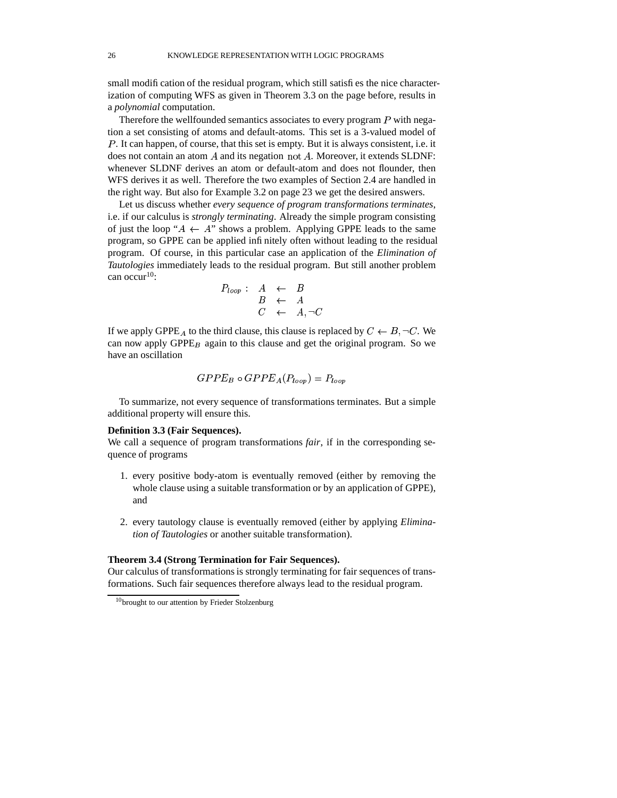small modification of the residual program, which still satisfies the nice characterization of computing WFS as given in Theorem 3.3 on the page before, results in a *polynomial* computation.

Therefore the wellfounded semantics associates to every program  $P$  with negation a set consisting of atoms and default-atoms. This set is a 3-valued model of . It can happen, of course, that this set is empty. But it is always consistent, i.e. it does not contain an atom  $A$  and its negation not  $A$ . Moreover, it extends SLDNF: whenever SLDNF derives an atom or default-atom and does not flounder, then WFS derives it as well. Therefore the two examples of Section 2.4 are handled in the right way. But also for Example 3.2 on page 23 we get the desired answers.

Let us discuss whether *every sequence of program transformations terminates*, i.e. if our calculus is *strongly terminating*. Already the simple program consisting of just the loop " $A \leftarrow A$ " shows a problem. Applying GPPE leads to the same program, so GPPE can be applied infinitely often without leading to the residual program. Of course, in this particular case an application of the *Elimination of Tautologies* immediately leads to the residual program. But still another problem can occur<sup>10</sup>:

$$
P_{loop}: A \leftarrow B
$$
  

$$
B \leftarrow A
$$
  

$$
C \leftarrow A, \neg C
$$

If we apply GPPE<sub>A</sub> to the third clause, this clause is replaced by  $C \leftarrow B, \neg C$ . We can now apply  $\text{GPE}_B$  again to this clause and get the original program. So we have an oscillation

$$
GPPE_B \circ GPPE_A(P_{loop}) = P_{loop}
$$

To summarize, not every sequence of transformations terminates. But a simple additional property will ensure this.

#### **Definition 3.3 (Fair Sequences).**

We call a sequence of program transformations *fair*, if in the corresponding sequence of programs

- 1. every positive body-atom is eventually removed (either by removing the whole clause using a suitable transformation or by an application of GPPE), and
- 2. every tautology clause is eventually removed (either by applying *Elimination of Tautologies* or another suitable transformation).

### **Theorem 3.4 (Strong Termination for Fair Sequences).**

Our calculus of transformations is strongly terminating for fair sequences of transformations. Such fair sequences therefore always lead to the residual program.

<sup>&</sup>lt;sup>10</sup>brought to our attention by Frieder Stolzenburg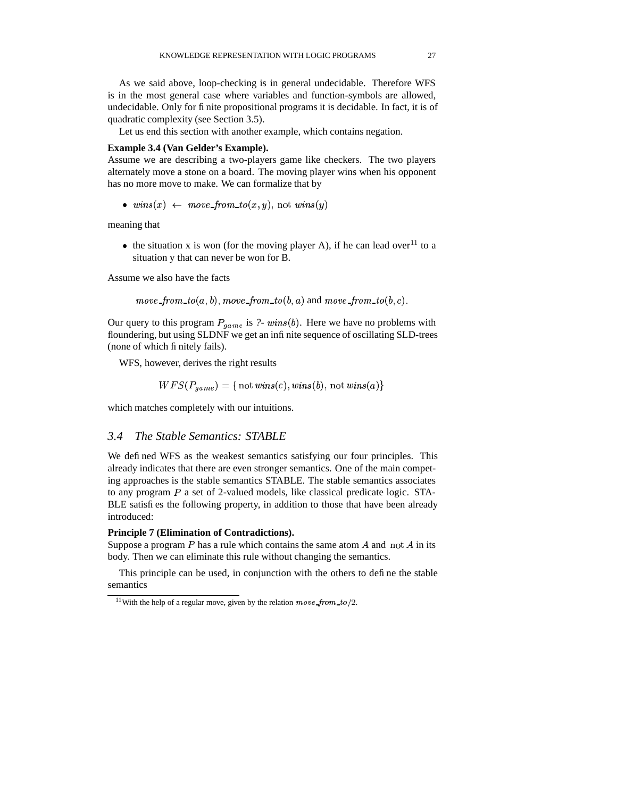As we said above, loop-checking is in general undecidable. Therefore WFS is in the most general case where variables and function-symbols are allowed, undecidable. Only for finite propositional programs it is decidable. In fact, it is of quadratic complexity (see Section 3.5).

Let us end this section with another example, which contains negation.

### **Example 3.4 (Van Gelder's Example).**

Assume we are describing a two-players game like checkers. The two players alternately move a stone on a board. The moving player wins when his opponent has no more move to make. We can formalize that by

•  $wins(x) \leftarrow move\_from\_to(x, y)$ , not  $wins(y)$ 

meaning that

• the situation x is won (for the moving player A), if he can lead over  $11$  to a situation y that can never be won for B.

Assume we also have the facts

 $move\_from\_to(a,b), move\_from\_to(b,a) \text{ and } move\_from\_to(b,c).$ 

Our query to this program  $P_{\text{game}}$  is *?-* wins(b). Here we have no problems with floundering, but using SLDNF we get an infinite sequence of oscillating SLD-trees (none of which finitely fails).

WFS, however, derives the right results

$$
WFS(P_{game}) = \{ \, \text{not} \, wins(c), \, wins(b), \, \text{not} \, wins(a) \}
$$

which matches completely with our intuitions.

# *3.4 The Stable Semantics: STABLE*

We defined WFS as the weakest semantics satisfying our four principles. This already indicates that there are even stronger semantics. One of the main competing approaches is the stable semantics STABLE. The stable semantics associates to any program  $P$  a set of 2-valued models, like classical predicate logic. STA-BLE satisfies the following property, in addition to those that have been already introduced:

#### **Principle 7 (Elimination of Contradictions).**

Suppose a program P has a rule which contains the same atom A and not A in its body. Then we can eliminate this rule without changing the semantics.

This principle can be used, in conjunction with the others to define the stable semantics

<sup>&</sup>lt;sup>11</sup> With the help of a regular move, given by the relation  $move\_from\_to/2$ .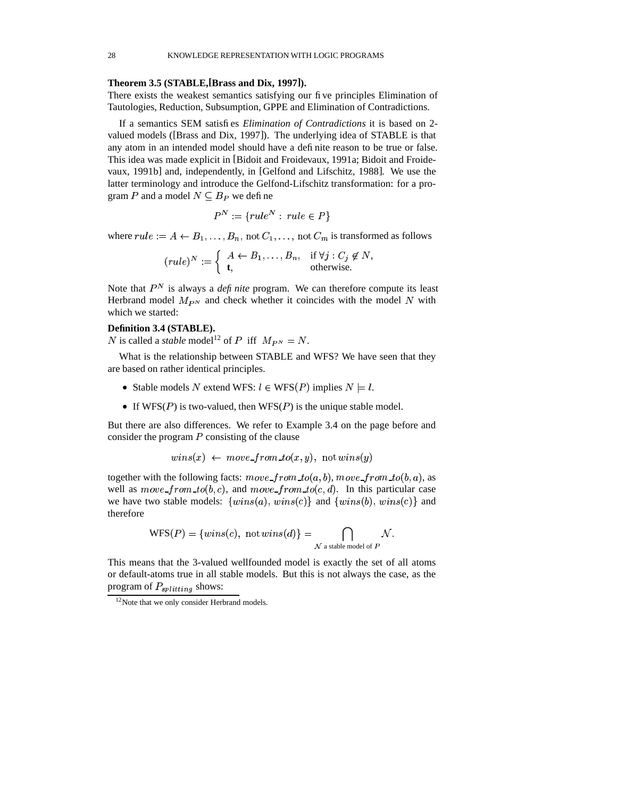# **Theorem 3.5 (STABLE,[Brass and Dix, 1997]).**

There exists the weakest semantics satisfying our five principles Elimination of Tautologies, Reduction, Subsumption, GPPE and Elimination of Contradictions.

If a semantics SEM satisfies *Elimination of Contradictions* it is based on 2 valued models ([Brass and Dix, 1997]). The underlying idea of STABLE is that any atom in an intended model should have a definite reason to be true or false. This idea was made explicit in [Bidoit and Froidevaux, 1991a; Bidoit and Froidevaux, 1991b] and, independently, in [Gelfond and Lifschitz, 1988]. We use the latter terminology and introduce the Gelfond-Lifschitz transformation: for a program P and a model  $N \subseteq B_P$  we define

$$
P^N := \{rule^N : rule \in P\}
$$

where  $rule := A \leftarrow B_1, \ldots, B_n$ , not  $C_1, \ldots$ , not  $C_m$  is transformed as follows

$$
(rule)^N := \left\{ \begin{array}{ll} A \leftarrow B_1, \ldots, B_n, & \text{if } \forall j : C_j \notin N, \\ \mathbf{t}, & \text{otherwise.} \end{array} \right.
$$

Note that  $P<sup>N</sup>$  is always a *definite* program. We can therefore compute its least Herbrand model  $M_{PN}$  and check whether it coincides with the model N with which we started:

### **Definition 3.4 (STABLE).**

N is called a *stable* model<sup>12</sup> of P iff  $M_{P^N} = N$ .

What is the relationship between STABLE and WFS? We have seen that they are based on rather identical principles.

- Stable models N extend WFS:  $l \in WFS(P)$  implies  $N \models l$ .
- If WFS(P) is two-valued, then WFS(P) is the unique stable model.

But there are also differences. We refer to Example 3.4 on the page before and consider the program  $P$  consisting of the clause

$$
wins(x) \leftarrow move\_from_to(x, y), \text{ not } wins(y)
$$

together with the following facts:  $move\_from\_to(a, b)$ ,  $move\_from\_to(b, a)$ , as well as  $move\_from\_to(b, c)$ , and  $move\_from\_to(c, d)$ . In this particular case we have two stable models:  $\{ wins(a), wins(c)\}$  and  $\{ wins(b), wins(c)\}$  and therefore

$$
\mathrm{WFS}(P)=\{wins(c),\ \mathrm{not}\,wins(d)\}=\bigcap_{\mathcal{N}\text{ a stable model of }P}\mathcal{N}.
$$

This means that the 3-valued wellfounded model is exactly the set of all atoms or default-atoms true in all stable models. But this is not always the case, as the program of  $P_{splitting}$  shows:

<sup>&</sup>lt;sup>12</sup>Note that we only consider Herbrand models.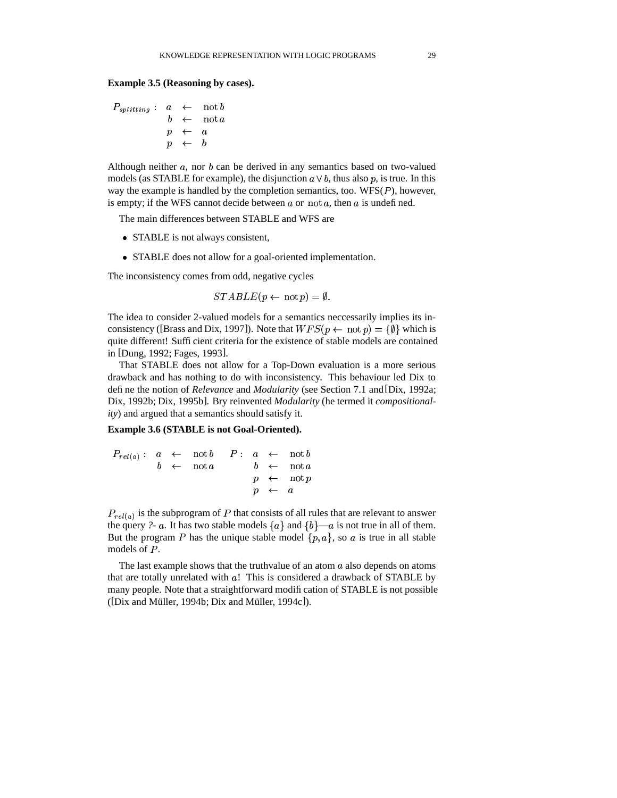### **Example 3.5 (Reasoning by cases).**

$$
P_{splitting}: a \leftarrow \text{not } b
$$
  
\n
$$
b \leftarrow \text{not } a
$$
  
\n
$$
p \leftarrow a
$$
  
\n
$$
p \leftarrow b
$$

Although neither  $a$ , nor  $b$  can be derived in any semantics based on two-valued models (as STABLE for example), the disjunction  $a \vee b$ , thus also p, is true. In this way the example is handled by the completion semantics, too.  $WFS(P)$ , however, is empty; if the WFS cannot decide between  $a$  or not  $a$ , then  $a$  is undefined.

The main differences between STABLE and WFS are

- STABLE is not always consistent,
- STABLE does not allow for a goal-oriented implementation.

The inconsistency comes from odd, negative cycles

$$
STABLE(p \leftarrow \text{not } p) = \emptyset.
$$

The idea to consider 2-valued models for a semantics neccessarily implies its inconsistency ([Brass and Dix, 1997]). Note that  $WFS(p \leftarrow \text{not } p) = \{\emptyset\}$  which is quite different! Sufficient criteria for the existence of stable models are contained in [Dung, 1992; Fages, 1993].

That STABLE does not allow for a Top-Down evaluation is a more serious drawback and has nothing to do with inconsistency. This behaviour led Dix to define the notion of *Relevance* and *Modularity* (see Section 7.1 and[Dix, 1992a; Dix, 1992b; Dix, 1995b]. Bry reinvented *Modularity* (he termed it *compositionality*) and argued that a semantics should satisfy it.

# **Example 3.6 (STABLE is not Goal-Oriented).**

 $P_{rel(a)}: a \leftarrow \text{not } b \quad P: a$  $a \leftarrow \text{not } b \quad P: a \leftarrow \text{not } b$ <br>  $b \leftarrow \text{not } a \quad b \leftarrow \text{not } a$  $b \leftarrow \text{not } a$  $p \leftarrow \text{not } p$  $p \leftarrow a$ 

 $P_{rel(a)}$  is the subprogram of P that consists of all rules that are relevant to answer the query *?*- *a*. It has two stable models  $\{a\}$  and  $\{b\}$ —*a* is not true in all of them. But the program P has the unique stable model  $\{p, a\}$ , so a is true in all stable models of  $P$ .

The last example shows that the truthvalue of an atom  $a$  also depends on atoms that are totally unrelated with  $a!$  This is considered a drawback of STABLE by many people. Note that a straightforward modification of STABLE is not possible  $([Div and Müller, 1994b; Div and Müller, 1994c]).$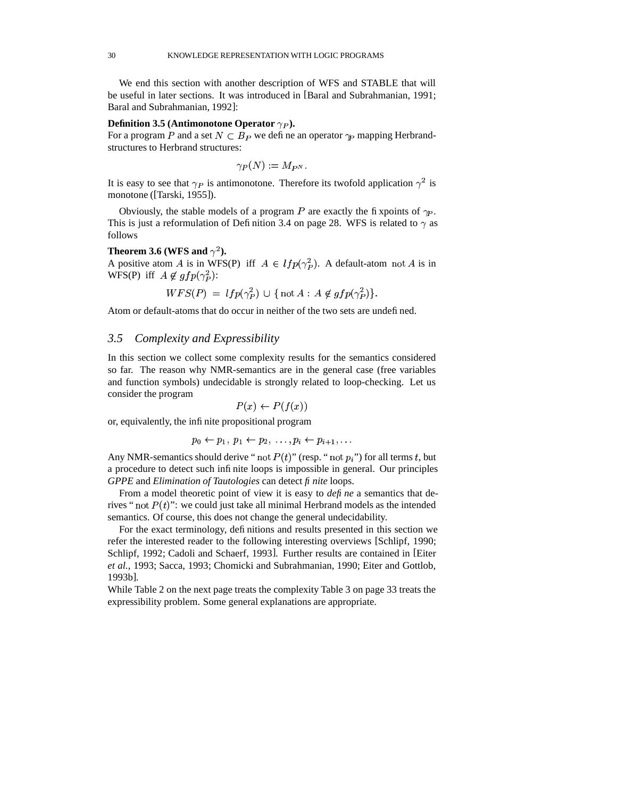We end this section with another description of WFS and STABLE that will be useful in later sections. It was introduced in [Baral and Subrahmanian, 1991; Baral and Subrahmanian, 1992]:

#### Definition 3.5 (Antimonotone Operator  $\gamma_P$ ).

For a program P and a set  $N \subset B_P$  we define an operator  $\gamma_P$  mapping Herbrandstructures to Herbrand structures:

$$
\gamma_P(N):=M_{P^N}.
$$

It is easy to see that  $\gamma_P$  is antimonotone. Therefore its twofold application  $\gamma^2$  is monotone ([Tarski, 1955]).

Obviously, the stable models of a program P are exactly the fixpoints of  $\gamma_P$ . This is just a reformulation of Definition 3.4 on page 28. WFS is related to  $\gamma$  as follows

# **Theorem 3.6** (WFS and  $\gamma^2$ ).

A positive atom A is in WFS(P) iff  $A \in lfp(\gamma_P^2)$ . A defau  $\sim$   $\sim$   $\sim$   $\sim$   $\sim$   $\sim$ # ). A default-atom not  $A$  is in WFS(P) iff  $A \notin gfp(\gamma_P^2)$ :  $\sim$   $\sim$   $\sim$   $\sim$   $\sim$ #  $):$ 

$$
WFS(P) = lfp(\gamma_P^2) \cup \{ \text{not } A : A \notin gfp(\gamma_P^2) \}.
$$

Atom or default-atoms that do occur in neither of the two sets are undefined.

# *3.5 Complexity and Expressibility*

In this section we collect some complexity results for the semantics considered so far. The reason why NMR-semantics are in the general case (free variables and function symbols) undecidable is strongly related to loop-checking. Let us consider the program

$$
P(x) \leftarrow P(f(x))
$$

or, equivalently, the infinite propositional program

$$
p_0 \leftarrow p_1, p_1 \leftarrow p_2, \ldots, p_i \leftarrow p_{i+1}, \ldots
$$

Any NMR-semantics should derive " not  $P(t)$ " (resp. " not  $p_i$ ") for all terms t, but a procedure to detect such infinite loops is impossible in general. Our principles *GPPE* and *Elimination of Tautologies* can detect *finite* loops.

From a model theoretic point of view it is easy to *define* a semantics that derives " not  $P(t)$ ": we could just take all minimal Herbrand models as the intended semantics. Of course, this does not change the general undecidability.

For the exact terminology, definitions and results presented in this section we refer the interested reader to the following interesting overviews [Schlipf, 1990; Schlipf, 1992; Cadoli and Schaerf, 1993]. Further results are contained in [Eiter *et al.*, 1993; Sacca, 1993; Chomicki and Subrahmanian, 1990; Eiter and Gottlob, 1993b].

While Table 2 on the next page treats the complexity Table 3 on page 33 treats the expressibility problem. Some general explanations are appropriate.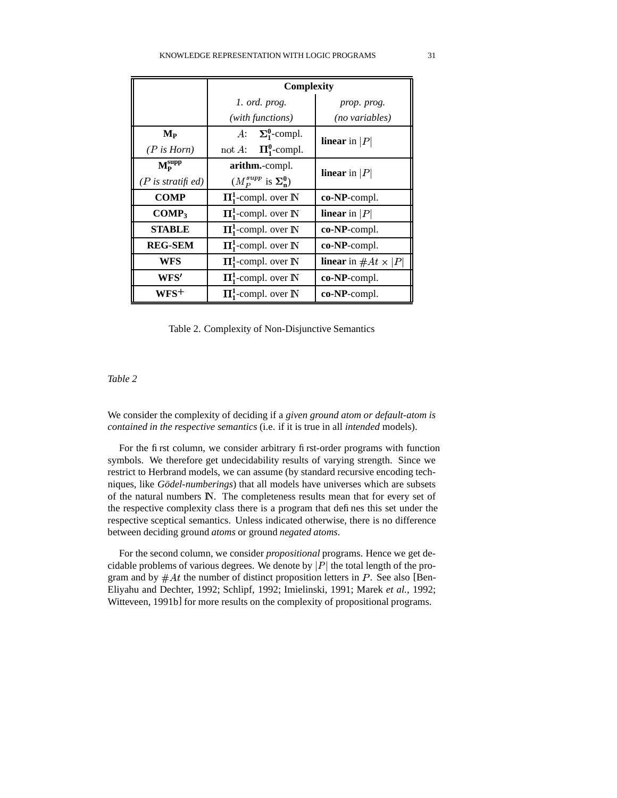|                              | Complexity                     |                                   |  |
|------------------------------|--------------------------------|-----------------------------------|--|
|                              | 1. ord. prog.                  | prop. prog.                       |  |
|                              | (with functions)               | (no variables)                    |  |
| $\mathbf{M}_{\mathbf{P}}$    | $A: \quad \Sigma_1^0$ -compl.  | <b>linear</b> in $ P $            |  |
| $(P \text{ is } Horn)$       | $\Pi_1^0$ -compl.<br>$not A$ : |                                   |  |
| $M_{\rm P}^{\rm supp}$       | arithm.-compl.                 | <b>linear</b> in $ P $            |  |
| $(P \text{ is stratif } ed)$ | $(M_P^{supp}$ is $\Sigma_n^0)$ |                                   |  |
| <b>COMP</b>                  | $\Pi_1^1$ -compl. over N       | co-NP-compl.                      |  |
| COMP <sub>3</sub>            | $\Pi_1^1$ -compl. over N       | <b>linear</b> in $ P $            |  |
| <b>STABLE</b>                | $\Pi_1^1$ -compl. over N       | $co-NP$ -compl.                   |  |
| <b>REG-SEM</b>               | $\Pi_1^1$ -compl. over N       | $co-NP$ -compl.                   |  |
| WFS                          | $\Pi_1^1$ -compl. over N       | <b>linear</b> in $#At \times  P $ |  |
| WFS'                         | $\Pi_1^1$ -compl. over N       | $co-NP$ -compl.                   |  |
| $WFS^+$                      | $\Pi_1^1$ -compl. over N       | co-NP-compl.                      |  |

Table 2. Complexity of Non-Disjunctive Semantics

# *Table 2*

We consider the complexity of deciding if a *given ground atom or default-atom is contained in the respective semantics* (i.e. if it is true in all *intended* models).

For the first column, we consider arbitrary first-order programs with function symbols. We therefore get undecidability results of varying strength. Since we restrict to Herbrand models, we can assume (by standard recursive encoding techniques, like *Gödel-numberings*) that all models have universes which are subsets of the natural numbers IN. The completeness results mean that for every set of the respective complexity class there is a program that defines this set under the respective sceptical semantics. Unless indicated otherwise, there is no difference between deciding ground *atoms* or ground *negated atoms*.

For the second column, we consider *propositional* programs. Hence we get decidable problems of various degrees. We denote by  $|P|$  the total length of the program and by  $#At$  the number of distinct proposition letters in  $P$ . See also [Ben-Eliyahu and Dechter, 1992; Schlipf, 1992; Imielinski, 1991; Marek *et al.*, 1992; Witteveen, 1991b] for more results on the complexity of propositional programs.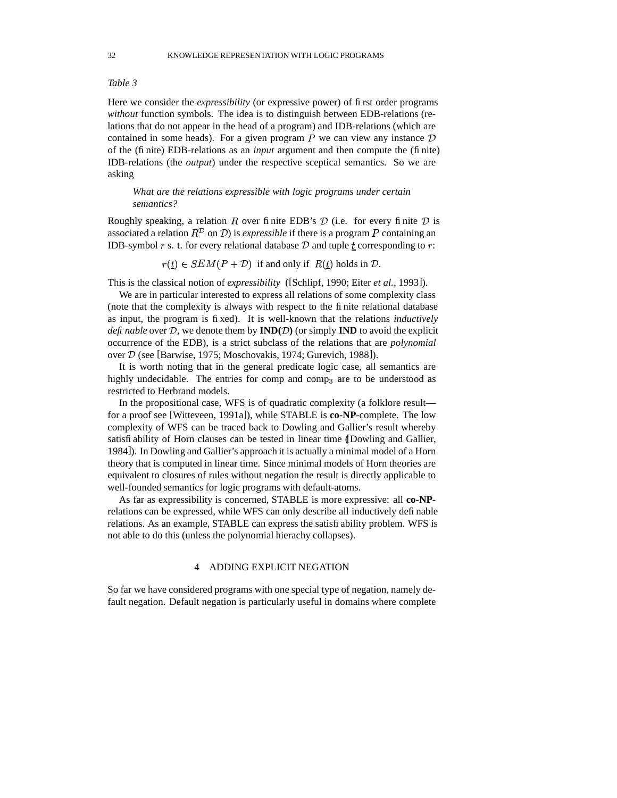#### *Table 3*

Here we consider the *expressibility* (or expressive power) of first order programs *without* function symbols. The idea is to distinguish between EDB-relations (relations that do not appear in the head of a program) and IDB-relations (which are contained in some heads). For a given program  $P$  we can view any instance  $D$ of the (finite) EDB-relations as an *input* argument and then compute the (finite) IDB-relations (the *output*) under the respective sceptical semantics. So we are asking

# *What are the relations expressible with logic programs under certain semantics?*

Roughly speaking, a relation R over finite EDB's  $D$  (i.e. for every finite  $D$  is associated a relation  $R^{\mathcal{D}}$  on  $\mathcal{D}$ ) is *expressible* if there is a program P containing an IDB-symbol  $r$  s. t. for every relational database  $D$  and tuple  $t$  corresponding to  $r$ :

 $r(\underline{t}) \in SEM(P + \mathcal{D})$  if and only if  $R(\underline{t})$  holds in  $\mathcal{D}$ .

This is the classical notion of *expressibility* ([Schlipf, 1990; Eiter *et al.*, 1993]).

We are in particular interested to express all relations of some complexity class (note that the complexity is always with respect to the finite relational database as input, the program is fixed). It is well-known that the relations *inductively definable* over  $D$ , we denote them by  $\text{IND}(D)$  (or simply **IND** to avoid the explicit occurrence of the EDB), is a strict subclass of the relations that are *polynomial* over  $D$  (see [Barwise, 1975; Moschovakis, 1974; Gurevich, 1988]).

It is worth noting that in the general predicate logic case, all semantics are highly undecidable. The entries for comp and  $comp<sub>3</sub>$  are to be understood as restricted to Herbrand models.

In the propositional case, WFS is of quadratic complexity (a folklore result for a proof see [Witteveen, 1991a]), while STABLE is **co-NP**-complete. The low complexity of WFS can be traced back to Dowling and Gallier's result whereby satisfiability of Horn clauses can be tested in linear time ([Dowling and Gallier, 1984]). In Dowling and Gallier's approach it is actually a minimal model of a Horn theory that is computed in linear time. Since minimal models of Horn theories are equivalent to closures of rules without negation the result is directly applicable to well-founded semantics for logic programs with default-atoms.

As far as expressibility is concerned, STABLE is more expressive: all **co-NP**relations can be expressed, while WFS can only describe all inductively definable relations. As an example, STABLE can express the satisfiability problem. WFS is not able to do this (unless the polynomial hierachy collapses).

# 4 ADDING EXPLICIT NEGATION

So far we have considered programs with one special type of negation, namely default negation. Default negation is particularly useful in domains where complete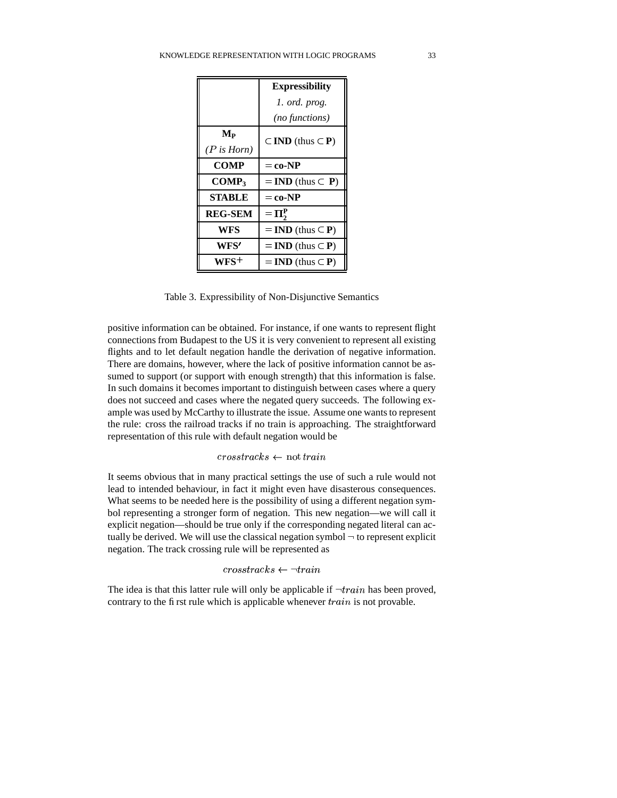|                           | <b>Expressibility</b>                     |  |
|---------------------------|-------------------------------------------|--|
|                           | 1. ord. prog.                             |  |
|                           | ( <i>no</i> functions)                    |  |
| $\mathbf{M}_{\mathbf{P}}$ | $\subset$ IND (thus $\subset$ P)          |  |
| $(P \text{ is Horn})$     |                                           |  |
| <b>COMP</b>               | $=$ co-NP                                 |  |
| COMP <sub>3</sub>         | $=$ IND (thus $\subset$ P)                |  |
| <b>STABLE</b>             | $=$ co-NP                                 |  |
| <b>REG-SEM</b>            | $=\Pi^{\mathrm{P}}_{2}$                   |  |
| WFS                       | $=$ IND (thus $\subset$ P)                |  |
| WFS'                      | $=$ IND (thus $\subset$ P)                |  |
| WFS+                      | $=$ <b>IND</b> (thus $\subset$ <b>P</b> ) |  |

Table 3. Expressibility of Non-Disjunctive Semantics

positive information can be obtained. For instance, if one wants to represent flight connections from Budapest to the US it is very convenient to represent all existing flights and to let default negation handle the derivation of negative information. There are domains, however, where the lack of positive information cannot be assumed to support (or support with enough strength) that this information is false. In such domains it becomes important to distinguish between cases where a query does not succeed and cases where the negated query succeeds. The following example was used by McCarthy to illustrate the issue. Assume one wants to represent the rule: cross the railroad tracks if no train is approaching. The straightforward representation of this rule with default negation would be

#### $\mathit{crosstracks} \leftarrow \text{not } train$

It seems obvious that in many practical settings the use of such a rule would not lead to intended behaviour, in fact it might even have disasterous consequences. What seems to be needed here is the possibility of using a different negation symbol representing a stronger form of negation. This new negation—we will call it explicit negation—should be true only if the corresponding negated literal can actually be derived. We will use the classical negation symbol  $\neg$  to represent explicit negation. The track crossing rule will be represented as

#### $\it crosstracks \leftarrow \neg train$

The idea is that this latter rule will only be applicable if  $\neg train$  has been proved, contrary to the first rule which is applicable whenever  $train$  is not provable.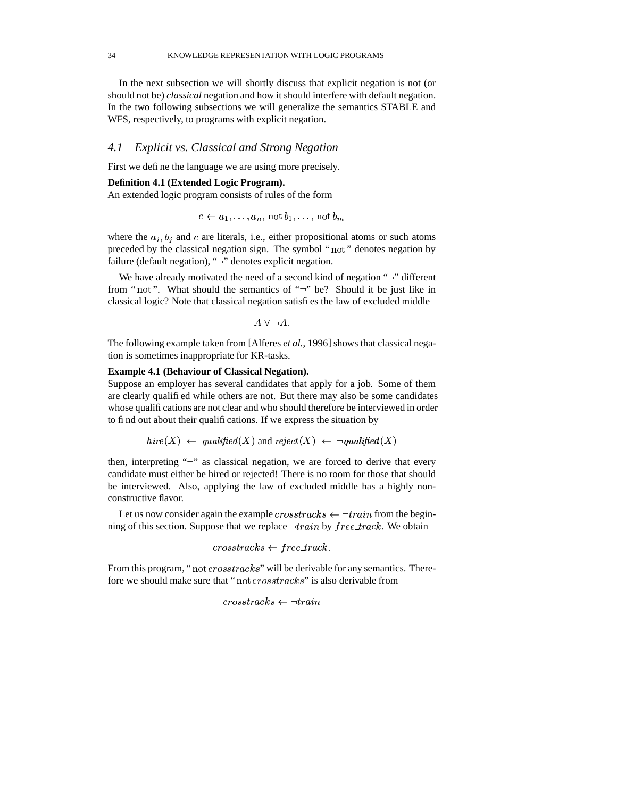In the next subsection we will shortly discuss that explicit negation is not (or should not be) *classical* negation and how it should interfere with default negation. In the two following subsections we will generalize the semantics STABLE and WFS, respectively, to programs with explicit negation.

# *4.1 Explicit vs. Classical and Strong Negation*

First we define the language we are using more precisely.

#### **Definition 4.1 (Extended Logic Program).**

An extended logic program consists of rules of the form

$$
c \leftarrow a_1, \ldots, a_n
$$
, not  $b_1, \ldots$ , not  $b_m$ 

where the  $a_i, b_j$  and c are literals, i.e., either propositional atoms or such atoms preceded by the classical negation sign. The symbol "not" denotes negation by failure (default negation), " $\neg$ " denotes explicit negation.

We have already motivated the need of a second kind of negation " $\neg$ " different from "not". What should the semantics of "¬" be? Should it be just like in classical logic? Note that classical negation satisfies the law of excluded middle

 $A \vee \neg A$ .

The following example taken from [Alferes *et al.*, 1996] shows that classical negation is sometimes inappropriate for KR-tasks.

# **Example 4.1 (Behaviour of Classical Negation).**

Suppose an employer has several candidates that apply for a job. Some of them are clearly qualified while others are not. But there may also be some candidates whose qualifications are not clear and who should therefore be interviewed in order to find out about their qualifications. If we express the situation by

$$
hire(X) \leftarrow \text{ qualified}(X) \text{ and } reject(X) \leftarrow \neg \text{ qualified}(X)
$$

then, interpreting " $\neg$ " as classical negation, we are forced to derive that every candidate must either be hired or rejected! There is no room for those that should be interviewed. Also, applying the law of excluded middle has a highly nonconstructive flavor.

Let us now consider again the example  $\text{crosstracks} \leftarrow \neg \text{train}$  from the beginning of this section. Suppose that we replace  $\neg train$  by  $free\text{ }track$ . We obtain

$$
crosstracks \leftarrow free\_track.
$$

From this program, "not crosstracks" will be derivable for any semantics. Therefore we should make sure that "not  $\emph{crosstracks}$ " is also derivable from

$$
crosstracks \gets \neg train
$$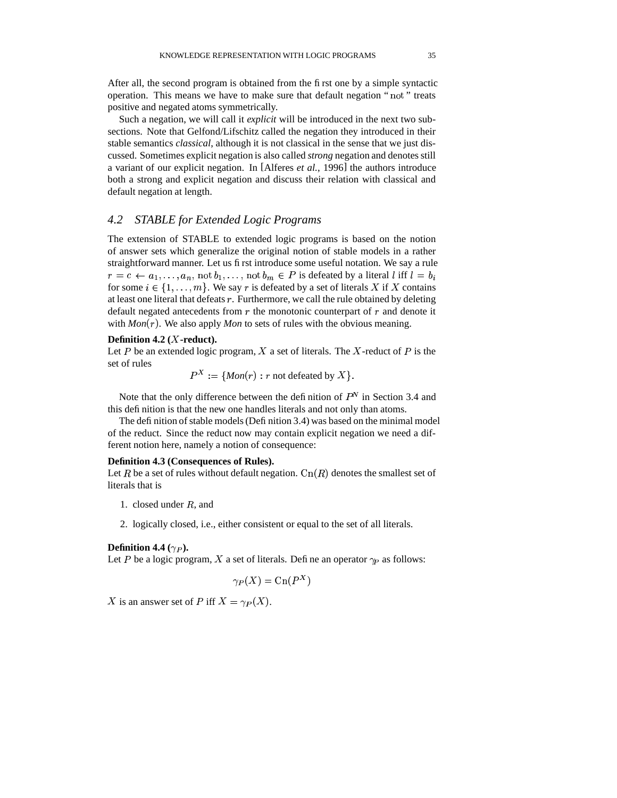After all, the second program is obtained from the first one by a simple syntactic operation. This means we have to make sure that default negation "not" treats positive and negated atoms symmetrically.

Such a negation, we will call it *explicit* will be introduced in the next two subsections. Note that Gelfond/Lifschitz called the negation they introduced in their stable semantics *classical*, although it is not classical in the sense that we just discussed. Sometimes explicit negation is also called *strong* negation and denotes still a variant of our explicit negation. In [Alferes *et al.*, 1996] the authors introduce both a strong and explicit negation and discuss their relation with classical and default negation at length.

# *4.2 STABLE for Extended Logic Programs*

The extension of STABLE to extended logic programs is based on the notion of answer sets which generalize the original notion of stable models in a rather straightforward manner. Let us first introduce some useful notation. We say a rule  $i = c \leftarrow a_1, \ldots, a_n$ , not  $b_1, \ldots,$  not  $b_m \in P$  is defeated by a literal l iff  $l = b_i$ for some  $i \in \{1, \ldots, m\}$ . We say r is defeated by a set of literals X if X contains at least one literal that defeats  $r$ . Furthermore, we call the rule obtained by deleting default negated antecedents from  $r$  the monotonic counterpart of  $r$  and denote it with  $Mon(r)$ . We also apply  $Mon$  to sets of rules with the obvious meaning.

#### **Definition 4.2**  $(X$ -reduct).

Let P be an extended logic program, X a set of literals. The X-reduct of P is the set of rules

$$
P^X := \{ Mon(r) : r \text{ not defeated by } X \}.
$$

Note that the only difference between the definition of  $P<sup>N</sup>$  in Section 3.4 and this definition is that the new one handles literals and not only than atoms.

The definition of stable models (Definition 3.4) was based on the minimal model of the reduct. Since the reduct now may contain explicit negation we need a different notion here, namely a notion of consequence:

#### **Definition 4.3 (Consequences of Rules).**

Let  $R$  be a set of rules without default negation.  $\operatorname{Cn}(R)$  denotes the smallest set of literals that is

- 1. closed under  $R$ , and
- 2. logically closed, i.e., either consistent or equal to the set of all literals.

### **Definition 4.4**  $(\gamma_P)$ .

Let P be a logic program, X a set of literals. Define an operator  $\gamma_P$  as follows:

$$
\gamma_P(X) = \operatorname{Cn}(P^X)
$$

X is an answer set of P iff  $X = \gamma_P(X)$ .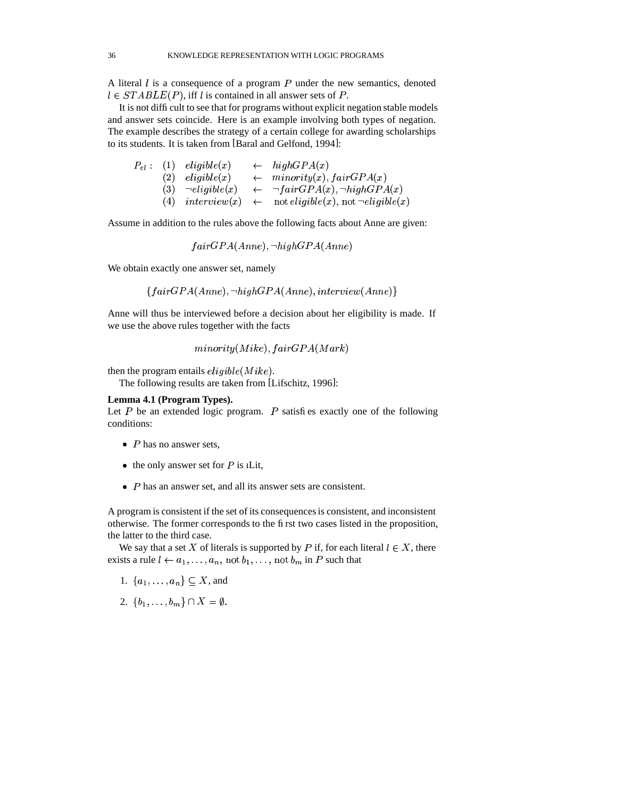A literal  $l$  is a consequence of a program  $P$  under the new semantics, denoted  $l \in STABLE(P)$ , iff l is contained in all answer sets of P.

It is not difficult to see that for programs without explicit negation stable models and answer sets coincide. Here is an example involving both types of negation. The example describes the strategy of a certain college for awarding scholarships to its students. It is taken from [Baral and Gelfond, 1994]:

|     | $P_{el}: (1)$ eligible(x) | $\leftarrow$ highGPA(x)                                                |
|-----|---------------------------|------------------------------------------------------------------------|
|     | $(2)$ $eligible(x)$       | $\leftarrow \text{minority}(x), \text{fairGPA}(x)$                     |
|     |                           | (3) $\neg eligible(x)$ $\leftarrow$ $\neg fairGPA(x), \neg highGPA(x)$ |
| (4) |                           | $interview(x) \leftarrow \tnot{etigible(x), not \neg eligible(x)}$     |

Assume in addition to the rules above the following facts about Anne are given:

 $fair GPA(Anne), \neg high GPA(Anne)$ 

We obtain exactly one answer set, namely

 $\{fairGPA(Anne), \neg highGPA(Anne), interview(Anne) \}$ 

Anne will thus be interviewed before a decision about her eligibility is made. If we use the above rules together with the facts

$$
minority(Mike),\,fairGPA(Mark)
$$

then the program entails  ${eligible(Mike)}$ .

The following results are taken from [Lifschitz, 1996]:

# **Lemma 4.1 (Program Types).**

Let  $P$  be an extended logic program.  $P$  satisfies exactly one of the following conditions:

- $P$  has no answer sets,
- the only answer set for  $P$  is iLit,
- $\bullet$  P has an answer set, and all its answer sets are consistent.

A program is consistent if the set of its consequencesis consistent, and inconsistent otherwise. The former corresponds to the first two cases listed in the proposition, the latter to the third case.

We say that a set X of literals is supported by P if, for each literal  $l \in X$ , there exists a rule  $l \leftarrow a_1, \ldots, a_n$ , not  $b_1, \ldots$ , not  $b_m$  in P such that

- 1.  $\{a_1, \ldots, a_n\} \subseteq X$ , and
- 2.  $\{b_1,\ldots,b_m\}\cap X=\emptyset$ .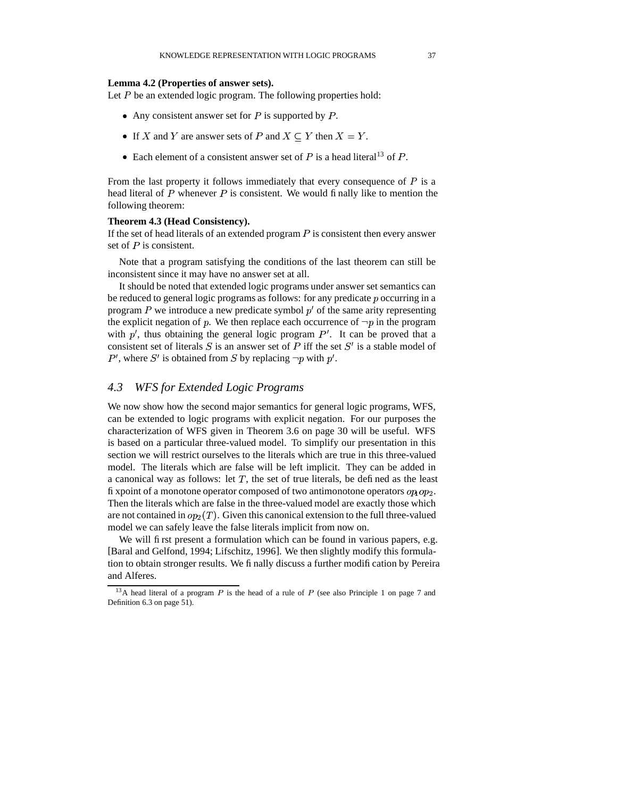### **Lemma 4.2 (Properties of answer sets).**

Let  $P$  be an extended logic program. The following properties hold:

- Any consistent answer set for  $P$  is supported by  $P$ .
- If X and Y are answer sets of P and  $X \subseteq Y$  then  $X = Y$ .
- Each element of a consistent answer set of P is a head literal<sup>13</sup> of P.

From the last property it follows immediately that every consequence of  $P$  is a head literal of  $P$  whenever  $P$  is consistent. We would finally like to mention the following theorem:

### **Theorem 4.3 (Head Consistency).**

If the set of head literals of an extended program  $P$  is consistent then every answer set of  $P$  is consistent.

Note that a program satisfying the conditions of the last theorem can still be inconsistent since it may have no answer set at all.

It should be noted that extended logic programs under answer set semantics can be reduced to general logic programs as follows: for any predicate  $p$  occurring in a program  $P$  we introduce a new predicate symbol  $p'$  of the same arity representing the explicit negation of p. We then replace each occurrence of  $\neg p$  in the program with  $p'$ , thus obtaining the general logic program  $P'$ . It can be proved that a consistent set of literals  $S$  is an answer set of  $P$  iff the set  $S'$  is a stable model of  $P'$ , where S' is obtained from S by replacing  $\neg p$  with  $p'$ .

# *4.3 WFS for Extended Logic Programs*

We now show how the second major semantics for general logic programs, WFS, can be extended to logic programs with explicit negation. For our purposes the characterization of WFS given in Theorem 3.6 on page 30 will be useful. WFS is based on a particular three-valued model. To simplify our presentation in this section we will restrict ourselves to the literals which are true in this three-valued model. The literals which are false will be left implicit. They can be added in a canonical way as follows: let  $T$ , the set of true literals, be defined as the least fi xpoint of a monotone operator composed of two antimonotone operators  $op_1op_2$ . Then the literals which are false in the three-valued model are exactly those which are not contained in  $op_2(T)$ . Given this canonical extension to the full three-valued model we can safely leave the false literals implicit from now on.

We will first present a formulation which can be found in various papers, e.g. [Baral and Gelfond, 1994; Lifschitz, 1996]. We then slightly modify this formulation to obtain stronger results. We finally discuss a further modification by Pereira and Alferes.

<sup>&</sup>lt;sup>13</sup>A head literal of a program  $P$  is the head of a rule of  $P$  (see also Principle 1 on page 7 and Definition 6.3 on page 51).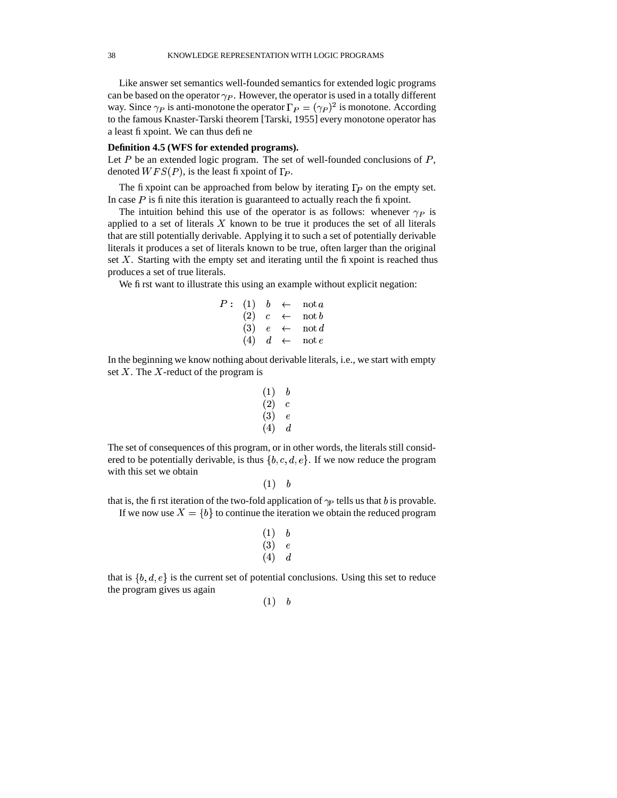Like answer set semantics well-founded semantics for extended logic programs can be based on the operator  $\gamma_P$ . However, the operator is used in a totally different way. Since  $\gamma_P$  is anti-monotone the operator  $\Gamma_P = (\gamma_P)^2$  is monoto  $)^2$  is monotone. According to the famous Knaster-Tarski theorem [Tarski, 1955] every monotone operator has a least fixpoint. We can thus define

#### **Definition 4.5 (WFS for extended programs).**

Let  $P$  be an extended logic program. The set of well-founded conclusions of  $P$ , denoted  $WFS(P)$ , is the least fi xpoint of  $\Gamma_P$ .

The fixpoint can be approached from below by iterating  $\Gamma_P$  on the empty set. In case  $P$  is finite this iteration is guaranteed to actually reach the fixpoint.

The intuition behind this use of the operator is as follows: whenever  $\gamma_P$  is applied to a set of literals  $X$  known to be true it produces the set of all literals that are still potentially derivable. Applying it to such a set of potentially derivable literals it produces a set of literals known to be true, often larger than the original set  $X$ . Starting with the empty set and iterating until the fix point is reached thus produces a set of true literals.

We first want to illustrate this using an example without explicit negation:

$$
P: (1) \quad b \quad \leftarrow \quad \text{not } a
$$
  
\n
$$
(2) \quad c \quad \leftarrow \quad \text{not } b
$$
  
\n
$$
(3) \quad e \quad \leftarrow \quad \text{not } d
$$
  
\n
$$
(4) \quad d \quad \leftarrow \quad \text{not } e
$$

In the beginning we know nothing about derivable literals, i.e., we start with empty set  $X$ . The  $X$ -reduct of the program is

| (1) | b |  |
|-----|---|--|
| (2) | Ċ |  |
| (3) | e |  |
| (4) | d |  |

The set of consequences of this program, or in other words, the literals still considered to be potentially derivable, is thus  $\{b, c, d, e\}$ . If we now reduce the program with this set we obtain

. . . .

that is, the first iteration of the two-fold application of  $\gamma_P$  tells us that *b* is provable. If we now use  $X = \{b\}$  to continue the iteration we obtain the reduced program

> $(1)$  b  $(3)$  e  $(4)$  d

that is  $\{b, d, e\}$  is the current set of potential conclusions. Using this set to reduce the program gives us again

$$
(1) \quad b
$$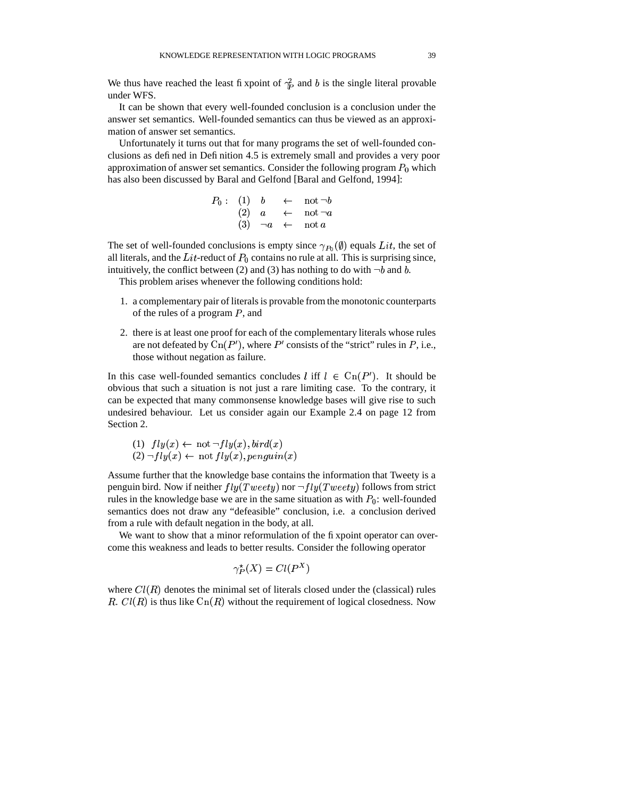We thus have reached the least fix point of  $\gamma_p^2$  and b is the single literal provable under WFS.

It can be shown that every well-founded conclusion is a conclusion under the answer set semantics. Well-founded semantics can thus be viewed as an approximation of answer set semantics.

Unfortunately it turns out that for many programs the set of well-founded conclusions as defined in Definition 4.5 is extremely small and provides a very poor approximation of answer set semantics. Consider the following program  $P_0$  which has also been discussed by Baral and Gelfond [Baral and Gelfond, 1994]:

$$
P_0: (1) \quad b \quad \leftarrow \quad \text{not} \neg b
$$
  
(2)  $a \quad \leftarrow \quad \text{not} \neg a$   
(3)  $\neg a \quad \leftarrow \quad \text{not} \, a$ 

The set of well-founded conclusions is empty since  $\gamma_{P_0}(\emptyset)$  equals Lit, the set of all literals, and the Lit-reduct of  $P_0$  contains no rule at all. This is surprising since, intuitively, the conflict between (2) and (3) has nothing to do with  $\neg b$  and b.

This problem arises whenever the following conditions hold:

- 1. a complementary pair of literals is provable from the monotonic counterparts of the rules of a program  $P$ , and
- 2. there is at least one proof for each of the complementary literals whose rules are not defeated by  $\text{Cn}(P'),$  where  $P'$  consists of the "strict" rules in P, i.e., those without negation as failure.

In this case well-founded semantics concludes l iff  $l \in \text{Cn}(P')$ . It should be obvious that such a situation is not just a rare limiting case. To the contrary, it can be expected that many commonsense knowledge bases will give rise to such undesired behaviour. Let us consider again our Example 2.4 on page 12 from Section 2.

(1) 
$$
fly(x) \leftarrow not \neg fly(x), bird(x)
$$
  
(2)  $\neg fly(x) \leftarrow not fly(x), penguin(x)$ 

Assume further that the knowledge base contains the information that Tweety is a penguin bird. Now if neither  $fly(Tweety)$  nor  $\neg fly(Tweety)$  follows from strict rules in the knowledge base we are in the same situation as with  $P_0$ : well-founded semantics does not draw any "defeasible" conclusion, i.e. a conclusion derived from a rule with default negation in the body, at all.

We want to show that a minor reformulation of the fixpoint operator can overcome this weakness and leads to better results. Consider the following operator

$$
\gamma_P^\star(X) = Cl(P^X)
$$

where  $Cl(R)$  denotes the minimal set of literals closed under the (classical) rules R.  $Cl(R)$  is thus like  $\text{Cn}(R)$  without the requirement of logical closedness. Now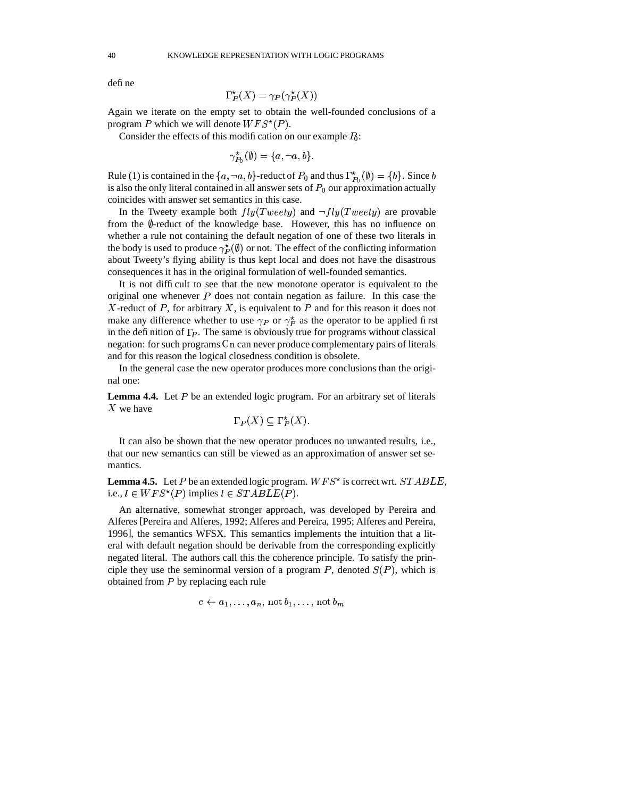define

$$
\Gamma^{\star}_{P}(X) = \gamma_{P}(\gamma^{\star}_{P}(X))
$$

Again we iterate on the empty set to obtain the well-founded conclusions of a program P which we will denote  $WFS^*(P)$ .

Consider the effects of this modification on our example  $R_1$ :

$$
\gamma_{P_0}^{\star}(\emptyset) = \{a, \neg a, b\}.
$$

Rule (1) is contained in the  $\{a, \neg a, b\}$ -reduct of  $P_0$  and thus  $\Gamma_{P_0}^{\star}(\emptyset) = \{b\}$ is also the only literal contained in all answer sets of  $P_0$  our approximation actually #  $(\emptyset) = \{b\}$ . Since b coincides with answer set semantics in this case.

In the Tweety example both  $fly(Twecty)$  and  $\neg fly(Twecty)$  are provable from the  $\emptyset$ -reduct of the knowledge base. However, this has no influence on whether a rule not containing the default negation of one of these two literals in the body is used to produce  $\gamma_P^{\star}(\emptyset)$  or not. #  $(\emptyset)$  or not. The effect of the conflicting information about Tweety's flying ability is thus kept local and does not have the disastrous consequences it has in the original formulation of well-founded semantics.

It is not difficult to see that the new monotone operator is equivalent to the original one whenever  $P$  does not contain negation as failure. In this case the X-reduct of  $P$ , for arbitrary  $X$ , is equivalent to  $P$  and for this reason it does not make any difference whether to use  $\gamma_P$  or  $\gamma_P^*$  as the operator to be applied first in the definition of  $\Gamma_P$ . The same is obviously true for programs without classical negation: for such programs Cn can never produce complementary pairs of literals and for this reason the logical closedness condition is obsolete.

In the general case the new operator produces more conclusions than the original one:

**Lemma 4.4.** Let  $P$  be an extended logic program. For an arbitrary set of literals  $X$  we have

$$
\Gamma_P(X) \subseteq \Gamma_P^*(X).
$$

It can also be shown that the new operator produces no unwanted results, i.e., that our new semantics can still be viewed as an approximation of answer set semantics.

**Lemma 4.5.** Let P be an extended logic program.  $WFS^*$  is correct wrt.  $STABLE$ , i.e.,  $l \in WFS^*(P)$  implies  $l \in STABLE(P)$ .

An alternative, somewhat stronger approach, was developed by Pereira and Alferes [Pereira and Alferes, 1992; Alferes and Pereira, 1995; Alferes and Pereira, 1996], the semantics WFSX. This semantics implements the intuition that a literal with default negation should be derivable from the corresponding explicitly negated literal. The authors call this the coherence principle. To satisfy the principle they use the seminormal version of a program  $P$ , denoted  $S(P)$ , which is obtained from  $P$  by replacing each rule

$$
c \leftarrow a_1, \ldots, a_n
$$
, not  $b_1, \ldots$ , not  $b_m$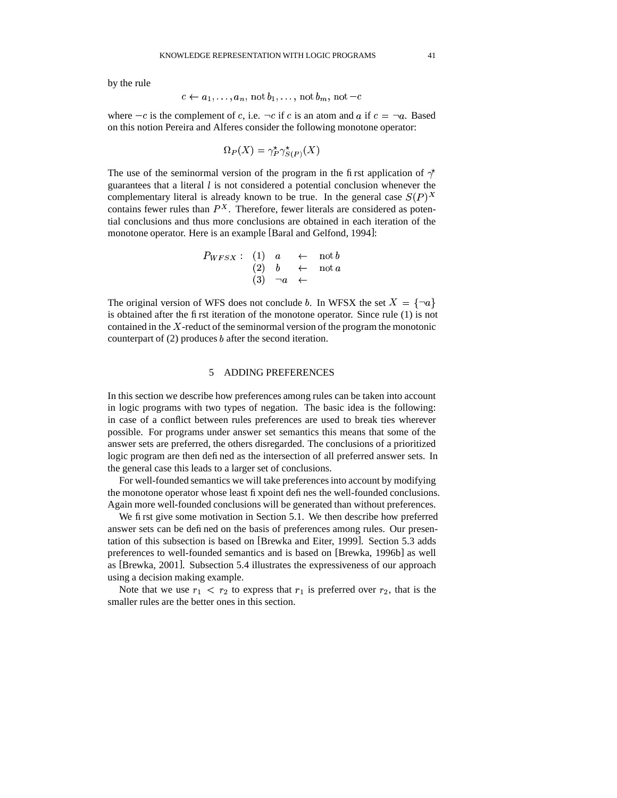by the rule

$$
c \leftarrow a_1, \ldots, a_n
$$
, not  $b_1, \ldots$ , not  $b_m$ , not  $-c$ 

where  $-c$  is the complement of c, i.e.  $\neg c$  if c is an atom and a if  $c = \neg a$ . Based on this notion Pereira and Alferes consider the following monotone operator:

$$
\Omega_P(X) = \gamma_P^* \gamma_{S(P)}^*(X)
$$

The use of the seminormal version of the program in the first application of  $\gamma^*$ guarantees that a literal  $l$  is not considered a potential conclusion whenever the complementary literal is already known to be true. In the general case  $S(P)^X$ contains fewer rules than  $P^X$ . Therefore, fewer literals are considered as potential conclusions and thus more conclusions are obtained in each iteration of the monotone operator. Here is an example [Baral and Gelfond, 1994]:

$$
P_{WFSX}: (1) \quad a \quad \leftarrow \quad \text{not } b
$$
  
(2) \quad b \quad \leftarrow \quad \text{not } a  
(3) \quad \neg a \quad \leftarrow

The original version of WFS does not conclude b. In WFSX the set  $X = \{\neg a\}$ is obtained after the first iteration of the monotone operator. Since rule (1) is not contained in the  $X$ -reduct of the seminormal version of the program the monotonic counterpart of  $(2)$  produces *b* after the second iteration.

### 5 ADDING PREFERENCES

In this section we describe how preferences among rules can be taken into account in logic programs with two types of negation. The basic idea is the following: in case of a conflict between rules preferences are used to break ties wherever possible. For programs under answer set semantics this means that some of the answer sets are preferred, the others disregarded. The conclusions of a prioritized logic program are then defined as the intersection of all preferred answer sets. In the general case this leads to a larger set of conclusions.

For well-founded semantics we will take preferencesinto account by modifying the monotone operator whose least fixpoint defines the well-founded conclusions. Again more well-founded conclusions will be generated than without preferences.

We first give some motivation in Section 5.1. We then describe how preferred answer sets can be defined on the basis of preferences among rules. Our presentation of this subsection is based on [Brewka and Eiter, 1999]. Section 5.3 adds preferences to well-founded semantics and is based on [Brewka, 1996b] as well as [Brewka, 2001]. Subsection 5.4 illustrates the expressiveness of our approach using a decision making example.

Note that we use  $r_1 < r_2$  to express that  $r_1$  is preferred over  $r_2$ , that is the smaller rules are the better ones in this section.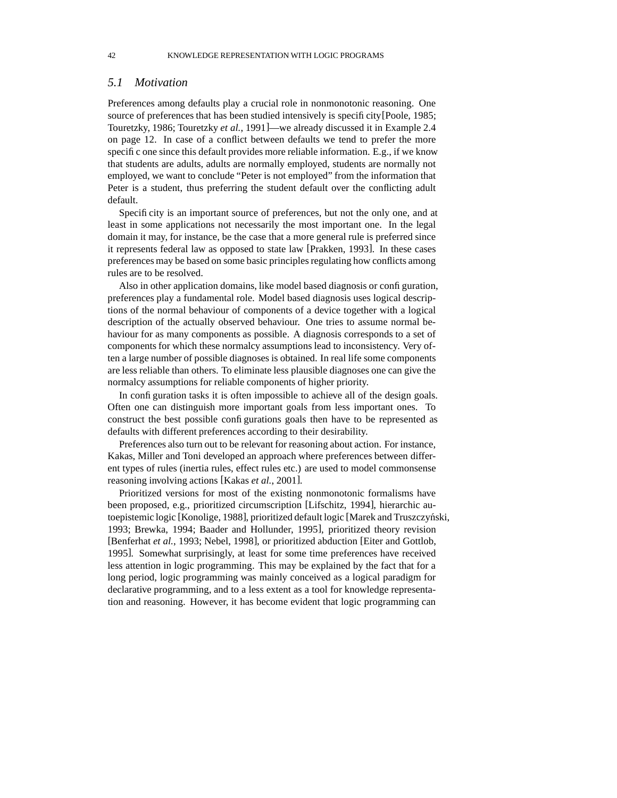# *5.1 Motivation*

Preferences among defaults play a crucial role in nonmonotonic reasoning. One source of preferences that has been studied intensively is specificity[Poole, 1985; Touretzky, 1986; Touretzky *et al.*, 1991]—we already discussed it in Example 2.4 on page 12. In case of a conflict between defaults we tend to prefer the more specific one since this default provides more reliable information. E.g., if we know that students are adults, adults are normally employed, students are normally not employed, we want to conclude "Peter is not employed" from the information that Peter is a student, thus preferring the student default over the conflicting adult default.

Specificity is an important source of preferences, but not the only one, and at least in some applications not necessarily the most important one. In the legal domain it may, for instance, be the case that a more general rule is preferred since it represents federal law as opposed to state law [Prakken, 1993]. In these cases preferences may be based on some basic principles regulating how conflicts among rules are to be resolved.

Also in other application domains, like model based diagnosis or configuration, preferences play a fundamental role. Model based diagnosis uses logical descriptions of the normal behaviour of components of a device together with a logical description of the actually observed behaviour. One tries to assume normal behaviour for as many components as possible. A diagnosis corresponds to a set of components for which these normalcy assumptions lead to inconsistency. Very often a large number of possible diagnoses is obtained. In real life some components are less reliable than others. To eliminate less plausible diagnoses one can give the normalcy assumptions for reliable components of higher priority.

In configuration tasks it is often impossible to achieve all of the design goals. Often one can distinguish more important goals from less important ones. To construct the best possible configurations goals then have to be represented as defaults with different preferences according to their desirability.

Preferences also turn out to be relevant for reasoning about action. For instance, Kakas, Miller and Toni developed an approach where preferences between different types of rules (inertia rules, effect rules etc.) are used to model commonsense reasoning involving actions [Kakas *et al.*, 2001].

Prioritized versions for most of the existing nonmonotonic formalisms have been proposed, e.g., prioritized circumscription [Lifschitz, 1994], hierarchic autoepistemic logic [Konolige, 1988], prioritized default logic [Marek and Truszczynski, ´ 1993; Brewka, 1994; Baader and Hollunder, 1995], prioritized theory revision [Benferhat *et al.*, 1993; Nebel, 1998], or prioritized abduction [Eiter and Gottlob, 1995]. Somewhat surprisingly, at least for some time preferences have received less attention in logic programming. This may be explained by the fact that for a long period, logic programming was mainly conceived as a logical paradigm for declarative programming, and to a less extent as a tool for knowledge representation and reasoning. However, it has become evident that logic programming can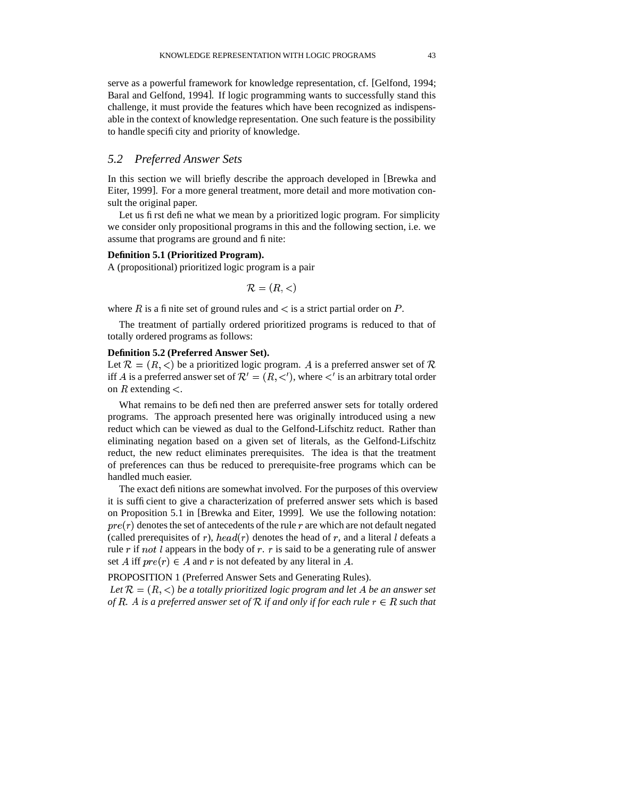serve as a powerful framework for knowledge representation, cf. [Gelfond, 1994; Baral and Gelfond, 1994]. If logic programming wants to successfully stand this challenge, it must provide the features which have been recognized as indispensable in the context of knowledge representation. One such feature is the possibility to handle specificity and priority of knowledge.

# *5.2 Preferred Answer Sets*

In this section we will briefly describe the approach developed in [Brewka and Eiter, 1999]. For a more general treatment, more detail and more motivation consult the original paper.

Let us first define what we mean by a prioritized logic program. For simplicity we consider only propositional programs in this and the following section, i.e. we assume that programs are ground and finite:

### **Definition 5.1 (Prioritized Program).**

A (propositional) prioritized logic program is a pair

$$
\mathcal{R} = (R, <)
$$

where  $R$  is a finite set of ground rules and  $\lt$  is a strict partial order on  $P$ .

The treatment of partially ordered prioritized programs is reduced to that of totally ordered programs as follows:

#### **Definition 5.2 (Preferred Answer Set).**

Let  $\mathcal{R} = (R, \leq)$  be a prioritized logic program. A is a preferred answer set of  $\mathcal{R}$ iff A is a preferred answer set of  $\mathcal{R}'=(R,<')$ , where  $<'$  is an arbitrary total order on  $R$  extending  $\lt$ .

What remains to be defined then are preferred answer sets for totally ordered programs. The approach presented here was originally introduced using a new reduct which can be viewed as dual to the Gelfond-Lifschitz reduct. Rather than eliminating negation based on a given set of literals, as the Gelfond-Lifschitz reduct, the new reduct eliminates prerequisites. The idea is that the treatment of preferences can thus be reduced to prerequisite-free programs which can be handled much easier.

The exact definitions are somewhat involved. For the purposes of this overview it is sufficient to give a characterization of preferred answer sets which is based on Proposition 5.1 in [Brewka and Eiter, 1999]. We use the following notation:  $pre(r)$  denotes the set of antecedents of the rule  $r$  are which are not default negated (called prerequisites of r),  $head(r)$  denotes the head of r, and a literal l defeats a rule  $r$  if not l appears in the body of  $r$ .  $r$  is said to be a generating rule of answer set A iff  $pre(r) \in A$  and r is not defeated by any literal in A.

### PROPOSITION 1 (Preferred Answer Sets and Generating Rules).

Let  $\mathcal{R} = (R, <)$  be a totally prioritized logic program and let  $A$  be an answer set of  $R$ . A is a preferred answer set of  $R$  if and only if for each rule  $r \in R$  such that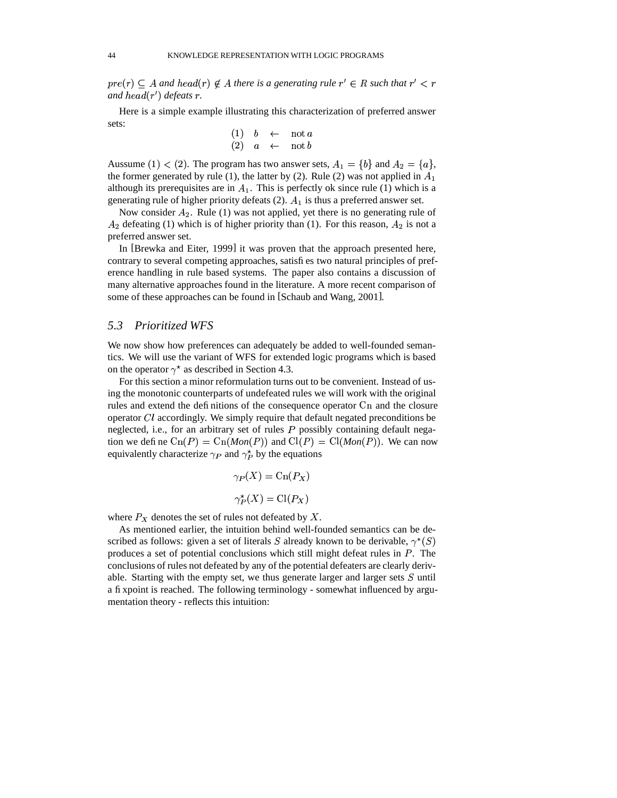$pre(r) \subseteq A$  and  $head(r) \not\in A$  there is a generating rule  $r' \in R$  such that  $r' < r$ and  $head(r')$  defeats  $r$ .

Here is a simple example illustrating this characterization of preferred answer sets:

$$
\begin{array}{rcl} (1) & b & \leftarrow & \text{not } a \\ (2) & a & \leftarrow & \text{not } b \end{array}
$$

Aussume (1)  $\lt$  (2). The program has two answer sets,  $A_1 = \{b\}$  and  $A_2 = \{a\}$ , the former generated by rule (1), the latter by (2). Rule (2) was not applied in  $A_1$ although its prerequisites are in  $A_1$ . This is perfectly ok since rule (1) which is a generating rule of higher priority defeats  $(2)$ .  $A_1$  is thus a preferred answer set.

Now consider  $A_2$ . Rule (1) was not applied, yet there is no generating rule of  $A_2$  defeating (1) which is of higher priority than (1). For this reason,  $A_2$  is not a preferred answer set.

In [Brewka and Eiter, 1999] it was proven that the approach presented here, contrary to several competing approaches, satisfies two natural principles of preference handling in rule based systems. The paper also contains a discussion of many alternative approaches found in the literature. A more recent comparison of some of these approaches can be found in [Schaub and Wang, 2001].

## *5.3 Prioritized WFS*

We now show how preferences can adequately be added to well-founded semantics. We will use the variant of WFS for extended logic programs which is based on the operator  $\gamma^*$  as described in Section 4.3.

For this section a minor reformulation turns out to be convenient. Instead of using the monotonic counterparts of undefeated rules we will work with the original rules and extend the definitions of the consequence operator Cn and the closure operator  $Cl$  accordingly. We simply require that default negated preconditions be neglected, i.e., for an arbitrary set of rules  $P$  possibly containing default negation we define  $\text{Cn}(P) = \text{Cn}(Mon(P))$  and  $\text{Cl}(P) = \text{Cl}(Mon(P))$ . We can now equivalently characterize  $\gamma_P$  and  $\gamma_P^*$  by the equations  $_{P}^{\star}$  by the equations

$$
\gamma_P(X) = \text{Cn}(P_X)
$$
  

$$
\gamma_P^*(X) = \text{Cl}(P_X)
$$

where  $P_X$  denotes the set of rules not defeated by X.

 As mentioned earlier, the intuition behind well-founded semantics can be described as follows: given a set of literals S already known to be derivable,  $\gamma^*(S)$ produces a set of potential conclusions which still might defeat rules in  $P$ . The conclusions of rules not defeated by any of the potential defeaters are clearly derivable. Starting with the empty set, we thus generate larger and larger sets  $S$  until a fixpoint is reached. The following terminology - somewhat influenced by argumentation theory - reflects this intuition: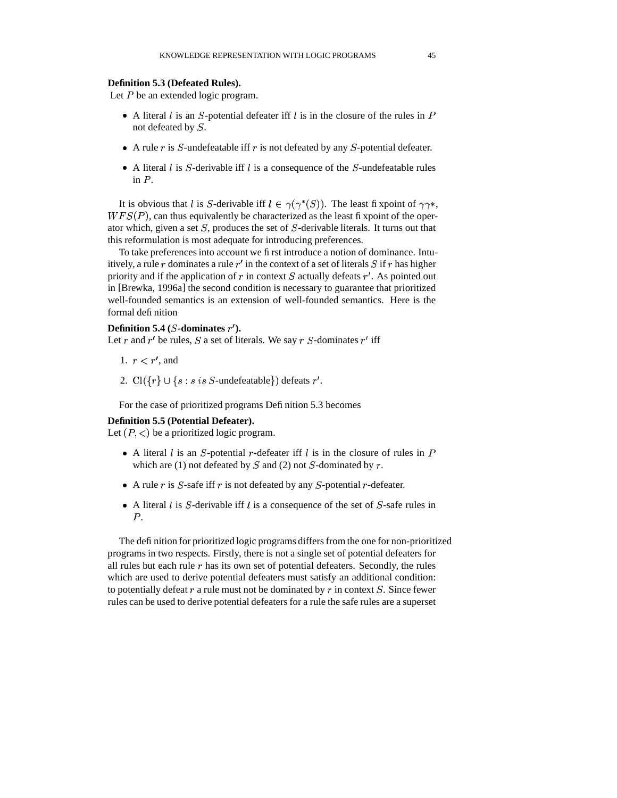## **Definition 5.3 (Defeated Rules).**

Let  $P$  be an extended logic program.

- A literal l is an S-potential defeater iff l is in the closure of the rules in P not defeated by  $S$ .
- A rule  $r$  is  $S$ -undefeatable iff  $r$  is not defeated by any  $S$ -potential defeater.
- A literal  $l$  is  $S$ -derivable iff  $l$  is a consequence of the  $S$ -undefeatable rules in  $P$ .

It is obvious that l is S-derivable iff  $l \in \gamma(\gamma^*(S))$ . The least fixpoint of  $\gamma\gamma^*$ ,  $WFS(P)$ , can thus equivalently be characterized as the least fixpoint of the operator which, given a set  $S$ , produces the set of  $S$ -derivable literals. It turns out that this reformulation is most adequate for introducing preferences.

To take preferences into account we first introduce a notion of dominance. Intuitively, a rule  $r$  dominates a rule  $r'$  in the context of a set of literals  $S$  if  $r$  has higher priority and if the application of  $r$  in context  $S$  actually defeats  $r'$ . As pointed out in [Brewka, 1996a] the second condition is necessary to guarantee that prioritized well-founded semantics is an extension of well-founded semantics. Here is the formal definition

#### **Definition 5.4** ( $S$ **-dominates**  $r'$ ).

Let r and r' be rules, S a set of literals. We say r S-dominates r' iff

- 1.  $r < r'$ , and
- 2.  $Cl({r} \cup {s : s is S$ -undefeatable}) defeats r'.

For the case of prioritized programs Definition 5.3 becomes

## **Definition 5.5 (Potential Defeater).**

Let  $(P, <)$  be a prioritized logic program.

- A literal l is an S-potential r-defeater iff l is in the closure of rules in P which are (1) not defeated by  $S$  and (2) not  $S$ -dominated by  $r$ .
- A rule  $r$  is  $S$ -safe iff  $r$  is not defeated by any  $S$ -potential  $r$ -defeater.
- A literal  $l$  is  $S$ -derivable iff  $l$  is a consequence of the set of  $S$ -safe rules in  $P$ .

The definition for prioritized logic programs differs from the one for non-prioritized programs in two respects. Firstly, there is not a single set of potential defeaters for all rules but each rule  $r$  has its own set of potential defeaters. Secondly, the rules which are used to derive potential defeaters must satisfy an additional condition: to potentially defeat  $r$  a rule must not be dominated by  $r$  in context  $S$ . Since fewer rules can be used to derive potential defeaters for a rule the safe rules are a superset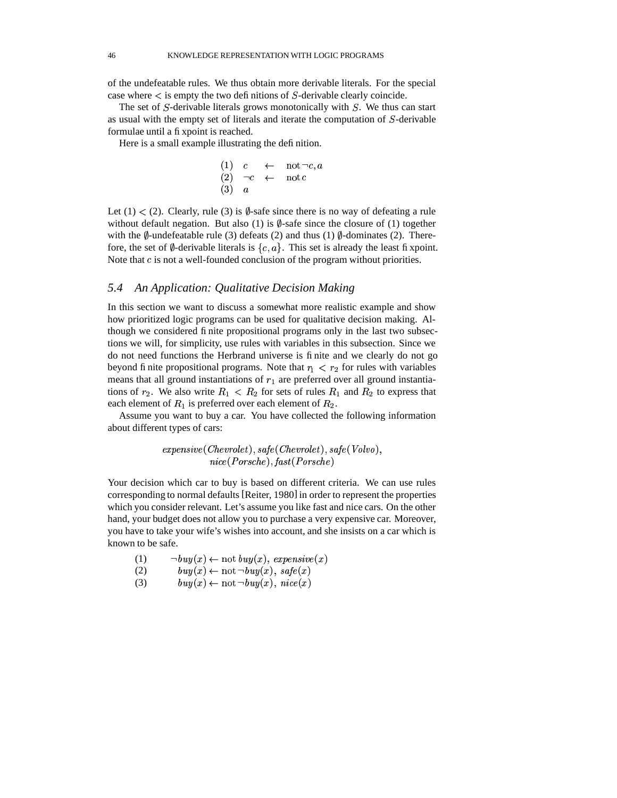of the undefeatable rules. We thus obtain more derivable literals. For the special case where  $\lt$  is empty the two definitions of  $S$ -derivable clearly coincide.

The set of  $S$ -derivable literals grows monotonically with  $S$ . We thus can start as usual with the empty set of literals and iterate the computation of  $S$ -derivable formulae until a fixpoint is reached.

Here is a small example illustrating the definition.

$$
\begin{array}{rcl}\n(1) & c & \leftarrow & \text{not } \neg c, a \\
(2) & \neg c & \leftarrow & \text{not } c \\
(3) & a & \n\end{array}
$$

Let  $(1)$  <  $(2)$ . Clearly, rule  $(3)$  is  $\emptyset$ -safe since there is no way of defeating a rule without default negation. But also (1) is  $\emptyset$ -safe since the closure of (1) together with the  $\emptyset$ -undefeatable rule (3) defeats (2) and thus (1)  $\emptyset$ -dominates (2). Therefore, the set of  $\emptyset$ -derivable literals is  $\{c, a\}$ . This set is already the least fixpoint. Note that  $c$  is not a well-founded conclusion of the program without priorities.

# *5.4 An Application: Qualitative Decision Making*

In this section we want to discuss a somewhat more realistic example and show how prioritized logic programs can be used for qualitative decision making. Although we considered finite propositional programs only in the last two subsections we will, for simplicity, use rules with variables in this subsection. Since we do not need functions the Herbrand universe is finite and we clearly do not go beyond finite propositional programs. Note that  $r_1 < r_2$  for rules with variables means that all ground instantiations of  $r_1$  are preferred over all ground instantiations of  $r_2$ . We also write  $R_1 < R_2$  for sets of rules  $R_1$  and  $R_2$  to express that each element of  $R_1$  is preferred over each element of  $R_2$ .

Assume you want to buy a car. You have collected the following information about different types of cars:

> $\emph{expensive(Chevrolet), safe(Chevrolet), safe(Volvo),}$  $nice (Porsche), fast (Porsche)$

Your decision which car to buy is based on different criteria. We can use rules corresponding to normal defaults [Reiter, 1980] in order to represent the properties which you consider relevant. Let's assume you like fast and nice cars. On the other hand, your budget does not allow you to purchase a very expensive car. Moreover, you have to take your wife's wishes into account, and she insists on a car which is known to be safe.

- (1)  $buy(x) \leftarrow \text{not } buy(x), \text{ expensive}(x)$
- (2)  $buy(x) \leftarrow not \neg buy(x), \; safe(x)$
- (3)  $buy(x) \leftarrow not \neg buy(x), nice(x)$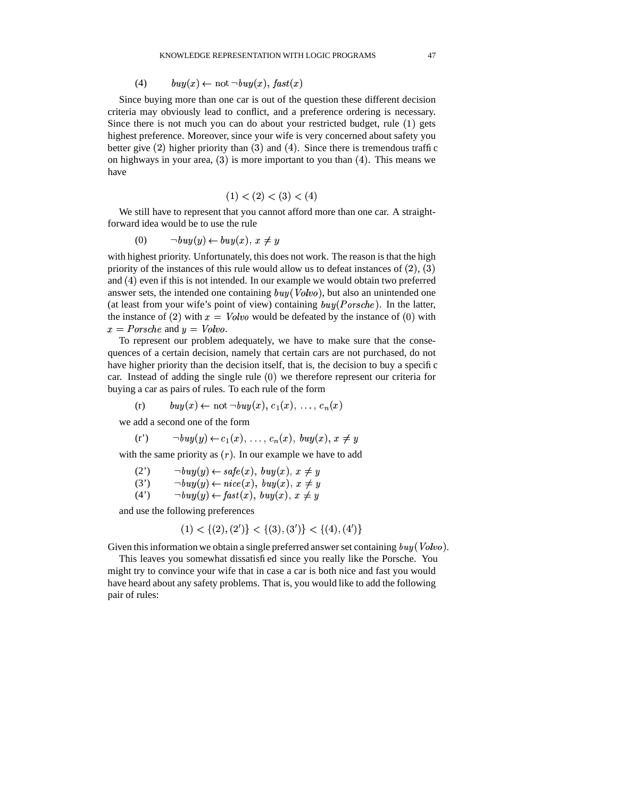(4)  

Since buying more than one car is out of the question these different decision criteria may obviously lead to conflict, and a preference ordering is necessary. Since there is not much you can do about your restricted budget, rule (1) gets highest preference. Moreover, since your wife is very concerned about safety you better give  $(2)$  higher priority than  $(3)$  and  $(4)$ . Since there is tremendous traffic on highways in your area,  $(3)$  is more important to you than  $(4)$ . This means we have

$$
(1) < (2) < (3) < (4)
$$

We still have to represent that you cannot afford more than one car. A straightforward idea would be to use the rule

$$
(0) \qquad \neg buy(y) \leftarrow buy(x), \ x \neq y
$$

with highest priority. Unfortunately, this does not work. The reason is that the high priority of the instances of this rule would allow us to defeat instances of  $(2)$ ,  $(3)$ and (4) even if this is not intended. In our example we would obtain two preferred answer sets, the intended one containing  $buy(Volume)$ , but also an unintended one (at least from your wife's point of view) containing  $buy(Porsche)$ . In the latter, the instance of (2) with  $x = \text{Volume}$  would be defeated by the instance of (0) with  $x = \text{Porsche}$  and  $y = \text{Volvo}$ . .

To represent our problem adequately, we have to make sure that the consequences of a certain decision, namely that certain cars are not purchased, do not have higher priority than the decision itself, that is, the decision to buy a specific car. Instead of adding the single rule we therefore represent our criteria for buying a car as pairs of rules. To each rule of the form

$$
(r) \qquad buy(x) \leftarrow not \neg buy(x), c_1(x), \ldots, c_n(x)
$$

we add a second one of the form

$$
(r') \qquad \neg buy(y) \leftarrow c_1(x), \ldots, c_n(x), \; buy(x), \; x \neq y
$$

with the same priority as  $(r)$ . In our example we have to add

(2') 
$$
\neg buy(y) \leftarrow safe(x), buy(x), x \neq y
$$
  
\n(3')  $\neg buy(y) \leftarrow nice(x), buy(x), x \neq y$   
\n(4')  $\neg buy(y) \leftarrow fast(x), buy(x), x \neq y$ 

and use the following preferences

$$
(1) < \{(2), (2')\} < \{(3), (3')\} < \{(4), (4')\}
$$

Given this information we obtain a single preferred answer set containing  $buy( \textit{Volvo}).$ 

This leaves you somewhat dissatisfied since you really like the Porsche. You might try to convince your wife that in case a car is both nice and fast you would have heard about any safety problems. That is, you would like to add the following pair of rules: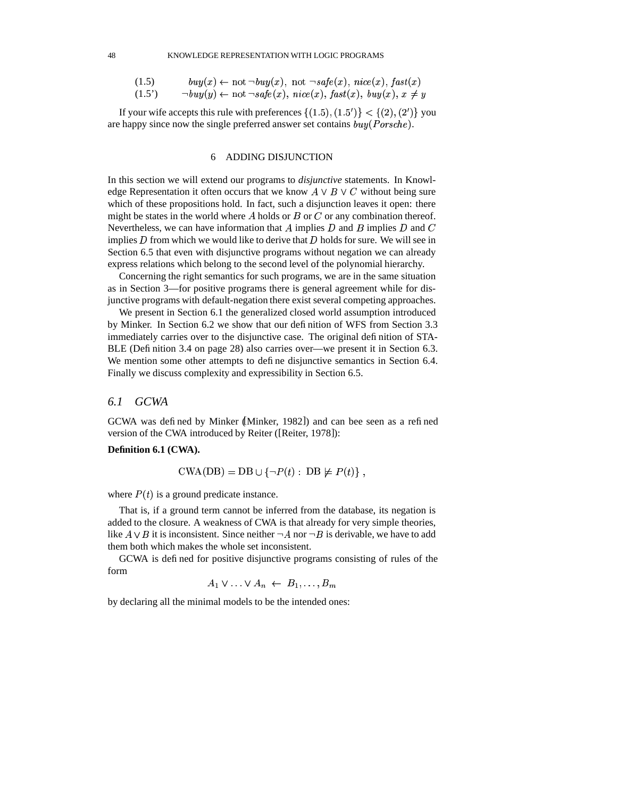(1.5) 
$$
buy(x) \leftarrow not \neg buy(x), not \neg safe(x), nice(x), fast(x)
$$

$$
(1.5') \qquad \neg buy(y) \leftarrow not \neg safe(x), nice(x), fast(x), buy(x), x \neq y
$$

If your wife accepts this rule with preferences  $\{(1.5), (1.5')\} < \{(2), (2')\}$  you are happy since now the single preferred answer set contains  $buy(Porsche)$ .

#### 6 ADDING DISJUNCTION

In this section we will extend our programs to *disjunctive* statements. In Knowledge Representation it often occurs that we know  $A \vee B \vee C$  without being sure which of these propositions hold. In fact, such a disjunction leaves it open: there might be states in the world where  $A$  holds or  $B$  or  $C$  or any combination thereof. Nevertheless, we can have information that A implies D and B implies D and C implies  $D$  from which we would like to derive that  $D$  holds for sure. We will see in Section 6.5 that even with disjunctive programs without negation we can already express relations which belong to the second level of the polynomial hierarchy.

Concerning the right semantics for such programs, we are in the same situation as in Section 3—for positive programs there is general agreement while for disjunctive programs with default-negation there exist several competing approaches.

We present in Section 6.1 the generalized closed world assumption introduced by Minker. In Section 6.2 we show that our definition of WFS from Section 3.3 immediately carries over to the disjunctive case. The original definition of STA-BLE (Definition 3.4 on page 28) also carries over—we present it in Section 6.3. We mention some other attempts to define disjunctive semantics in Section 6.4. Finally we discuss complexity and expressibility in Section 6.5.

### *6.1 GCWA*

GCWA was defined by Minker ([Minker, 1982]) and can bee seen as a refined version of the CWA introduced by Reiter ([Reiter, 1978]):

## **Definition 6.1 (CWA).**

$$
CWA(DB) = DB \cup \{ \neg P(t) : DB \not\models P(t) \},
$$

where  $P(t)$  is a ground predicate instance.

That is, if a ground term cannot be inferred from the database, its negation is added to the closure. A weakness of CWA is that already for very simple theories, like  $A \vee B$  it is inconsistent. Since neither  $\neg A$  nor  $\neg B$  is derivable, we have to add them both which makes the whole set inconsistent.

GCWA is defined for positive disjunctive programs consisting of rules of the form

$$
A_1 \vee \ldots \vee A_n \leftarrow B_1, \ldots, B_m
$$

by declaring all the minimal models to be the intended ones: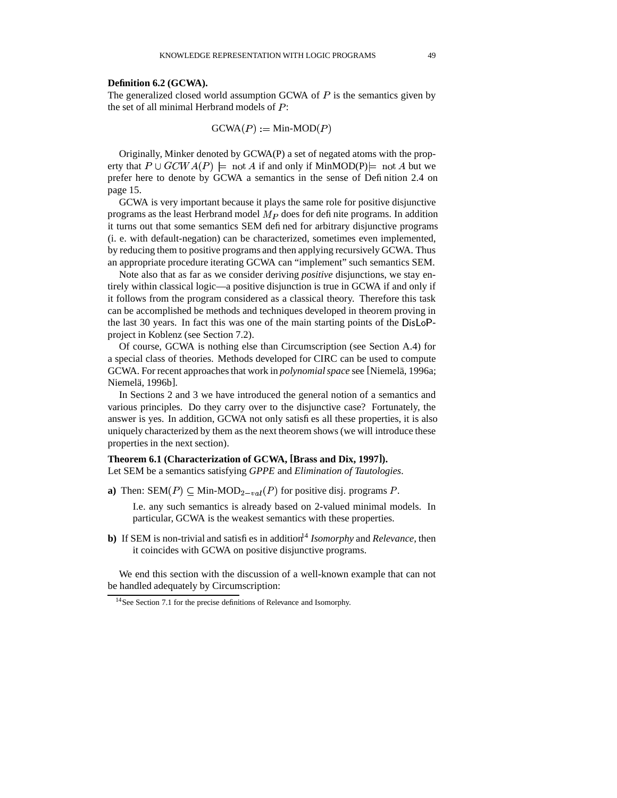#### **Definition 6.2 (GCWA).**

The generalized closed world assumption GCWA of  $P$  is the semantics given by the set of all minimal Herbrand models of  $P$ :

$$
GCWA(P) := Min-MOD(P)
$$

Originally, Minker denoted by GCWA(P) a set of negated atoms with the property that  $P \cup GCWA(P) \models not A$  if and only if MinMOD(P) $\models not A$  but we prefer here to denote by GCWA a semantics in the sense of Definition 2.4 on page 15.

GCWA is very important because it plays the same role for positive disjunctive programs as the least Herbrand model  $M_P$  does for definite programs. In addition it turns out that some semantics SEM defined for arbitrary disjunctive programs (i. e. with default-negation) can be characterized, sometimes even implemented, by reducing them to positive programs and then applying recursively GCWA. Thus an appropriate procedure iterating GCWA can "implement" such semantics SEM.

Note also that as far as we consider deriving *positive* disjunctions, we stay entirely within classical logic—a positive disjunction is true in GCWA if and only if it follows from the program considered as a classical theory. Therefore this task can be accomplished be methods and techniques developed in theorem proving in the last 30 years. In fact this was one of the main starting points of the DisLoPproject in Koblenz (see Section 7.2).

Of course, GCWA is nothing else than Circumscription (see Section A.4) for a special class of theories. Methods developed for CIRC can be used to compute GCWA. For recent approaches that work in *polynomial space* see [Niemelä, 1996a; Niemelä, 1996b].

In Sections 2 and 3 we have introduced the general notion of a semantics and various principles. Do they carry over to the disjunctive case? Fortunately, the answer is yes. In addition, GCWA not only satisfies all these properties, it is also uniquely characterized by them as the next theorem shows (we will introduce these properties in the next section).

### **Theorem 6.1 (Characterization of GCWA, [Brass and Dix, 1997]).**

Let SEM be a semantics satisfying *GPPE* and *Elimination of Tautologies*.

**a**) Then: SEM( $P$ )  $\subseteq$  Min-MOD<sub>2-val</sub>( $P$ ) for positive disj. programs P.

I.e. any such semantics is already based on 2-valued minimal models. In particular, GCWA is the weakest semantics with these properties.

**b**) If SEM is non-trivial and satisfies in addition<sup>14</sup> *Isomorphy* and *Relevance*, then it coincides with GCWA on positive disjunctive programs.

We end this section with the discussion of a well-known example that can not be handled adequately by Circumscription:

<sup>14</sup>See Section 7.1 for the precise definitions of Relevance and Isomorphy.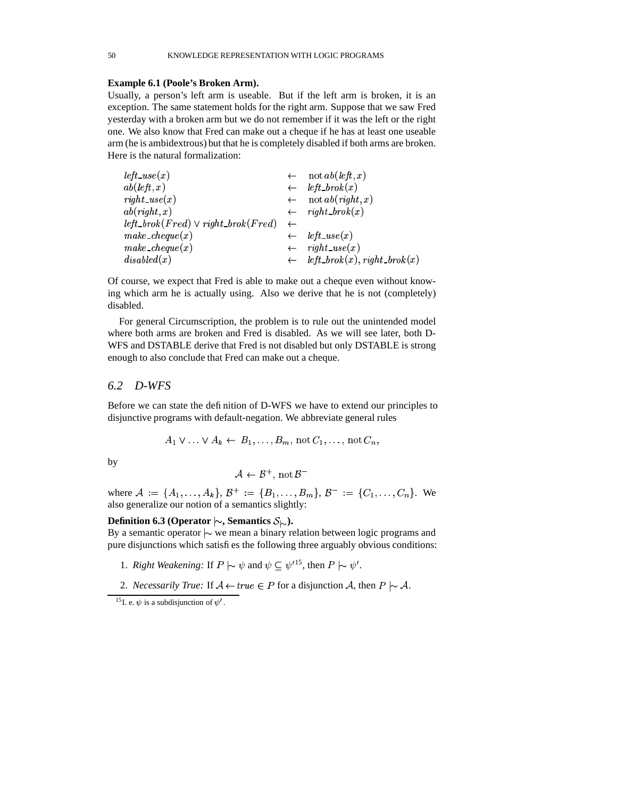#### **Example 6.1 (Poole's Broken Arm).**

Usually, a person's left arm is useable. But if the left arm is broken, it is an exception. The same statement holds for the right arm. Suppose that we saw Fred yesterday with a broken arm but we do not remember if it was the left or the right one. We also know that Fred can make out a cheque if he has at least one useable arm (he is ambidextrous) but that he is completely disabled if both arms are broken. Here is the natural formalization:

| $left\_use(x)$                            | $\leftarrow$ | $\operatorname{not} ab(left, x)$         |
|-------------------------------------------|--------------|------------------------------------------|
| ab(left, x)                               |              | $\leftarrow$ left_brok(x)                |
| $right\_use(x)$                           |              | $\leftarrow$ not ab(right, x)            |
| $ab(\operatorname{right},x)$              |              | $\leftarrow$ right_brok(x)               |
| $left\_brok(Fred) \vee right\_brok(Fred)$ | $\leftarrow$ |                                          |
| $make\_change(x)$                         |              | $\leftarrow$ left use(x)                 |
| $make\_change(x)$                         |              | $\leftarrow$ right_use(x)                |
| disabeled(x)                              |              | $\leftarrow$ left_brok(x), right_brok(x) |

Of course, we expect that Fred is able to make out a cheque even without knowing which arm he is actually using. Also we derive that he is not (completely) disabled.

For general Circumscription, the problem is to rule out the unintended model where both arms are broken and Fred is disabled. As we will see later, both D-WFS and DSTABLE derive that Fred is not disabled but only DSTABLE is strong enough to also conclude that Fred can make out a cheque.

### *6.2 D-WFS*

Before we can state the definition of D-WFS we have to extend our principles to disjunctive programs with default-negation. We abbreviate general rules

$$
A_1 \vee \ldots \vee A_k \leftarrow B_1, \ldots, B_m
$$
, not  $C_1, \ldots$ , not  $C_n$ ,

by the contract of the contract of the contract of the contract of the contract of the contract of the contract of the contract of the contract of the contract of the contract of the contract of the contract of the contrac

$$
\mathcal{A} \leftarrow \mathcal{B}^+, \operatorname{not} \mathcal{B}^-
$$

where  $A := \{A_1, \ldots, A_k\}, B^+ := \{B_1, \ldots, B_m\}, B^- := \{C_1, \ldots, C_k\}$  $:= \{C_1, \ldots, C_n\}.$  We also generalize our notion of a semantics slightly:

# Definition 6.3 (Operator  $\mid\!\!\sim$  , Semantics  ${\cal S}_\mid\!\!\downarrow$  ).

By a semantic operator  $\sim$  we mean a binary relation between logic programs and pure disjunctions which satisfies the following three arguably obvious conditions:

- 1. *Right Weakening:* If  $P \sim \psi$  and  $\psi \subseteq \psi'^{15}$ , then  $P \sim \psi'$ .
- 2. *Necessarily True:* If  $A \leftarrow true \in P$  for a disjunction A, then  $P \mid \sim A$ .

<sup>&</sup>lt;sup>15</sup>I. e.  $\psi$  is a subdisjunction of  $\psi'$ .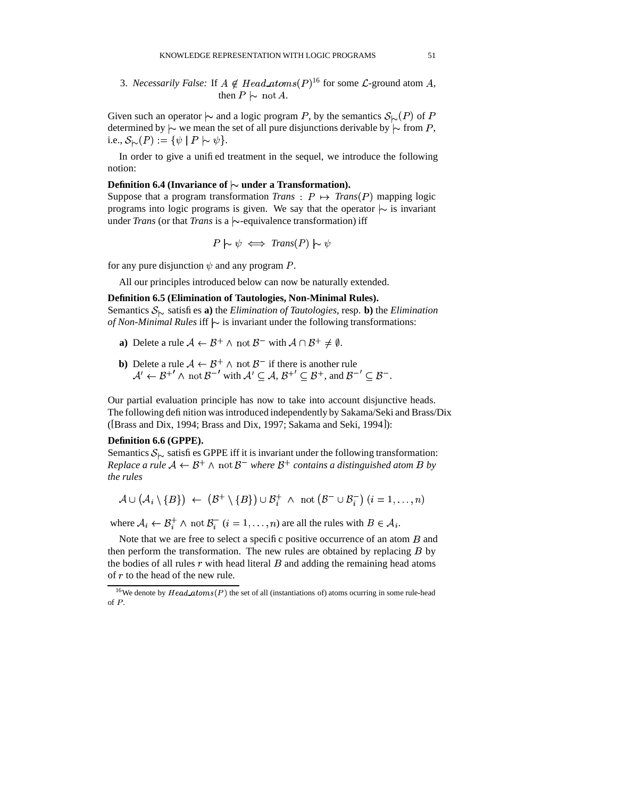3. *Necessarily False:* If  $A \notin Head\_atoms(P)^{16}$  for some  $\mathcal{L}$ -ground atom  $A$ , then  $P \sim \text{not } A$ .

Given such an operator  $\sim$  and a logic program P, by the semantics  $S_{\sim}(P)$  of P determined by  $\sim$  we mean the set of all pure disjunctions derivable by  $\sim$  from P, i.e.,  $\mathcal{S}_{\sim}(P) := \{ \psi \mid P \sim \psi \}.$ 

In order to give a unified treatment in the sequel, we introduce the following notion:

### Definition 6.4 (Invariance of  $\sim$  under a Transformation).

Suppose that a program transformation  $Trans : P \mapsto Trans(P)$  mapping logic programs into logic programs is given. We say that the operator  $\sim$  is invariant under *Trans* (or that *Trans* is a  $\sim$ -equivalence transformation) iff

 $P \mid \sim \psi \iff \text{Trans}(P) \mid \sim \psi$ 

for any pure disjunction  $\psi$  and any program P.

All our principles introduced below can now be naturally extended.

**Definition 6.5 (Elimination of Tautologies, Non-Minimal Rules).** Semantics  $S_{\mid \sim}$  satisfies **a**) the *Elimination of Tautologies*, resp. **b**) the *Elimination* of *Non-Minimal Rules* if  $\sim$  is invariant under the following transformations:

- **a**) Delete a rule  $A \leftarrow B^+ \land \text{not } B^-$  with  $A \cap B^+ \neq \emptyset$ .
- **b**) Delete a rule  $A \leftarrow B^+ \wedge \text{not } B^-$  if there is an Delete a rule  $A \leftarrow B^+ \wedge \operatorname{not} B^-$  if there is another rule  $\gamma' \leftarrow \beta^+ \wedge \text{not } \beta^-$  with  $\mathcal{A}' \subseteq \mathcal{A}$  $A' \subseteq A, B^{+'} \subseteq B^+$ , and  $B^{-'} \subseteq B^-$ .  $\overline{a}$ .  $\overline{a}$

Our partial evaluation principle has now to take into account disjunctive heads. The following definition was introduced independently by Sakama/Seki and Brass/Dix ([Brass and Dix, 1994; Brass and Dix, 1997; Sakama and Seki, 1994]):

#### **Definition 6.6 (GPPE).**

Semantics  $\mathcal{S}_{|\sim}$  satisfies GPPE iff it is invariant under the following transformation: *Replace a rule*  $A \leftarrow B^+ \wedge \operatorname{not} B^-$  where  $B^+ c$  $^-$  where  $B^+$  contains a distinguished atom  $B$  by *the rules*

$$
\mathcal{A} \cup \big( \mathcal{A}_i \setminus \{B\} \big) \,\, \leftarrow \,\, \big(\mathcal{B}^+ \setminus \{B\} \big) \cup \mathcal{B}^+_i \,\, \wedge \,\, \operatorname{not} \big(\mathcal{B}^- \cup \mathcal{B}^-_i \big) \, \, (i=1,\ldots,n)
$$

where  $A_i \leftarrow B_i^+ \wedge \text{not } B_i^ (i = 1, ...,$  $\overline{i}$   $(i = 1, \ldots, n)$  are all the rules with  $B \in \mathcal{A}_i$ .

Note that we are free to select a specific positive occurrence of an atom  $B$  and then perform the transformation. The new rules are obtained by replacing  $B$  by the bodies of all rules  $r$  with head literal  $B$  and adding the remaining head atoms of  $r$  to the head of the new rule.

<sup>&</sup>lt;sup>16</sup>We denote by  $Head\_atoms(P)$  the set of all (instantiations of) atoms ocurring in some rule-head of  $P$ .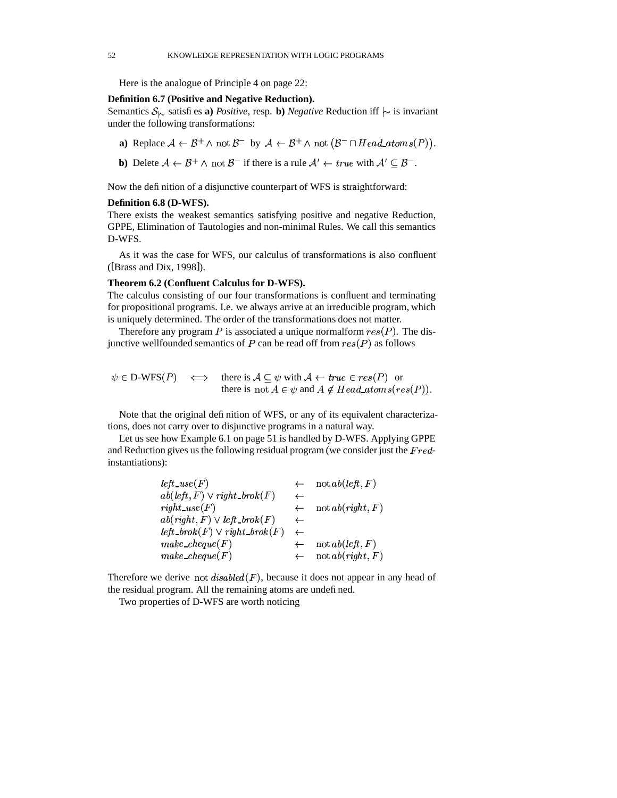Here is the analogue of Principle 4 on page 22:

## **Definition 6.7 (Positive and Negative Reduction).**

Semantics  $S_{\vert \sim}$  satisfies a) *Positive*, resp. **b**) *Negative* Reduction iff  $\vert \sim$  is invariant under the following transformations:

- **a**) Replace  $A \leftarrow B^+ \land \text{not } B^-$  by  $A \leftarrow B$ by  $A \leftarrow B^+ \wedge \text{not } (B^- \cap Head\_atoms(P)).$
- **b**) Delete  $A \leftarrow B^+ \wedge \text{not } B^-$  if there is a if there is a rule  $A' \leftarrow true$  with  $A' \subseteq B^-$ .

Now the definition of a disjunctive counterpart of WFS is straightforward:

#### **Definition 6.8 (D-WFS).**

There exists the weakest semantics satisfying positive and negative Reduction, GPPE, Elimination of Tautologies and non-minimal Rules. We call this semantics D-WFS.

As it was the case for WFS, our calculus of transformations is also confluent ([Brass and Dix, 1998]).

# **Theorem 6.2 (Confluent Calculus for D-WFS).**

The calculus consisting of our four transformations is confluent and terminating for propositional programs. I.e. we always arrive at an irreducible program, which is uniquely determined. The order of the transformations does not matter.

Therefore any program P is associated a unique normalform  $res(P)$ . The disjunctive wellfounded semantics of P can be read off from  $res(P)$  as follows

$$
\psi \in \mathcal{D}\text{-WFS}(P) \quad \Longleftrightarrow \quad \text{there is } A \subseteq \psi \text{ with } A \leftarrow true \in res(P) \text{ or } \text{there is not } A \in \psi \text{ and } A \notin Head\_atoms(res(P)).
$$

Note that the original definition of WFS, or any of its equivalent characterizations, does not carry over to disjunctive programs in a natural way.

Let us see how Example 6.1 on page 51 is handled by D-WFS. Applying GPPE and Reduction gives us the following residual program (we consider just the  $Fred$ instantiations):

| $left\_use(F)$                      | $\leftarrow$ | not $ab(left, F)$                 |
|-------------------------------------|--------------|-----------------------------------|
| $ab(left, F) \vee right\_brok(F)$   | ←            |                                   |
| $right\_use(F)$                     | $\leftarrow$ | $\operatorname{not} ab(right, F)$ |
| $ab(right, F) \vee left\_brok(F)$   | $\leftarrow$ |                                   |
| $left\_brok(F) \vee right\_brok(F)$ | $\leftarrow$ |                                   |
| $make\_change(F)$                   | $\leftarrow$ | $\operatorname{not} ab(left, F)$  |
| $make\_change(F)$                   | $\leftarrow$ | $\operatorname{not} ab(right, F)$ |

Therefore we derive not  $\text{disabled}(F)$ , because it does not appear in any head of the residual program. All the remaining atoms are undefined.

Two properties of D-WFS are worth noticing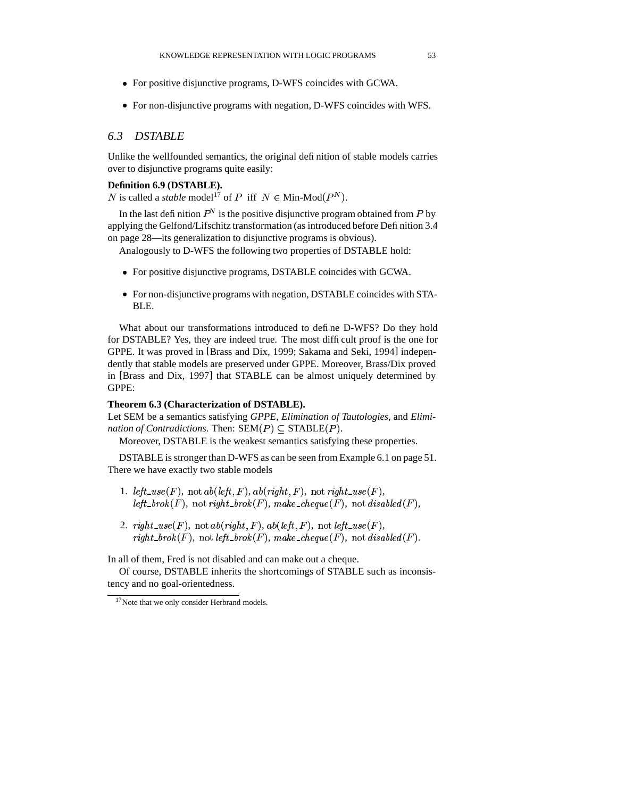- For positive disjunctive programs, D-WFS coincides with GCWA.
- For non-disjunctive programs with negation, D-WFS coincides with WFS.

## *6.3 DSTABLE*

Unlike the wellfounded semantics, the original definition of stable models carries over to disjunctive programs quite easily:

## **Definition 6.9 (DSTABLE).**

N is called a *stable* model<sup>17</sup> of P iff  $N \in$  Min-Mod $(P^N)$ .

In the last definition  $P^V$  is the positive disjunctive program obtained from P by applying the Gelfond/Lifschitz transformation (as introduced before Definition 3.4 on page 28—its generalization to disjunctive programs is obvious).

Analogously to D-WFS the following two properties of DSTABLE hold:

- For positive disjunctive programs, DSTABLE coincides with GCWA.
- For non-disjunctive programs with negation, DSTABLE coincides with STA-BLE.

What about our transformations introduced to define D-WFS? Do they hold for DSTABLE? Yes, they are indeed true. The most difficult proof is the one for GPPE. It was proved in [Brass and Dix, 1999; Sakama and Seki, 1994] independently that stable models are preserved under GPPE. Moreover, Brass/Dix proved in [Brass and Dix, 1997] that STABLE can be almost uniquely determined by GPPE:

### **Theorem 6.3 (Characterization of DSTABLE).**

Let SEM be a semantics satisfying *GPPE*, *Elimination of Tautologies*, and *Elimination of Contradictions.* Then:  $SEM(P) \subseteq STABLE(P)$ .

Moreover, DSTABLE is the weakest semantics satisfying these properties.

DSTABLE is stronger than D-WFS as can be seen from Example 6.1 on page 51. There we have exactly two stable models

- 1.  $left\_use(F)$ , not  $ab(left, F)$ ,  $ab(right, F)$ , not  $right\_use(F)$ ,  $left\_broken(F), \; \text{not}\; right\_broken(F), \; make\_cheque(F), \; \text{not}\; disabled(F),$
- 2.  $\mathit{right\_use}(F),~\text{not}~ab(\mathit{right},F),~ab(\mathit{left},F),~\text{not}~\mathit{left\_use}(F),$  $\emph{right\_brok}(F), \emph{ not left\_brok}(F), \emph{make\_cheque}(F), \emph{not disabled}(F).$

In all of them, Fred is not disabled and can make out a cheque.

Of course, DSTABLE inherits the shortcomings of STABLE such as inconsistency and no goal-orientedness.

<sup>&</sup>lt;sup>17</sup>Note that we only consider Herbrand models.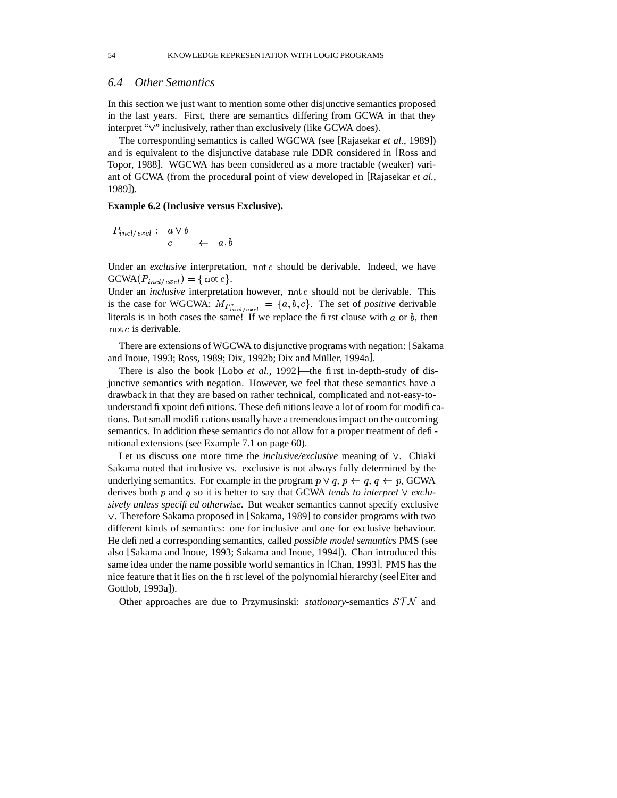# *6.4 Other Semantics*

In this section we just want to mention some other disjunctive semantics proposed in the last years. First, there are semantics differing from GCWA in that they interpret "V" inclusively, rather than exclusively (like GCWA does).

The corresponding semantics is called WGCWA (see [Rajasekar *et al.*, 1989]) and is equivalent to the disjunctive database rule DDR considered in [Ross and Topor, 1988]. WGCWA has been considered as a more tractable (weaker) variant of GCWA (from the procedural point of view developed in [Rajasekar *et al.*, 1989]).

#### **Example 6.2 (Inclusive versus Exclusive).**

$$
P_{incl/excl}: a \vee b
$$
  

$$
c \leftarrow a, b
$$

Under an *exclusive* interpretation, not  $c$  should be derivable. Indeed, we have  $GCWA(P_{incl/excl}) = \{\text{not } c\}.$ 

Under an *inclusive* interpretation however, not  $c$  should not be derivable. This is the case for WGCWA:  $M_{P_{i}^{*}} = \{a, b, c\}$ . The set of *positive* derivable literals is in both cases the same! If we replace the first clause with  $a$  or  $b$ , then  $\operatorname{not} c$  is derivable.

There are extensions of WGCWA to disjunctive programs with negation: [Sakama and Inoue, 1993; Ross, 1989; Dix, 1992b; Dix and Müller, 1994a].

There is also the book [Lobo *et al.*, 1992]—the first in-depth-study of disjunctive semantics with negation. However, we feel that these semantics have a drawback in that they are based on rather technical, complicated and not-easy-tounderstand fixpoint definitions. These definitions leave a lot of room for modifications. But small modifications usually have a tremendousimpact on the outcoming semantics. In addition these semantics do not allow for a proper treatment of definitional extensions (see Example 7.1 on page 60).

Let us discuss one more time the *inclusive/exclusive* meaning of . Chiaki Sakama noted that inclusive vs. exclusive is not always fully determined by the underlying semantics. For example in the program  $p \lor q$ ,  $p \leftarrow q$ ,  $q \leftarrow p$ , GCWA derives both  $p$  and  $q$  so it is better to say that GCWA *tends to interpret*  $\vee$  *exclusively unless specified otherwise*. But weaker semantics cannot specify exclusive . Therefore Sakama proposed in [Sakama, 1989] to consider programs with two different kinds of semantics: one for inclusive and one for exclusive behaviour. He defined a corresponding semantics, called *possible model semantics* PMS (see also [Sakama and Inoue, 1993; Sakama and Inoue, 1994]). Chan introduced this same idea under the name possible world semantics in [Chan, 1993]. PMS has the nice feature that it lies on the first level of the polynomial hierarchy (see[Eiter and Gottlob, 1993a]).

Other approaches are due to Przymusinski: *stationary*-semantics  $STN$  and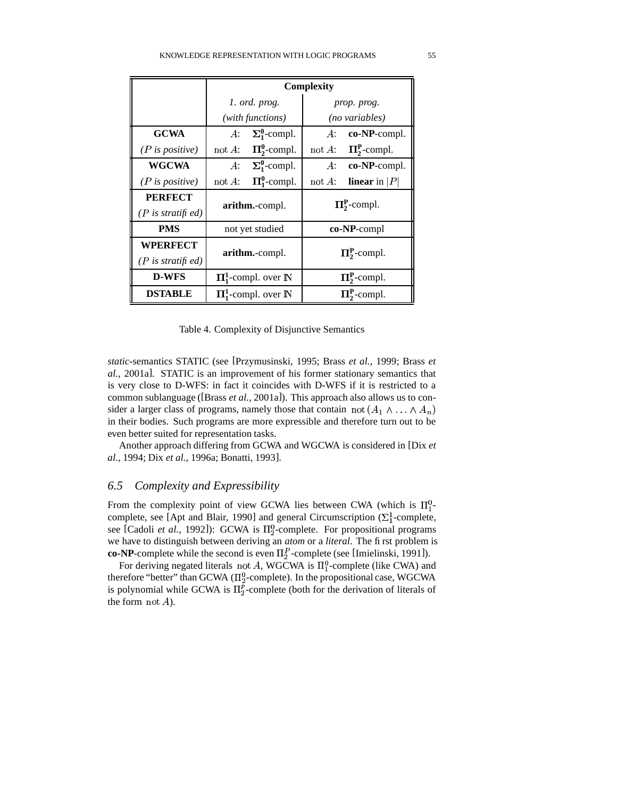|                              |                                             | <b>Complexity</b>             |                            |                         |  |  |  |  |
|------------------------------|---------------------------------------------|-------------------------------|----------------------------|-------------------------|--|--|--|--|
|                              |                                             | 1. ord. prog.                 | prop. prog.                |                         |  |  |  |  |
|                              |                                             | (with functions)              | (no variables)             |                         |  |  |  |  |
| <b>GCWA</b>                  |                                             | $A: \quad \Sigma_1^0$ -compl. | $A$ :                      | $co-NP$ -compl.         |  |  |  |  |
| $(P \text{ is positive})$    | $\Pi^0$ -compl.<br>$\operatorname{not} A$ : |                               | $\operatorname{not} A$ :   | $\Pi_2^{\rm P}$ -compl. |  |  |  |  |
| <b>WGCWA</b>                 |                                             | $A: \quad \Sigma_1^0$ -compl. |                            | A: co-NP-compl.         |  |  |  |  |
| $(P \text{ is positive})$    | $\operatorname{not} A$ :                    | $\Pi_1^0$ -compl.             | $\operatorname{not} A$ :   | <b>linear</b> in $ P $  |  |  |  |  |
| <b>PERFECT</b>               |                                             |                               | $\Pi_2^{\rm P}$ -compl.    |                         |  |  |  |  |
| $(P \text{ is stratifi ed})$ | arithm.-compl.                              |                               |                            |                         |  |  |  |  |
| <b>PMS</b>                   | not yet studied                             |                               | $co-NP$ -compl             |                         |  |  |  |  |
| <b>WPERFECT</b>              |                                             |                               | $\Pi^{\text{P}}_2$ -compl. |                         |  |  |  |  |
| $(P$ is stratified)          | arithm.-compl.                              |                               |                            |                         |  |  |  |  |
| <b>D-WFS</b>                 | $\Pi_1^1$ -compl. over N                    |                               | $\Pi_2^{\rm P}$ -compl.    |                         |  |  |  |  |
| <b>DSTABLE</b>               | $\Pi_1^1$ -compl. over N                    |                               | $\Pi^{\text{P}}_2$ -compl. |                         |  |  |  |  |

Table 4. Complexity of Disjunctive Semantics

*static*-semantics STATIC (see [Przymusinski, 1995; Brass *et al.*, 1999; Brass *et al.*, 2001a]. STATIC is an improvement of his former stationary semantics that is very close to D-WFS: in fact it coincides with D-WFS if it is restricted to a common sublanguage ([Brass *et al.*, 2001a]). This approach also allows us to consider a larger class of programs, namely those that contain not  $(A_1 \wedge ... \wedge A_n)$ in their bodies. Such programs are more expressible and therefore turn out to be even better suited for representation tasks.

Another approach differing from GCWA and WGCWA is considered in [Dix *et al.*, 1994; Dix *et al.*, 1996a; Bonatti, 1993].

### *6.5 Complexity and Expressibility*

From the complexity point of view GCWA lies between CWA (which is  $\Pi_1^0$ complete, see [Apt and Blair, 1990] and general Circumscription ( $\Sigma_1^1$ -complete, see [Cadoli *et al.*, 1992]): GCWA is  $\Pi_2^0$ -complete. For propositional programs we have to distinguish between deriving an *atom* or a *literal*. The first problem is **co-NP**-complete while the second is even  $\Pi_2^P$ -complete (see [Imielinski, 1991]).

For deriving negated literals not A, WGCWA is  $\Pi^0_1$ -complete (like CWA) and therefore "better" than GCWA ( $\Pi^0_2$ -complete). In the propositional case, WGCWA is polynomial while GCWA is  $\Pi_2^p$ -complete (both for the derivation of literals of the form  $\operatorname{not} A$ ).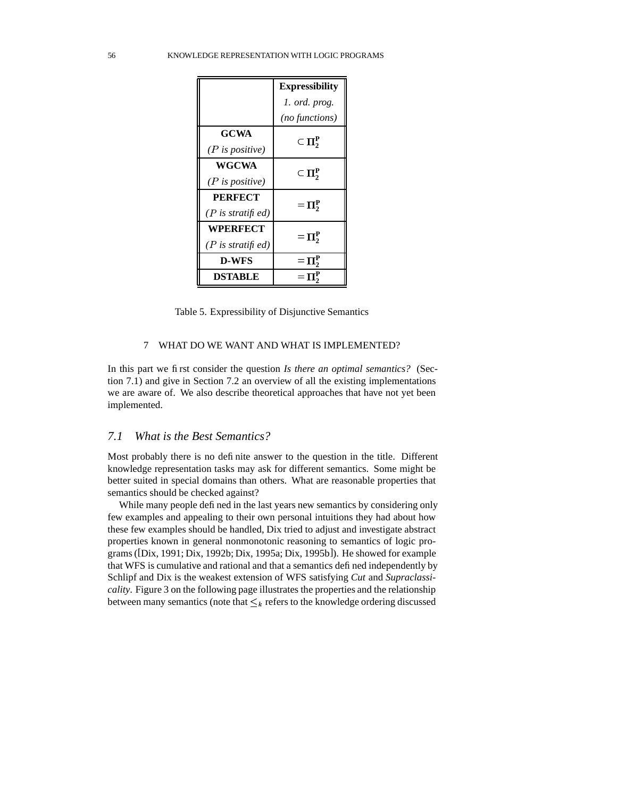|                              | <b>Expressibility</b>                    |  |
|------------------------------|------------------------------------------|--|
|                              | 1. ord. prog.                            |  |
|                              | (no functions)                           |  |
| GCWA                         | $\subset \Pi_2^{\mathbf{P}}$             |  |
| $(P \text{ is positive})$    |                                          |  |
| WGCWA                        | $\subset \Pi_2^{\mathbf{P}}$             |  |
| $(P \text{ is positive})$    |                                          |  |
| <b>PERFECT</b>               | $=\Pi_2^P$                               |  |
| $(P \text{ is stratifi ed})$ |                                          |  |
| <b>WPERFECT</b>              | $=\Pi_2^P$                               |  |
| $(P \text{ is stratifi ed})$ |                                          |  |
| <b>D-WFS</b>                 | $=\Pi^{\mathrm{P}}_{\bm{\cdot}}$         |  |
| <b>DSTABLE</b>               | $=\Pi^{\mathbf{p}}_{\boldsymbol{\cdot}}$ |  |

Table 5. Expressibility of Disjunctive Semantics

## 7 WHAT DO WE WANT AND WHAT IS IMPLEMENTED?

In this part we first consider the question *Is there an optimal semantics?* (Section 7.1) and give in Section 7.2 an overview of all the existing implementations we are aware of. We also describe theoretical approaches that have not yet been implemented.

# *7.1 What is the Best Semantics?*

Most probably there is no definite answer to the question in the title. Different knowledge representation tasks may ask for different semantics. Some might be better suited in special domains than others. What are reasonable properties that semantics should be checked against?

While many people defined in the last years new semantics by considering only few examples and appealing to their own personal intuitions they had about how these few examples should be handled, Dix tried to adjust and investigate abstract properties known in general nonmonotonic reasoning to semantics of logic programs ([Dix, 1991; Dix, 1992b; Dix, 1995a; Dix, 1995b]). He showed for example that WFS is cumulative and rational and that a semantics defined independently by Schlipf and Dix is the weakest extension of WFS satisfying *Cut* and *Supraclassicality*. Figure 3 on the following page illustrates the properties and the relationship between many semantics (note that  $\leq_k$  refers to the knowledge ordering discussed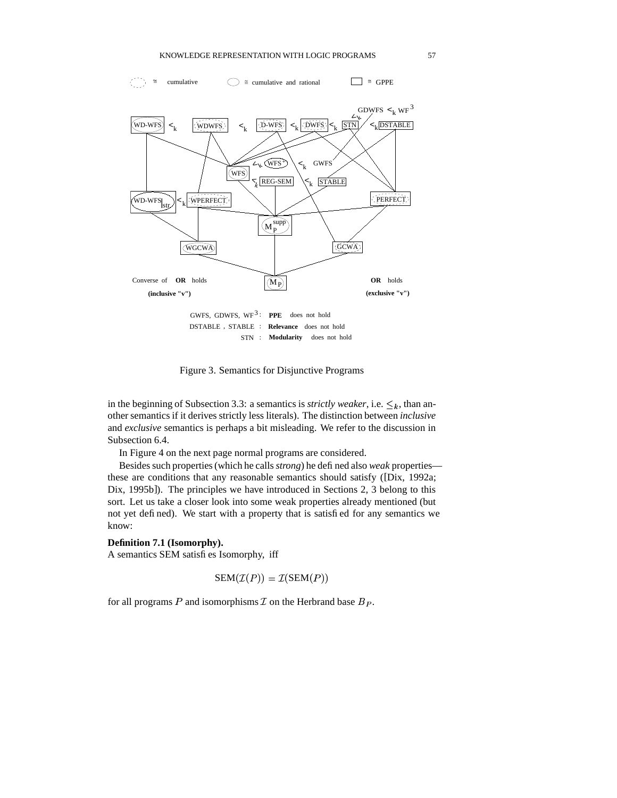

Figure 3. Semantics for Disjunctive Programs

in the beginning of Subsection 3.3: a semantics is *strictly weaker*, i.e.  $\leq_k$ , than another semantics if it derives strictly less literals). The distinction between *inclusive* and *exclusive* semantics is perhaps a bit misleading. We refer to the discussion in Subsection 6.4.

In Figure 4 on the next page normal programs are considered.

Besides such properties(which he calls *strong*) he defined also *weak* properties these are conditions that any reasonable semantics should satisfy ([Dix, 1992a; Dix, 1995b]). The principles we have introduced in Sections 2, 3 belong to this sort. Let us take a closer look into some weak properties already mentioned (but not yet defined). We start with a property that is satisfied for any semantics we know:

**Definition 7.1 (Isomorphy).**

A semantics SEM satisfies Isomorphy, iff

 $SEM(\mathcal{I}(P)) = \mathcal{I}(SEM(P))$ 

for all programs P and isomorphisms  $\mathcal I$  on the Herbrand base  $B_P$ .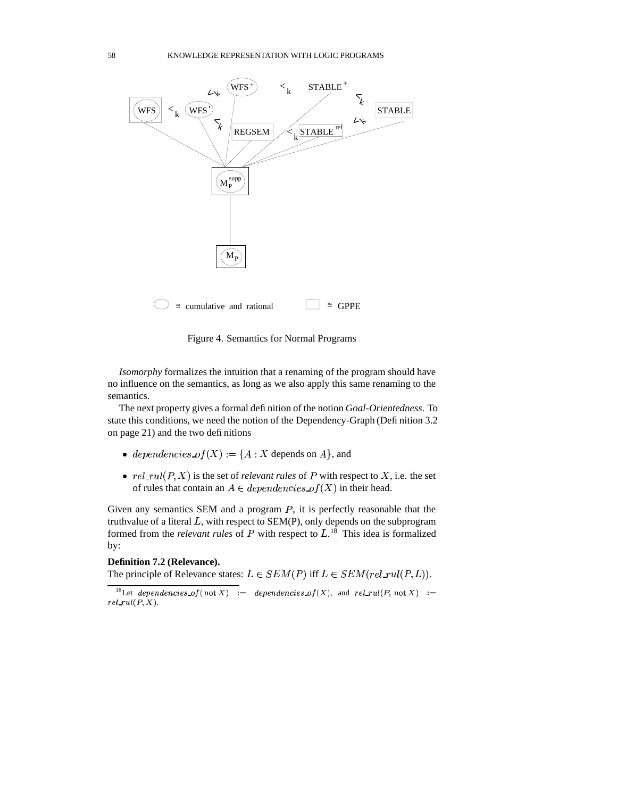

Figure 4. Semantics for Normal Programs

*Isomorphy* formalizes the intuition that a renaming of the program should have no influence on the semantics, as long as we also apply this same renaming to the semantics.

The next property gives a formal definition of the notion *Goal-Orientedness*. To state this conditions, we need the notion of the Dependency-Graph (Definition 3.2 on page 21) and the two definitions

- *dependencies*  $\mathcal{L}(X) := \{A : X \text{ depends on } A\}$ , and
- $rel_rull(P, X)$  is the set of *relevant* rules of P with respect to X, i.e. the set of rules that contain an  $A \in *dependence of*(X)$  in their head.

Given any semantics SEM and a program  $P$ , it is perfectly reasonable that the truthvalue of a literal  $L$ , with respect to  $SEM(P)$ , only depends on the subprogram formed from the *relevant rules* of P with respect to L.<sup>18</sup> This idea is formalized by:

### **Definition 7.2 (Relevance).**

The principle of Relevance states:  $L \in SEM(P)$  iff  $L \in SEM(relu1, L)$ .

<sup>&</sup>lt;sup>18</sup>Let dependencies of (not X) := dependencies of (X), and  $rel_xul(P, not X)$  :=  $rel\_rul(P,X).$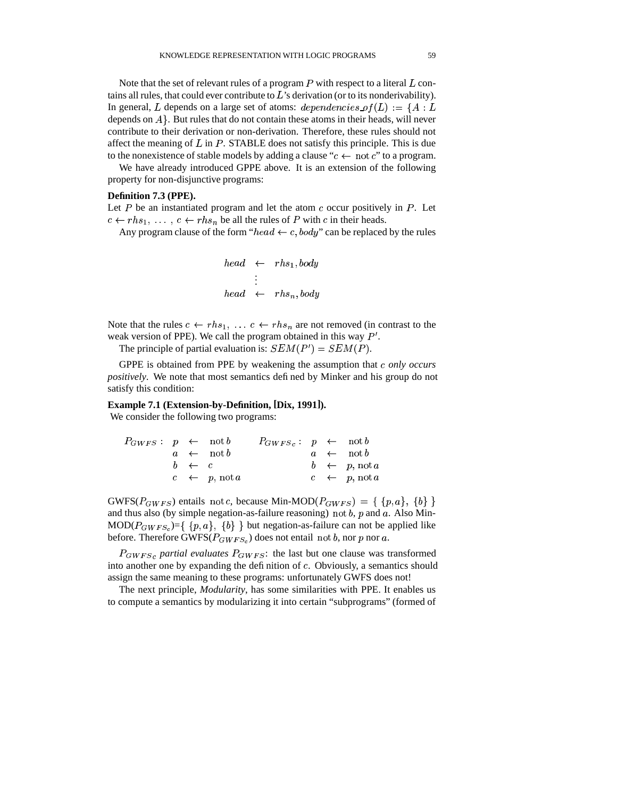Note that the set of relevant rules of a program  $P$  with respect to a literal  $L$  contains all rules, that could ever contribute to  $L$ 's derivation (or to its nonderivability). In general, L depends on a large set of atoms:  $dependence \text{ of } (L) := \{A : L$ depends on  $A$ . But rules that do not contain these atoms in their heads, will never contribute to their derivation or non-derivation. Therefore, these rules should not affect the meaning of  $L$  in  $P$ . STABLE does not satisfy this principle. This is due to the nonexistence of stable models by adding a clause " $c \leftarrow \text{not } c$ " to a program.

We have already introduced GPPE above. It is an extension of the following property for non-disjunctive programs:

### **Definition 7.3 (PPE).**

Let  $P$  be an instantiated program and let the atom  $c$  occur positively in  $P$ . Let  $c \leftarrow rhs_1, \ldots, c \leftarrow rhs_n$  be all the rules of P with c in their heads.

Any program clause of the form " $head \leftarrow c, body$ " can be replaced by the rules

$$
head \leftarrow \text{rhs}_1, body
$$
  
\n
$$
\vdots
$$
  
\n
$$
head \leftarrow \text{rhs}_n, body
$$

Note that the rules  $c \leftarrow rhs_1, \ldots c \leftarrow rhs_n$  are not removed (in contrast to the weak version of PPE). We call the program obtained in this way  $P'$ .

The principle of partial evaluation is:  $SEM(P') = SEM(P)$ .

GPPE is obtained from PPE by weakening the assumption that c only occurs *positively*. We note that most semantics defined by Minker and his group do not satisfy this condition:

### **Example 7.1 (Extension-by-Definition, [Dix, 1991]).**

We consider the following two programs:

| $P_{GWFS}: p \leftarrow \text{not } b$ |                  |                                 | $P_{GWFSc}: p \leftarrow \text{not } b$ |  |                                 |
|----------------------------------------|------------------|---------------------------------|-----------------------------------------|--|---------------------------------|
|                                        |                  | $a \leftarrow \text{not } b$    |                                         |  | $a \leftarrow \text{not } b$    |
|                                        | $b \leftarrow c$ |                                 |                                         |  | $b \leftarrow p \mod a$         |
|                                        |                  | $c \leftarrow p, \text{not } a$ |                                         |  | $c \leftarrow p, \text{not } a$ |

GWFS( $P_{GWFS}$ ) entails not c, because Min-MOD( $P_{GWFS}$ ) = { {p, a}, {b} } and thus also (by simple negation-as-failure reasoning) not  $b$ ,  $p$  and  $a$ . Also Min- $MOD(P_{GWFS_c})=\{p,a\},\{b\}$  but negation-as-failure can not be applied like before. Therefore GWFS( $P_{GWFS_c}$ ) does not entail not b, nor p nor a.

 $P_{GWFSc}$  *partial evaluates*  $P_{GWFS}$ : the last but one clause was transformed into another one by expanding the definition of . Obviously, a semantics should assign the same meaning to these programs: unfortunately GWFS does not!

The next principle, *Modularity*, has some similarities with PPE. It enables us to compute a semantics by modularizing it into certain "subprograms" (formed of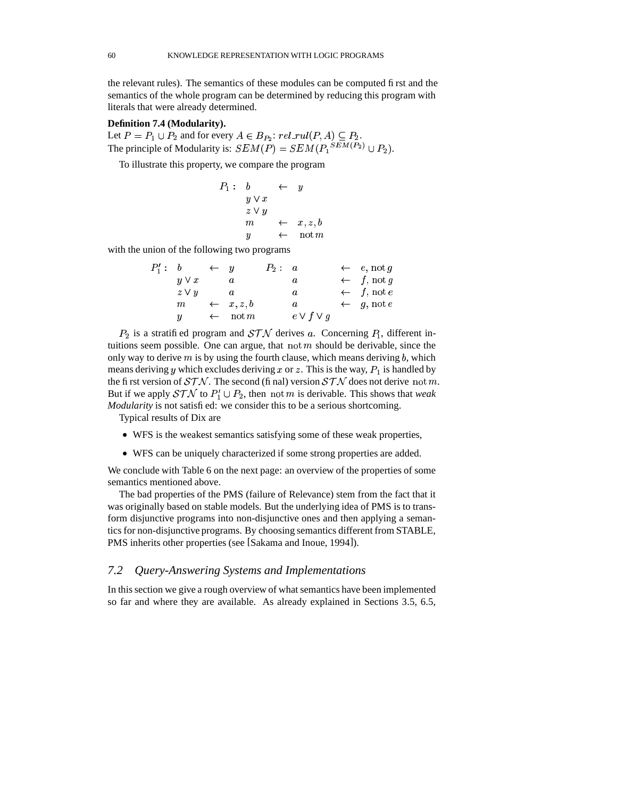the relevant rules). The semantics of these modules can be computed first and the semantics of the whole program can be determined by reducing this program with literals that were already determined.

## **Definition 7.4 (Modularity).**

Let  $P = P_1 \cup P_2$  and for every  $A \in B_{P_2}$ :  $rel\_rul(P, A) \subseteq P_2$ . The principle of Modularity is:  $SEM(P) = SEM(P_1^{SEM(P_2)} \cup P_2)$ .

To illustrate this property, we compare the program

$$
P_1: \begin{array}{rcl} b & \leftarrow & y \\ & y \vee x \\ & z \vee y \\ & m & \leftarrow & x, z, b \\ y & \leftarrow & \text{not } m \end{array}
$$

with the union of the following two programs

| $P'_1: b$ |            | $\leftarrow$ y |                        | $P_2: a$ |                   | $\leftarrow e$ , not g |
|-----------|------------|----------------|------------------------|----------|-------------------|------------------------|
|           | $y \vee x$ |                | a                      |          | a                 | $\leftarrow$ f, not g  |
|           | $z \vee y$ |                | $\it a$                |          | a                 | $\leftarrow$ f, not e  |
|           | $\,m$      |                | $\leftarrow$ $x, z, b$ |          | $\it a$           | $\leftarrow$ q, not e  |
|           | U          |                | $\mod m$               |          | $e \vee f \vee g$ |                        |

 $P_2$  is a stratified program and  $\mathcal{STN}$  derives a. Concerning  $P_1$ , different in-<br>tions seem possible. One can argue that not m should be derivable, since the tuitions seem possible. One can argue, that not  $m$  should be derivable, since the only way to derive  $m$  is by using the fourth clause, which means deriving  $b$ , which means deriving y which excludes deriving x or z. This is the way,  $P_1$  is handled by the first version of  $STN$ . The second (final) version  $STN$  does not derive not m.<br>But if we apply  $STN$  to  $P' \cup P_2$  then not m is derivable. This shows that weak But if we apply  $STN$  to  $P'_1 \cup P_2$ , then not m is derivable. This shows that *weak Modularity* is not satisfied: we consider this to be a serious shortcoming *Modularity* is not satisfied: we consider this to be a serious shortcoming.

Typical results of Dix are

- WFS is the weakest semantics satisfying some of these weak properties,
- WFS can be uniquely characterized if some strong properties are added.

We conclude with Table 6 on the next page: an overview of the properties of some semantics mentioned above.

The bad properties of the PMS (failure of Relevance) stem from the fact that it was originally based on stable models. But the underlying idea of PMS is to transform disjunctive programs into non-disjunctive ones and then applying a semantics for non-disjunctive programs. By choosing semantics different from STABLE, PMS inherits other properties (see [Sakama and Inoue, 1994]).

# *7.2 Query-Answering Systems and Implementations*

In this section we give a rough overview of what semantics have been implemented so far and where they are available. As already explained in Sections 3.5, 6.5,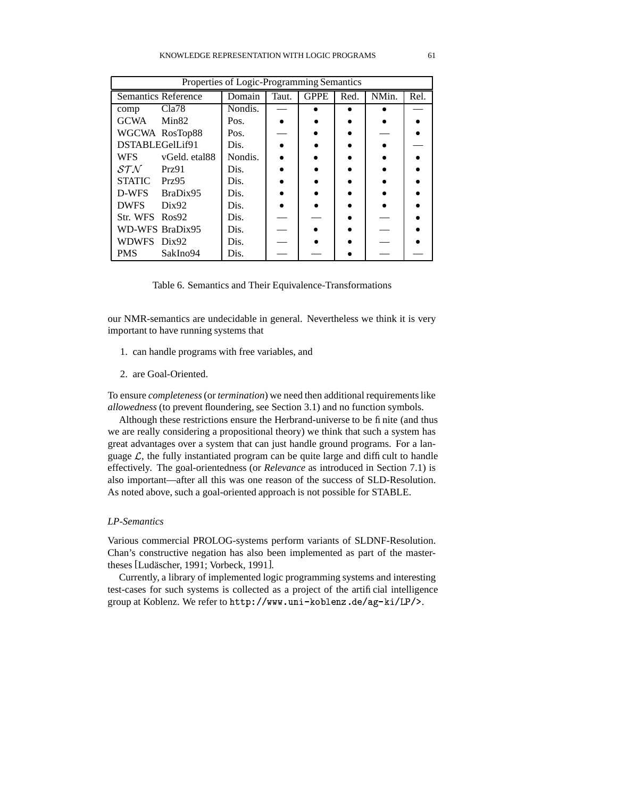| Properties of Logic-Programming Semantics |         |       |             |      |       |      |  |  |
|-------------------------------------------|---------|-------|-------------|------|-------|------|--|--|
| <b>Semantics Reference</b>                | Domain  | Taut. | <b>GPPE</b> | Red. | NMin. | Rel. |  |  |
| Cla78<br>comp                             | Nondis. |       |             |      |       |      |  |  |
| <b>GCWA</b><br>Min <sub>82</sub>          | Pos.    |       |             |      |       |      |  |  |
| WGCWA RosTop88                            | Pos.    |       |             |      |       |      |  |  |
| DSTABLEGelLif91                           | Dis.    |       |             |      |       |      |  |  |
| <b>WFS</b><br>vGeld. etal88               | Nondis. |       |             |      |       |      |  |  |
| $\mathcal{STN}$<br>Prz91                  | Dis.    |       |             |      |       |      |  |  |
| <b>STATIC</b><br>Prz95                    | Dis.    |       |             |      |       |      |  |  |
| D-WFS<br>BraDix95                         | Dis.    |       |             |      |       |      |  |  |
| <b>DWFS</b><br>$_{\rm{Dix92}}$            | Dis.    |       |             |      |       |      |  |  |
| Str. WFS Ros92                            | Dis.    |       |             |      |       |      |  |  |
| <b>WD-WFS BraDix95</b>                    | Dis.    |       |             |      |       |      |  |  |
| <b>WDWFS</b><br>Dix92                     | Dis.    |       |             |      |       |      |  |  |
| PMS.<br>SakIno94                          | Dis.    |       |             |      |       |      |  |  |

Table 6. Semantics and Their Equivalence-Transformations

our NMR-semantics are undecidable in general. Nevertheless we think it is very important to have running systems that

- 1. can handle programs with free variables, and
- 2. are Goal-Oriented.

To ensure *completeness* (or *termination*) we need then additional requirementslike *allowedness* (to prevent floundering, see Section 3.1) and no function symbols.

Although these restrictions ensure the Herbrand-universe to be finite (and thus we are really considering a propositional theory) we think that such a system has great advantages over a system that can just handle ground programs. For a language  $\mathcal{L}$ , the fully instantiated program can be quite large and difficult to handle effectively. The goal-orientedness (or *Relevance* as introduced in Section 7.1) is also important—after all this was one reason of the success of SLD-Resolution. As noted above, such a goal-oriented approach is not possible for STABLE.

# *LP-Semantics*

Various commercial PROLOG-systems perform variants of SLDNF-Resolution. Chan's constructive negation has also been implemented as part of the mastertheses [Ludäscher, 1991; Vorbeck, 1991].

Currently, a library of implemented logic programming systems and interesting test-cases for such systems is collected as a project of the artificial intelligence group at Koblenz. We refer to http://www.uni-koblenz.de/ag-ki/LP/>.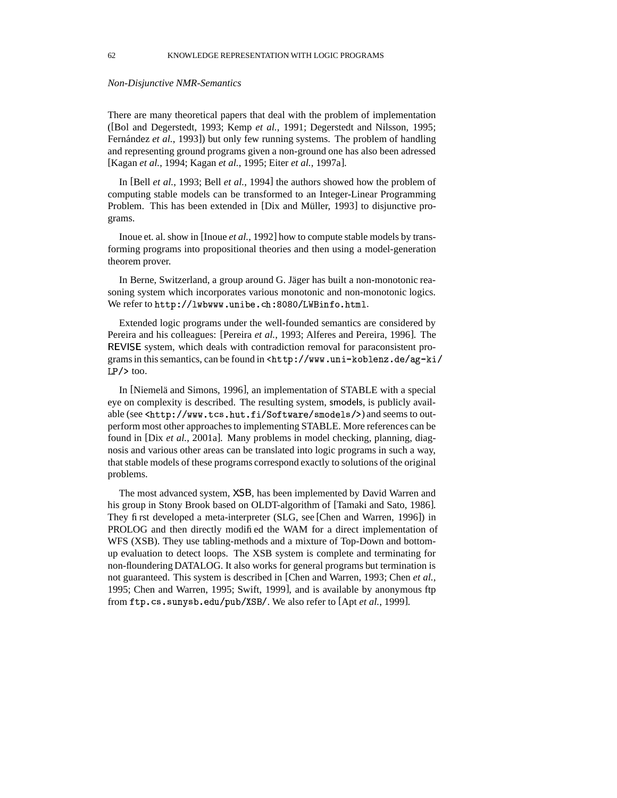#### *Non-Disjunctive NMR-Semantics*

There are many theoretical papers that deal with the problem of implementation ([Bol and Degerstedt, 1993; Kemp *et al.*, 1991; Degerstedt and Nilsson, 1995; Fernández et al., 1993]) but only few running systems. The problem of handling and representing ground programs given a non-ground one has also been adressed [Kagan *et al.*, 1994; Kagan *et al.*, 1995; Eiter *et al.*, 1997a].

In [Bell *et al.*, 1993; Bell *et al.*, 1994] the authors showed how the problem of computing stable models can be transformed to an Integer-Linear Programming Problem. This has been extended in  $[Dix]$  and Müller, 1993] to disjunctive programs.

Inoue et. al. show in [Inoue *et al.*, 1992] how to compute stable models by transforming programs into propositional theories and then using a model-generation theorem prover.

In Berne, Switzerland, a group around G. Jäger has built a non-monotonic reasoning system which incorporates various monotonic and non-monotonic logics.  $\rm{We\,\,refer\,\,to\,\,http://lwbwww.unibe.ch:8080/LWBinfo.html.}$ 

Extended logic programs under the well-founded semantics are considered by Pereira and his colleagues: [Pereira *et al.*, 1993; Alferes and Pereira, 1996]. The REVISE system, which deals with contradiction removal for paraconsistent programs in this semantics, can be found in <code><http://www.uni-koblenz.de/ag-ki/</code>  $LP$  too.

In [Niemelä and Simons, 1996], an implementation of STABLE with a special eye on complexity is described. The resulting system, smodels, is publicly available (see <http://www.tcs.hut.fi/Software/smodels/>) and seems to outperform most other approaches to implementing STABLE. More references can be found in [Dix *et al.*, 2001a]. Many problems in model checking, planning, diagnosis and various other areas can be translated into logic programs in such a way, that stable models of these programs correspond exactly to solutions of the original problems.

The most advanced system, XSB, has been implemented by David Warren and his group in Stony Brook based on OLDT-algorithm of [Tamaki and Sato, 1986]. They first developed a meta-interpreter (SLG, see [Chen and Warren, 1996]) in PROLOG and then directly modified the WAM for a direct implementation of WFS (XSB). They use tabling-methods and a mixture of Top-Down and bottomup evaluation to detect loops. The XSB system is complete and terminating for non-floundering DATALOG. It also works for general programs but termination is not guaranteed. This system is described in [Chen and Warren, 1993; Chen *et al.*, 1995; Chen and Warren, 1995; Swift, 1999], and is available by anonymous ftp from ftp.cs.sunysb.edu/pub/XSB/. We also refer to [Apt *et al.*, 1999].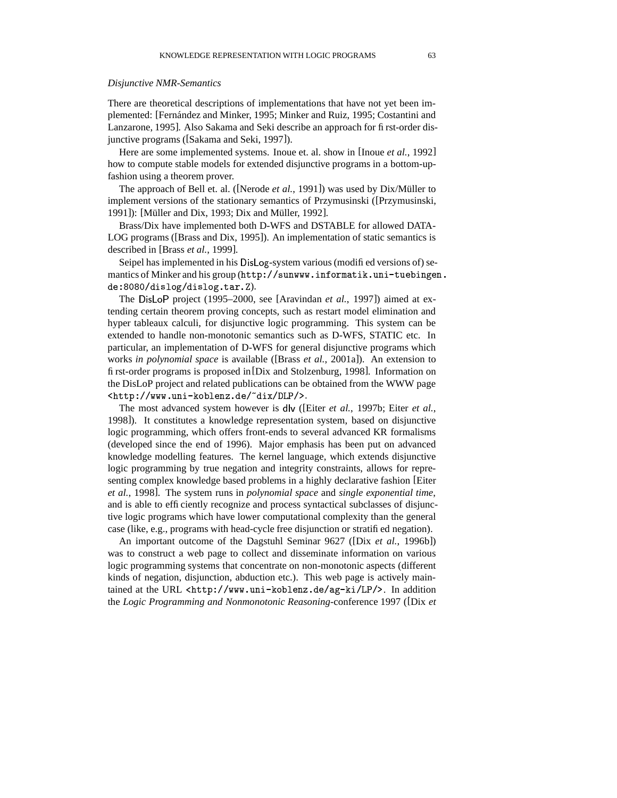#### *Disjunctive NMR-Semantics*

There are theoretical descriptions of implementations that have not yet been implemented: [Fernández and Minker, 1995; Minker and Ruiz, 1995; Costantini and Lanzarone, 1995]. Also Sakama and Seki describe an approach for first-order disjunctive programs ([Sakama and Seki, 1997]).

Here are some implemented systems. Inoue et. al. show in [Inoue *et al.*, 1992] how to compute stable models for extended disjunctive programs in a bottom-upfashion using a theorem prover.

The approach of Bell et. al. ([Nerode *et al.*, 1991]) was used by Dix/Müller to implement versions of the stationary semantics of Przymusinski ([Przymusinski, 1991]): [Müller and Dix, 1993; Dix and Müller, 1992].

Brass/Dix have implemented both D-WFS and DSTABLE for allowed DATA-LOG programs ([Brass and Dix, 1995]). An implementation of static semantics is described in [Brass *et al.*, 1999].

Seipel has implemented in his DisLog-system various (modified versions of) semantics of Minker and his group (http://sunwww.informatik.uni-tuebingen. de:8080/dislog/dislog.tar.Z).

The DisLoP project (1995–2000, see [Aravindan *et al.*, 1997]) aimed at extending certain theorem proving concepts, such as restart model elimination and hyper tableaux calculi, for disjunctive logic programming. This system can be extended to handle non-monotonic semantics such as D-WFS, STATIC etc. In particular, an implementation of D-WFS for general disjunctive programs which works *in polynomial space* is available ([Brass *et al.*, 2001a]). An extension to first-order programs is proposed in[Dix and Stolzenburg, 1998]. Information on the DisLoP project and related publications can be obtained from the WWW page <http://www.uni-koblenz.de/~dix/DLP/>.

The most advanced system however is dlv ([Eiter et al., 1997b; Eiter et al., 1998]). It constitutes a knowledge representation system, based on disjunctive logic programming, which offers front-ends to several advanced KR formalisms (developed since the end of 1996). Major emphasis has been put on advanced knowledge modelling features. The kernel language, which extends disjunctive logic programming by true negation and integrity constraints, allows for representing complex knowledge based problems in a highly declarative fashion [Eiter *et al.*, 1998]. The system runs in *polynomial space* and *single exponential time*, and is able to efficiently recognize and process syntactical subclasses of disjunctive logic programs which have lower computational complexity than the general case (like, e.g., programs with head-cycle free disjunction or stratified negation).

An important outcome of the Dagstuhl Seminar 9627 ([Dix *et al.*, 1996b]) was to construct a web page to collect and disseminate information on various logic programming systems that concentrate on non-monotonic aspects (different kinds of negation, disjunction, abduction etc.). This web page is actively maintained at the URL <http://www.uni-koblenz.de/ag-ki/LP/>. In addition the *Logic Programming and Nonmonotonic Reasoning*-conference 1997 ([Dix *et*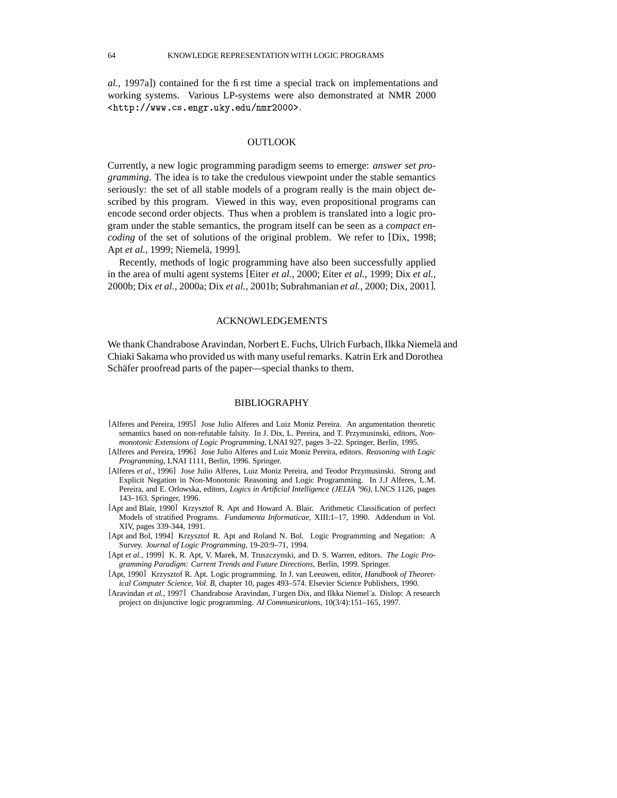*al.*, 1997a]) contained for the first time a special track on implementations and working systems. Various LP-systems were also demonstrated at NMR 2000 <http://www.cs.engr.uky.edu/nmr2000>.

### **OUTLOOK**

Currently, a new logic programming paradigm seems to emerge: *answer set programming*. The idea is to take the credulous viewpoint under the stable semantics seriously: the set of all stable models of a program really is the main object described by this program. Viewed in this way, even propositional programs can encode second order objects. Thus when a problem is translated into a logic program under the stable semantics, the program itself can be seen as a *compact encoding* of the set of solutions of the original problem. We refer to [Dix, 1998; Apt *et al.*, 1999; Niemelä, 1999].

Recently, methods of logic programming have also been successfully applied in the area of multi agent systems [Eiter *et al.*, 2000; Eiter *et al.*, 1999; Dix *et al.*, 2000b; Dix *et al.*, 2000a; Dix *et al.*, 2001b; Subrahmanian *et al.*, 2000; Dix, 2001].

### ACKNOWLEDGEMENTS

We thank Chandrabose Aravindan, Norbert E. Fuchs, Ulrich Furbach, Ilkka Niemelä and Chiaki Sakama who provided us with many useful remarks. Katrin Erk and Dorothea Schäfer proofread parts of the paper—special thanks to them.

### BIBLIOGRAPHY

- [Alferes and Pereira, 1995] Jose Julio Alferes and Luiz Moniz Pereira. An argumentation theoretic semantics based on non-refutable falsity. In J. Dix, L. Pereira, and T. Przymusinski, editors, *Nonmonotonic Extensions of Logic Programming*, LNAI 927, pages 3–22. Springer, Berlin, 1995.
- [Alferes and Pereira, 1996] Jose Julio Alferes and Luiz Moniz Pereira, editors. *Reasoning with Logic Programming*, LNAI 1111, Berlin, 1996. Springer.
- [Alferes *et al.*, 1996] Jose Julio Alferes, Luiz Moniz Pereira, and Teodor Przymusinski. Strong and Explicit Negation in Non-Monotonic Reasoning and Logic Programming. In J.J Alferes, L.M. Pereira, and E. Orlowska, editors, *Logics in Artificial Intelligence (JELIA '96)*, LNCS 1126, pages 143–163. Springer, 1996.
- [Apt and Blair, 1990] Krzysztof R. Apt and Howard A. Blair. Arithmetic Classification of perfect Models of stratified Programs. *Fundamenta Informaticae*, XIII:1–17, 1990. Addendum in Vol. XIV, pages 339-344, 1991.
- [Apt and Bol, 1994] Krzysztof R. Apt and Roland N. Bol. Logic Programming and Negation: A Survey. *Journal of Logic Programming*, 19-20:9–71, 1994.
- [Apt *et al.*, 1999] K. R. Apt, V. Marek, M. Truszczynski, and D. S. Warren, editors. *The Logic Programming Paradigm: Current Trends and Future Directions*, Berlin, 1999. Springer.
- [Apt, 1990] Krzysztof R. Apt. Logic programming. In J. van Leeuwen, editor, *Handbook of Theoretical Computer Science, Vol. B*, chapter 10, pages 493–574. Elsevier Science Publishers, 1990.
- [Aravindan *et al.*, 1997] Chandrabose Aravindan, J¨urgen Dix, and Ilkka Niemel¨a. Dislop: A research project on disjunctive logic programming. *AI Communications*, 10(3/4):151–165, 1997.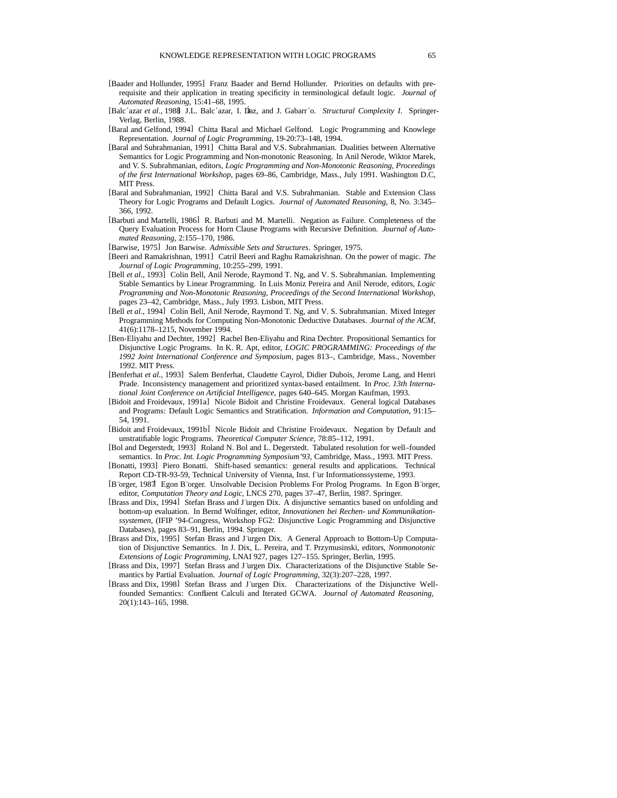- [Baader and Hollunder, 1995] Franz Baader and Bernd Hollunder. Priorities on defaults with prerequisite and their application in treating specificity in terminological default logic. *Journal of Automated Reasoning*, 15:41–68, 1995.
- [Balc´azar et al., 1988 J.L. Balc´azar, I. Daz, and J. Gabarr´o. *Structural Complexity I*. Springer-Verlag, Berlin, 1988.
- [Baral and Gelfond, 1994] Chitta Baral and Michael Gelfond. Logic Programming and Knowlege Representation. *Journal of Logic Programming*, 19-20:73–148, 1994.
- [Baral and Subrahmanian, 1991] Chitta Baral and V.S. Subrahmanian. Dualities between Alternative Semantics for Logic Programming and Non-monotonic Reasoning. In Anil Nerode, Wiktor Marek, and V. S. Subrahmanian, editors, *Logic Programming and Non-Monotonic Reasoning, Proceedings of the first International Workshop*, pages 69–86, Cambridge, Mass., July 1991. Washington D.C, MIT Press.
- [Baral and Subrahmanian, 1992] Chitta Baral and V.S. Subrahmanian. Stable and Extension Class Theory for Logic Programs and Default Logics. *Journal of Automated Reasoning*, 8, No. 3:345– 366, 1992.
- [Barbuti and Martelli, 1986] R. Barbuti and M. Martelli. Negation as Failure. Completeness of the Query Evaluation Process for Horn Clause Programs with Recursive Definition. *Journal of Automated Reasoning*, 2:155–170, 1986.
- [Barwise, 1975] Jon Barwise. *Admissible Sets and Structures*. Springer, 1975.
- [Beeri and Ramakrishnan, 1991] Catril Beeri and Raghu Ramakrishnan. On the power of magic. *The Journal of Logic Programming*, 10:255–299, 1991.
- [Bell *et al.*, 1993] Colin Bell, Anil Nerode, Raymond T. Ng, and V. S. Subrahmanian. Implementing Stable Semantics by Linear Programming. In Luis Moniz Pereira and Anil Nerode, editors, *Logic Programming and Non-Monotonic Reasoning, Proceedings of the Second International Workshop*, pages 23–42, Cambridge, Mass., July 1993. Lisbon, MIT Press.
- [Bell *et al.*, 1994] Colin Bell, Anil Nerode, Raymond T. Ng, and V. S. Subrahmanian. Mixed Integer Programming Methods for Computing Non-Monotonic Deductive Databases. *Journal of the ACM*, 41(6):1178–1215, November 1994.
- [Ben-Eliyahu and Dechter, 1992] Rachel Ben-Eliyahu and Rina Dechter. Propositional Semantics for Disjunctive Logic Programs. In K. R. Apt, editor, *LOGIC PROGRAMMING: Proceedings of the 1992 Joint International Conference and Symposium*, pages 813–, Cambridge, Mass., November 1992. MIT Press.
- [Benferhat *et al.*, 1993] Salem Benferhat, Claudette Cayrol, Didier Dubois, Jerome Lang, and Henri Prade. Inconsistency management and prioritized syntax-based entailment. In *Proc. 13th International Joint Conference on Artificial Intelligence*, pages 640–645. Morgan Kaufman, 1993.
- [Bidoit and Froidevaux, 1991a] Nicole Bidoit and Christine Froidevaux. General logical Databases and Programs: Default Logic Semantics and Stratification. *Information and Computation*, 91:15– 54, 1991.
- [Bidoit and Froidevaux, 1991b] Nicole Bidoit and Christine Froidevaux. Negation by Default and unstratifiable logic Programs. *Theoretical Computer Science*, 78:85–112, 1991.
- [Bol and Degerstedt, 1993] Roland N. Bol and L. Degerstedt. Tabulated resolution for well–founded semantics. In *Proc. Int. Logic Programming Symposium'93*, Cambridge, Mass., 1993. MIT Press.
- [Bonatti, 1993] Piero Bonatti. Shift-based semantics: general results and applications. Technical Report CD-TR-93-59, Technical University of Vienna, Inst. f ur Informationssysteme, 1993.
- [B¨orger, 1987] Egon B¨orger. Unsolvable Decision Problems For Prolog Programs. In Egon B¨orger, editor, *Computation Theory and Logic*, LNCS 270, pages 37–47, Berlin, 1987. Springer.
- [Brass and Dix, 1994] Stefan Brass and J¨urgen Dix. A disjunctive semantics based on unfolding and bottom-up evaluation. In Bernd Wolfinger, editor, *Innovationen bei Rechen- und Kommunikationssystemen,* (IFIP '94-Congress, Workshop FG2: Disjunctive Logic Programming and Disjunctive Databases), pages 83–91, Berlin, 1994. Springer.
- [Brass and Dix, 1995] Stefan Brass and J`urgen Dix. A General Approach to Bottom-Up Computation of Disjunctive Semantics. In J. Dix, L. Pereira, and T. Przymusinski, editors, *Nonmonotonic Extensions of Logic Programming*, LNAI 927, pages 127–155. Springer, Berlin, 1995.
- [Brass and Dix, 1997] Stefan Brass and J¨urgen Dix. Characterizations of the Disjunctive Stable Semantics by Partial Evaluation. *Journal of Logic Programming*, 32(3):207–228, 1997.
- [Brass and Dix, 1998] Stefan Brass and J¨urgen Dix. Characterizations of the Disjunctive Wellfounded Semantics: Confluent Calculi and Iterated GCWA. *Journal of Automated Reasoning*, 20(1):143–165, 1998.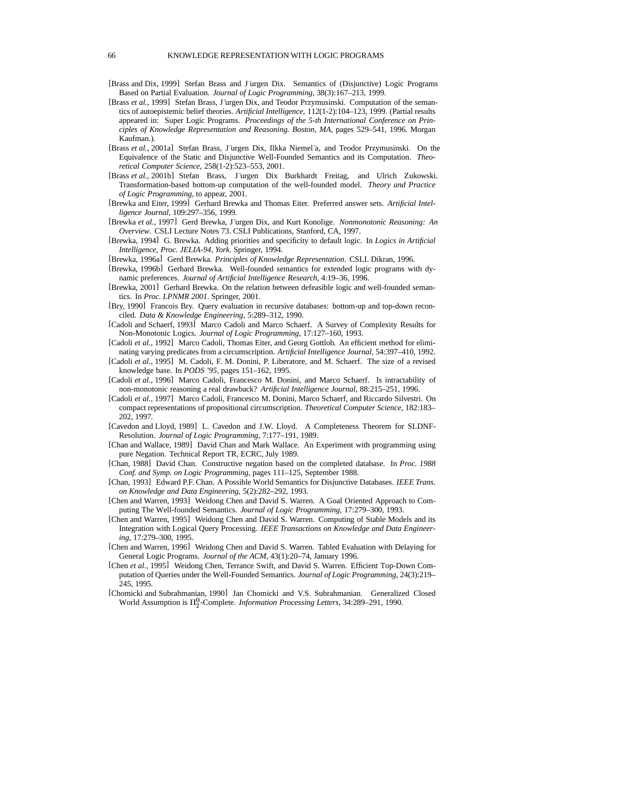- [Brass and Dix, 1999] Stefan Brass and J¨urgen Dix. Semantics of (Disjunctive) Logic Programs Based on Partial Evaluation. *Journal of Logic Programming*, 38(3):167–213, 1999.
- [Brass *et al.*, 1999] Stefan Brass, Jürgen Dix, and Teodor Przymusinski. Computation of the semantics of autoepistemic belief theories. *Artificial Intelligence*, 112(1-2):104–123, 1999. (Partial results appeared in: Super Logic Programs. *Proceedings of the 5-th International Conference on Principles of Knowledge Representation and Reasoning. Boston, MA*, pages 529–541, 1996. Morgan Kaufman.).
- [Brass *et al.*, 2001a] Stefan Brass, J¨urgen Dix, Ilkka Niemel¨a, and Teodor Przymusinski. On the Equivalence of the Static and Disjunctive Well-Founded Semantics and its Computation. *Theoretical Computer Science*, 258(1-2):523–553, 2001.
- [Brass *et al.*, 2001b] Stefan Brass, J¨urgen Dix Burkhardt Freitag, and Ulrich Zukowski. Transformation-based bottom-up computation of the well-founded model. *Theory and Practice of Logic Programming*, to appear, 2001.
- [Brewka and Eiter, 1999] Gerhard Brewka and Thomas Eiter. Preferred answer sets. *Artificial Intelligence Journal*, 109:297–356, 1999.
- [Brewka *et al.*, 1997] Gerd Brewka, J¨urgen Dix, and Kurt Konolige. *Nonmonotonic Reasoning: An Overview*. CSLI Lecture Notes 73. CSLI Publications, Stanford, CA, 1997.
- [Brewka, 1994] G. Brewka. Adding priorities and specificity to default logic. In *Logics in Artificial Intelligence, Proc. JELIA-94, York*. Springer, 1994.
- [Brewka, 1996a] Gerd Brewka. *Principles of Knowledge Representation*. CSLI. Dikran, 1996.
- [Brewka, 1996b] Gerhard Brewka. Well-founded semantics for extended logic programs with dynamic preferences. *Journal of Artificial Intelligence Research*, 4:19–36, 1996.
- [Brewka, 2001] Gerhard Brewka. On the relation between defeasible logic and well-founded semantics. In *Proc. LPNMR 2001*. Springer, 2001.
- [Bry, 1990] Francois Bry. Query evaluation in recursive databases: bottom-up and top-down reconciled. *Data & Knowledge Engineering*, 5:289–312, 1990.
- [Cadoli and Schaerf, 1993] Marco Cadoli and Marco Schaerf. A Survey of Complexity Results for Non-Monotonic Logics. *Journal of Logic Programming*, 17:127–160, 1993.
- [Cadoli *et al.*, 1992] Marco Cadoli, Thomas Eiter, and Georg Gottlob. An efficient method for eliminating varying predicates from a circumscription. *Artificial Intelligence Journal*, 54:397–410, 1992.
- [Cadoli et al., 1995] M. Cadoli, F. M. Donini, P. Liberatore, and M. Schaerf. The size of a revised knowledge base. In *PODS '95*, pages 151–162, 1995.
- [Cadoli *et al.*, 1996] Marco Cadoli, Francesco M. Donini, and Marco Schaerf. Is intractability of non-monotonic reasoning a real drawback? *Artificial Intelligence Journal*, 88:215–251, 1996.
- [Cadoli *et al.*, 1997] Marco Cadoli, Francesco M. Donini, Marco Schaerf, and Riccardo Silvestri. On compact representations of propositional circumscription. *Theoretical Computer Science*, 182:183– 202, 1997.
- [Cavedon and Lloyd, 1989] L. Cavedon and J.W. Lloyd. A Completeness Theorem for SLDNF-Resolution. *Journal of Logic Programming*, 7:177–191, 1989.
- [Chan and Wallace, 1989] David Chan and Mark Wallace. An Experiment with programming using pure Negation. Technical Report TR, ECRC, July 1989.
- [Chan, 1988] David Chan. Constructive negation based on the completed database. In *Proc. 1988 Conf. and Symp. on Logic Programming*, pages 111–125, September 1988.
- [Chan, 1993] Edward P.F. Chan. A Possible World Semantics for Disjunctive Databases. *IEEE Trans. on Knowledge and Data Engineering*, 5(2):282–292, 1993.
- [Chen and Warren, 1993] Weidong Chen and David S. Warren. A Goal Oriented Approach to Computing The Well-founded Semantics. *Journal of Logic Programming*, 17:279–300, 1993.
- [Chen and Warren, 1995] Weidong Chen and David S. Warren. Computing of Stable Models and its Integration with Logical Query Processing. *IEEE Transactions on Knowledge and Data Engineering*, 17:279–300, 1995.
- [Chen and Warren, 1996] Weidong Chen and David S. Warren. Tabled Evaluation with Delaying for General Logic Programs. *Journal of the ACM*, 43(1):20–74, January 1996.
- [Chen *et al.*, 1995] Weidong Chen, Terrance Swift, and David S. Warren. Efficient Top-Down Computation of Queries under the Well-Founded Semantics. *Journal of Logic Programming*, 24(3):219– 245, 1995.
- [Chomicki and Subrahmanian, 1990] Jan Chomicki and V.S. Subrahmanian. Generalized Closed World Assumption is - -Complete. *Information Processing Letters*, 34:289–291, 1990.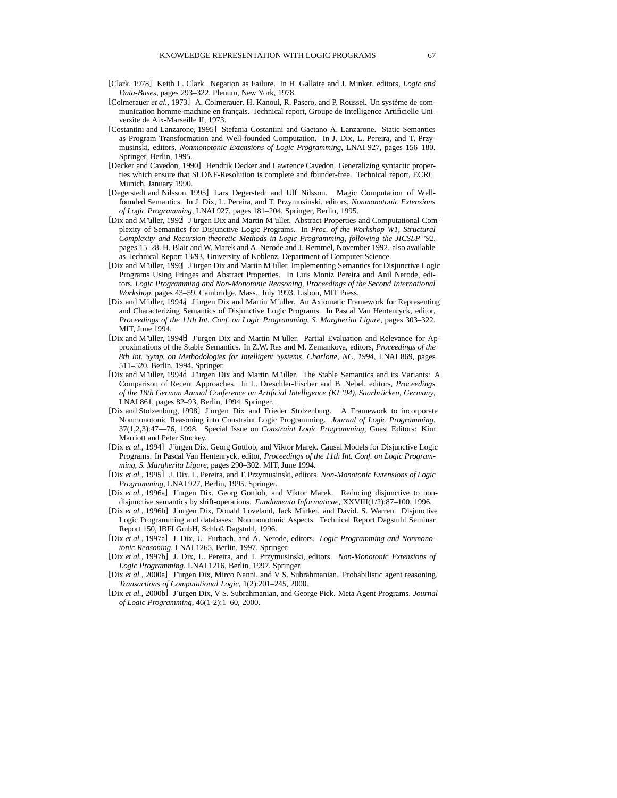- [Clark, 1978] Keith L. Clark. Negation as Failure. In H. Gallaire and J. Minker, editors, *Logic and Data-Bases*, pages 293–322. Plenum, New York, 1978.
- [Colmerauer *et al.*, 1973] A. Colmerauer, H. Kanoui, R. Pasero, and P. Roussel. Un systeme de communication homme-machine en français. Technical report, Groupe de Intelligence Artificielle Universite de Aix-Marseille II, 1973.
- [Costantini and Lanzarone, 1995] Stefania Costantini and Gaetano A. Lanzarone. Static Semantics as Program Transformation and Well-founded Computation. In J. Dix, L. Pereira, and T. Przymusinski, editors, *Nonmonotonic Extensions of Logic Programming*, LNAI 927, pages 156–180. Springer, Berlin, 1995.
- [Decker and Cavedon, 1990] Hendrik Decker and Lawrence Cavedon. Generalizing syntactic properties which ensure that SLDNF-Resolution is complete and flounder-free. Technical report, ECRC Munich, January 1990.
- [Degerstedt and Nilsson, 1995] Lars Degerstedt and Ulf Nilsson. Magic Computation of Wellfounded Semantics. In J. Dix, L. Pereira, and T. Przymusinski, editors, *Nonmonotonic Extensions of Logic Programming*, LNAI 927, pages 181–204. Springer, Berlin, 1995.
- [Dix and M¨uller, 1992] J¨urgen Dix and Martin M¨uller. Abstract Properties and Computational Complexity of Semantics for Disjunctive Logic Programs. In *Proc. of the Workshop W1, Structural Complexity and Recursion-theoretic Methods in Logic Programming, following the JICSLP '92*, pages 15–28. H. Blair and W. Marek and A. Nerode and J. Remmel, November 1992. also available as Technical Report 13/93, University of Koblenz, Department of Computer Science.
- [Dix and M¨uller, 1993] J¨urgen Dix and Martin M¨uller. Implementing Semantics for Disjunctive Logic Programs Using Fringes and Abstract Properties. In Luis Moniz Pereira and Anil Nerode, editors, *Logic Programming and Non-Monotonic Reasoning, Proceedings of the Second International Workshop*, pages 43–59, Cambridge, Mass., July 1993. Lisbon, MIT Press.
- [Dix and M¨uller, 1994a] J¨urgen Dix and Martin M¨uller. An Axiomatic Framework for Representing and Characterizing Semantics of Disjunctive Logic Programs. In Pascal Van Hentenryck, editor, *Proceedings of the 11th Int. Conf. on Logic Programming, S. Margherita Ligure*, pages 303–322. MIT, June 1994.
- [Dix and M¨uller, 1994b] J¨urgen Dix and Martin M¨uller. Partial Evaluation and Relevance for Approximations of the Stable Semantics. In Z.W. Ras and M. Zemankova, editors, *Proceedings of the 8th Int. Symp. on Methodologies for Intelligent Systems, Charlotte, NC, 1994*, LNAI 869, pages 511–520, Berlin, 1994. Springer.
- [Dix and M¨uller, 1994d J¨urgen Dix and Martin M¨uller. The Stable Semantics and its Variants: A Comparison of Recent Approaches. In L. Dreschler-Fischer and B. Nebel, editors, *Proceedings of the 18th German Annual Conference on Artificial Intelligence (KI '94), Saarbruc¨ ken, Germany*, LNAI 861, pages 82–93, Berlin, 1994. Springer.
- [Dix and Stolzenburg, 1998] J`urgen Dix and Frieder Stolzenburg. A Framework to incorporate Nonmonotonic Reasoning into Constraint Logic Programming. *Journal of Logic Programming*, 37(1,2,3):47—76, 1998. Special Issue on *Constraint Logic Programming*, Guest Editors: Kim Marriott and Peter Stuckey.
- [Dix *et al.*, 1994] J¨urgen Dix, Georg Gottlob, and Viktor Marek. Causal Models for Disjunctive Logic Programs. In Pascal Van Hentenryck, editor, *Proceedings of the 11th Int. Conf. on Logic Programming, S. Margherita Ligure*, pages 290–302. MIT, June 1994.
- [Dix *et al.*, 1995] J. Dix, L. Pereira, and T. Przymusinski, editors. *Non-Monotonic Extensions of Logic Programming*, LNAI 927, Berlin, 1995. Springer.
- [Dix et al., 1996a] J urgen Dix, Georg Gottlob, and Viktor Marek. Reducing disjunctive to nondisjunctive semantics by shift-operations. *Fundamenta Informaticae*, XXVIII(1/2):87–100, 1996.
- [Dix et al., 1996b] J'urgen Dix, Donald Loveland, Jack Minker, and David. S. Warren. Disjunctive Logic Programming and databases: Nonmonotonic Aspects. Technical Report Dagstuhl Seminar Report 150, IBFI GmbH, Schloß Dagstuhl, 1996.
- [Dix *et al.*, 1997a] J. Dix, U. Furbach, and A. Nerode, editors. *Logic Programming and Nonmonotonic Reasoning*, LNAI 1265, Berlin, 1997. Springer.
- [Dix *et al.*, 1997b] J. Dix, L. Pereira, and T. Przymusinski, editors. *Non-Monotonic Extensions of Logic Programming*, LNAI 1216, Berlin, 1997. Springer.
- [Dix *et al.*, 2000a] J¨urgen Dix, Mirco Nanni, and V S. Subrahmanian. Probabilistic agent reasoning. *Transactions of Computational Logic*, 1(2):201–245, 2000.
- [Dix *et al.*, 2000b] J¨urgen Dix, V S. Subrahmanian, and George Pick. Meta Agent Programs. *Journal of Logic Programming*, 46(1-2):1–60, 2000.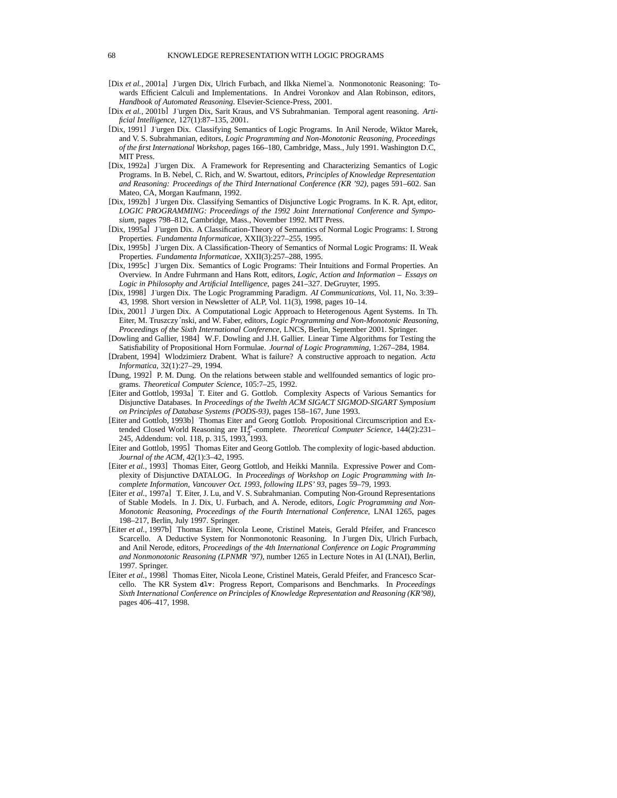- [Dix *et al.*, 2001a] J¨urgen Dix, Ulrich Furbach, and Ilkka Niemel¨a. Nonmonotonic Reasoning: Towards Efficient Calculi and Implementations. In Andrei Voronkov and Alan Robinson, editors, *Handbook of Automated Reasoning*. Elsevier-Science-Press, 2001.
- [Dix *et al.*, 2001b] J¨urgen Dix, Sarit Kraus, and VS Subrahmanian. Temporal agent reasoning. *Artificial Intelligence*, 127(1):87–135, 2001.
- [Dix, 1991] J¨urgen Dix. Classifying Semantics of Logic Programs. In Anil Nerode, Wiktor Marek, and V. S. Subrahmanian, editors, *Logic Programming and Non-Monotonic Reasoning, Proceedings of the first International Workshop*, pages 166–180, Cambridge, Mass., July 1991. Washington D.C, MIT Press.
- [Dix, 1992a] J¨urgen Dix. A Framework for Representing and Characterizing Semantics of Logic Programs. In B. Nebel, C. Rich, and W. Swartout, editors, *Principles of Knowledge Representation and Reasoning: Proceedings of the Third International Conference (KR '92)*, pages 591–602. San Mateo, CA, Morgan Kaufmann, 1992.
- [Dix, 1992b] J¨urgen Dix. Classifying Semantics of Disjunctive Logic Programs. In K. R. Apt, editor, *LOGIC PROGRAMMING: Proceedings of the 1992 Joint International Conference and Symposium*, pages 798–812, Cambridge, Mass., November 1992. MIT Press.
- [Dix, 1995a] J¨urgen Dix. A Classification-Theory of Semantics of Normal Logic Programs: I. Strong Properties. *Fundamenta Informaticae*, XXII(3):227–255, 1995.
- [Dix, 1995b] J¨urgen Dix. A Classification-Theory of Semantics of Normal Logic Programs: II. Weak Properties. *Fundamenta Informaticae*, XXII(3):257–288, 1995.
- [Dix, 1995c] J¨urgen Dix. Semantics of Logic Programs: Their Intuitions and Formal Properties. An Overview. In Andre Fuhrmann and Hans Rott, editors, *Logic, Action and Information – Essays on Logic in Philosophy and Artificial Intelligence*, pages 241–327. DeGruyter, 1995.
- [Dix, 1998] J¨urgen Dix. The Logic Programming Paradigm. *AI Communications*, Vol. 11, No. 3:39– 43, 1998. Short version in Newsletter of ALP, Vol. 11(3), 1998, pages 10–14.
- [Dix, 2001] J¨urgen Dix. A Computational Logic Approach to Heterogenous Agent Systems. In Th. Eiter, M. Truszczy´nski, and W. Faber, editors, *Logic Programming and Non-Monotonic Reasoning, Proceedings of the Sixth International Conference*, LNCS, Berlin, September 2001. Springer.
- [Dowling and Gallier, 1984] W.F. Dowling and J.H. Gallier. Linear Time Algorithms for Testing the Satisfiability of Propositional Horn Formulae. *Journal of Logic Programming*, 1:267–284, 1984.
- [Drabent, 1994] Wlodzimierz Drabent. What is failure? A constructive approach to negation. *Acta Informatica*, 32(1):27–29, 1994.
- [Dung, 1992] P. M. Dung. On the relations between stable and wellfounded semantics of logic programs. *Theoretical Computer Science*, 105:7–25, 1992.
- [Eiter and Gottlob, 1993a] T. Eiter and G. Gottlob. Complexity Aspects of Various Semantics for Disjunctive Databases. In *Proceedings of the Twelth ACM SIGACT SIGMOD-SIGART Symposium on Principles of Database Systems (PODS-93)*, pages 158–167, June 1993.
- [Eiter and Gottlob, 1993b] Thomas Eiter and Georg Gottlob. Propositional Circumscription and Extended Closed World Reasoning are  $\Pi_2^P$ -complete. *Theoretical Computer Science*, 144(2):231– 245, Addendum: vol. 118, p. 315, 1993, 1993.
- [Eiter and Gottlob, 1995] Thomas Eiter and Georg Gottlob. The complexity of logic-based abduction. *Journal of the ACM*, 42(1):3–42, 1995.
- [Eiter et al., 1993] Thomas Eiter, Georg Gottlob, and Heikki Mannila. Expressive Power and Complexity of Disjunctive DATALOG. In *Proceedings of Workshop on Logic Programming with Incomplete Information, Vancouver Oct. 1993, following ILPS' 93*, pages 59–79, 1993.
- [Eiter *et al.*, 1997a] T. Eiter, J. Lu, and V. S. Subrahmanian. Computing Non-Ground Representations of Stable Models. In J. Dix, U. Furbach, and A. Nerode, editors, *Logic Programming and Non-Monotonic Reasoning, Proceedings of the Fourth International Conference*, LNAI 1265, pages 198–217, Berlin, July 1997. Springer.
- [Eiter *et al.*, 1997b] Thomas Eiter, Nicola Leone, Cristinel Mateis, Gerald Pfeifer, and Francesco Scarcello. A Deductive System for Nonmonotonic Reasoning. In J¨urgen Dix, Ulrich Furbach, and Anil Nerode, editors, *Proceedings of the 4th International Conference on Logic Programming and Nonmonotonic Reasoning (LPNMR '97)*, number 1265 in Lecture Notes in AI (LNAI), Berlin, 1997. Springer.
- [Eiter *et al.*, 1998] Thomas Eiter, Nicola Leone, Cristinel Mateis, Gerald Pfeifer, and Francesco Scarcello. The KR System  : Progress Report, Comparisons and Benchmarks. In *Proceedings Sixth International Conference on Principles of Knowledge Representation and Reasoning (KR'98)*, pages 406–417, 1998.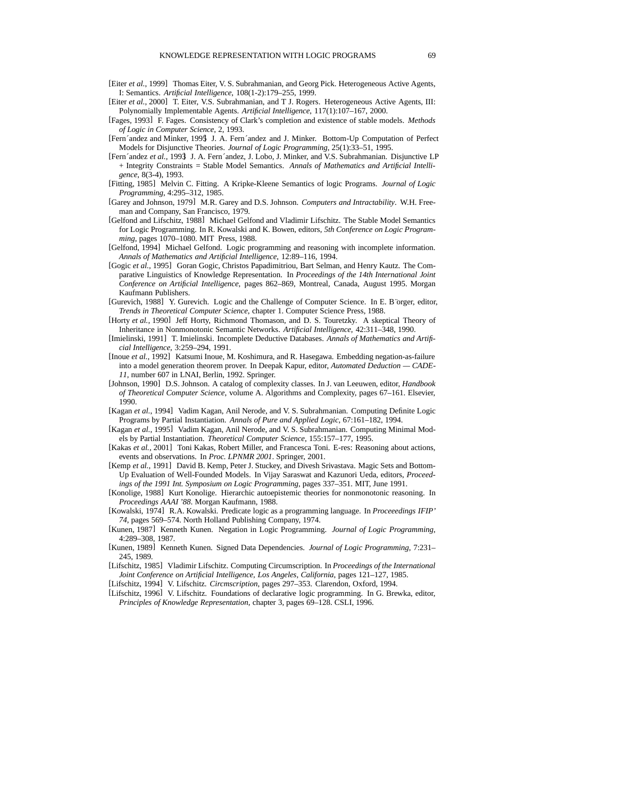- [Eiter *et al.*, 1999] Thomas Eiter, V. S. Subrahmanian, and Georg Pick. Heterogeneous Active Agents, I: Semantics. *Artificial Intelligence*, 108(1-2):179–255, 1999.
- [Eiter *et al.*, 2000] T. Eiter, V.S. Subrahmanian, and T J. Rogers. Heterogeneous Active Agents, III: Polynomially Implementable Agents. *Artificial Intelligence*, 117(1):107–167, 2000.
- [Fages, 1993] F. Fages. Consistency of Clark's completion and existence of stable models. *Methods of Logic in Computer Science*, 2, 1993.
- [Fern´andez and Minker, 1995] J. A. Fern´andez and J. Minker. Bottom-Up Computation of Perfect Models for Disjunctive Theories. *Journal of Logic Programming*, 25(1):33–51, 1995.
- [Fern´andez *et al.*, 1993] J. A. Fern´andez, J. Lobo, J. Minker, and V.S. Subrahmanian. Disjunctive LP + Integrity Constraints = Stable Model Semantics. *Annals of Mathematics and Artificial Intelligence*, 8(3-4), 1993.
- [Fitting, 1985] Melvin C. Fitting. A Kripke-Kleene Semantics of logic Programs. *Journal of Logic Programming*, 4:295–312, 1985.
- [Garey and Johnson, 1979] M.R. Garey and D.S. Johnson. *Computers and Intractability*. W.H. Freeman and Company, San Francisco, 1979.
- [Gelfond and Lifschitz, 1988] Michael Gelfond and Vladimir Lifschitz. The Stable Model Semantics for Logic Programming. In R. Kowalski and K. Bowen, editors, *5th Conference on Logic Programming*, pages 1070–1080. MIT Press, 1988.
- [Gelfond, 1994] Michael Gelfond. Logic programming and reasoning with incomplete information. *Annals of Mathematics and Artificial Intelligence*, 12:89–116, 1994.
- [Gogic *et al.*, 1995] Goran Gogic, Christos Papadimitriou, Bart Selman, and Henry Kautz. The Comparative Linguistics of Knowledge Representation. In *Proceedings of the 14th International Joint Conference on Artificial Intelligence*, pages 862–869, Montreal, Canada, August 1995. Morgan Kaufmann Publishers.
- [Gurevich, 1988] Y. Gurevich. Logic and the Challenge of Computer Science. In E. B orger, editor, *Trends in Theoretical Computer Science*, chapter 1. Computer Science Press, 1988.
- [Horty *et al.*, 1990] Jeff Horty, Richmond Thomason, and D. S. Touretzky. A skeptical Theory of Inheritance in Nonmonotonic Semantic Networks. *Artificial Intelligence*, 42:311–348, 1990.
- [Imielinski, 1991] T. Imielinski. Incomplete Deductive Databases. *Annals of Mathematics and Artificial Intelligence*, 3:259–294, 1991.
- [Inoue *et al.*, 1992] Katsumi Inoue, M. Koshimura, and R. Hasegawa. Embedding negation-as-failure into a model generation theorem prover. In Deepak Kapur, editor, *Automated Deduction — CADE-11*, number 607 in LNAI, Berlin, 1992. Springer.
- [Johnson, 1990] D.S. Johnson. A catalog of complexity classes. In J. van Leeuwen, editor, *Handbook of Theoretical Computer Science*, volume A. Algorithms and Complexity, pages 67–161. Elsevier, 1990.
- [Kagan *et al.*, 1994] Vadim Kagan, Anil Nerode, and V. S. Subrahmanian. Computing Definite Logic Programs by Partial Instantiation. *Annals of Pure and Applied Logic*, 67:161–182, 1994.
- [Kagan *et al.*, 1995] Vadim Kagan, Anil Nerode, and V. S. Subrahmanian. Computing Minimal Models by Partial Instantiation. *Theoretical Computer Science*, 155:157–177, 1995.
- [Kakas *et al.*, 2001] Toni Kakas, Robert Miller, and Francesca Toni. E-res: Reasoning about actions, events and observations. In *Proc. LPNMR 2001*. Springer, 2001.
- [Kemp *et al.*, 1991] David B. Kemp, Peter J. Stuckey, and Divesh Srivastava. Magic Sets and Bottom-Up Evaluation of Well-Founded Models. In Vijay Saraswat and Kazunori Ueda, editors, *Proceedings of the 1991 Int. Symposium on Logic Programming*, pages 337–351. MIT, June 1991.
- [Konolige, 1988] Kurt Konolige. Hierarchic autoepistemic theories for nonmonotonic reasoning. In *Proceedings AAAI '88*. Morgan Kaufmann, 1988.
- [Kowalski, 1974] R.A. Kowalski. Predicate logic as a programming language. In *Proceeedings IFIP' 74*, pages 569–574. North Holland Publishing Company, 1974.
- [Kunen, 1987] Kenneth Kunen. Negation in Logic Programming. *Journal of Logic Programming*, 4:289–308, 1987.
- [Kunen, 1989] Kenneth Kunen. Signed Data Dependencies. *Journal of Logic Programming*, 7:231– 245, 1989.
- [Lifschitz, 1985] Vladimir Lifschitz. Computing Circumscription. In *Proceedings of the International Joint Conference on Artificial Intelligence, Los Angeles, California*, pages 121–127, 1985.
- [Lifschitz, 1994] V. Lifschitz. *Circmscription*, pages 297–353. Clarendon, Oxford, 1994.
- [Lifschitz, 1996] V. Lifschitz. Foundations of declarative logic programming. In G. Brewka, editor, *Principles of Knowledge Representation*, chapter 3, pages 69–128. CSLI, 1996.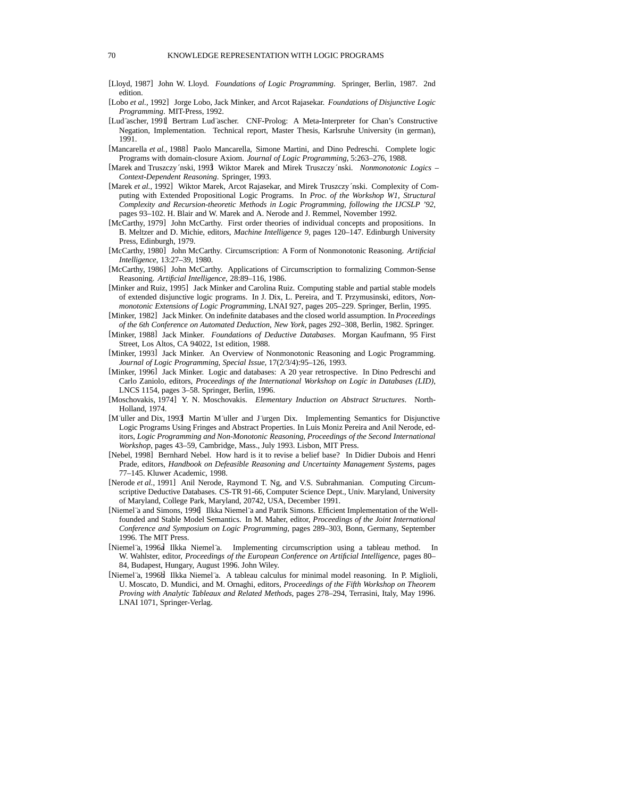- [Lloyd, 1987] John W. Lloyd. *Foundations of Logic Programming*. Springer, Berlin, 1987. 2nd edition.
- [Lobo *et al.*, 1992] Jorge Lobo, Jack Minker, and Arcot Rajasekar. *Foundations of Disjunctive Logic Programming*. MIT-Press, 1992.
- [Lud¨ascher, 1991] Bertram Lud¨ascher. CNF-Prolog: A Meta-Interpreter for Chan's Constructive Negation, Implementation. Technical report, Master Thesis, Karlsruhe University (in german), 1991.
- [Mancarella *et al.*, 1988] Paolo Mancarella, Simone Martini, and Dino Pedreschi. Complete logic Programs with domain-closure Axiom. *Journal of Logic Programming*, 5:263–276, 1988.
- [Marek and Truszczy´nski, 1993] Wiktor Marek and Mirek Truszczy´nski. *Nonmonotonic Logics – Context-Dependent Reasoning*. Springer, 1993.
- [Marek *et al.*, 1992] Wiktor Marek, Arcot Rajasekar, and Mirek Truszczy´nski. Complexity of Computing with Extended Propositional Logic Programs. In *Proc. of the Workshop W1, Structural Complexity and Recursion-theoretic Methods in Logic Programming, following the IJCSLP '92*, pages 93–102. H. Blair and W. Marek and A. Nerode and J. Remmel, November 1992.
- [McCarthy, 1979] John McCarthy. First order theories of individual concepts and propositions. In B. Meltzer and D. Michie, editors, *Machine Intelligence 9*, pages 120–147. Edinburgh University Press, Edinburgh, 1979.
- [McCarthy, 1980] John McCarthy. Circumscription: A Form of Nonmonotonic Reasoning. *Artificial Intelligence*, 13:27–39, 1980.
- [McCarthy, 1986] John McCarthy. Applications of Circumscription to formalizing Common-Sense Reasoning. *Artificial Intelligence*, 28:89–116, 1986.
- [Minker and Ruiz, 1995] Jack Minker and Carolina Ruiz. Computing stable and partial stable models of extended disjunctive logic programs. In J. Dix, L. Pereira, and T. Przymusinski, editors, *Nonmonotonic Extensions of Logic Programming*, LNAI 927, pages 205–229. Springer, Berlin, 1995.
- [Minker, 1982] Jack Minker. On indefinite databases and the closed world assumption. In *Proceedings of the 6th Conference on Automated Deduction, New York*, pages 292–308, Berlin, 1982. Springer.
- [Minker, 1988] Jack Minker. *Foundations of Deductive Databases*. Morgan Kaufmann, 95 First Street, Los Altos, CA 94022, 1st edition, 1988.
- [Minker, 1993] Jack Minker. An Overview of Nonmonotonic Reasoning and Logic Programming. *Journal of Logic Programming, Special Issue*, 17(2/3/4):95–126, 1993.
- [Minker, 1996] Jack Minker. Logic and databases: A 20 year retrospective. In Dino Pedreschi and Carlo Zaniolo, editors, *Proceedings of the International Workshop on Logic in Databases (LID)*, LNCS 1154, pages 3–58. Springer, Berlin, 1996.
- [Moschovakis, 1974] Y. N. Moschovakis. *Elementary Induction on Abstract Structures*. North-Holland, 1974.
- [M¨uller and Dix, 1993] Martin M¨uller and J¨urgen Dix. Implementing Semantics for Disjunctive Logic Programs Using Fringes and Abstract Properties. In Luis Moniz Pereira and Anil Nerode, editors, *Logic Programming and Non-Monotonic Reasoning, Proceedings of the Second International Workshop*, pages 43–59, Cambridge, Mass., July 1993. Lisbon, MIT Press.
- [Nebel, 1998] Bernhard Nebel. How hard is it to revise a belief base? In Didier Dubois and Henri Prade, editors, *Handbook on Defeasible Reasoning and Uncertainty Management Systems*, pages 77–145. Kluwer Academic, 1998.
- [Nerode *et al.*, 1991] Anil Nerode, Raymond T. Ng, and V.S. Subrahmanian. Computing Circumscriptive Deductive Databases. CS-TR 91-66, Computer Science Dept., Univ. Maryland, University of Maryland, College Park, Maryland, 20742, USA, December 1991.
- [Niemel¨a and Simons, 1996] Ilkka Niemel¨a and Patrik Simons. Efficient Implementation of the Wellfounded and Stable Model Semantics. In M. Maher, editor, *Proceedings of the Joint International Conference and Symposium on Logic Programming*, pages 289–303, Bonn, Germany, September 1996. The MIT Press.
- [Niemel¨a, 1996a] Ilkka Niemel¨a. Implementing circumscription using a tableau method. In W. Wahlster, editor, *Proceedings of the European Conference on Artificial Intelligence*, pages 80– 84, Budapest, Hungary, August 1996. John Wiley.
- [Niemel¨a, 1996b] Ilkka Niemel¨a. A tableau calculus for minimal model reasoning. In P. Miglioli, U. Moscato, D. Mundici, and M. Ornaghi, editors, *Proceedings of the Fifth Workshop on Theorem Proving with Analytic Tableaux and Related Methods*, pages 278–294, Terrasini, Italy, May 1996. LNAI 1071, Springer-Verlag.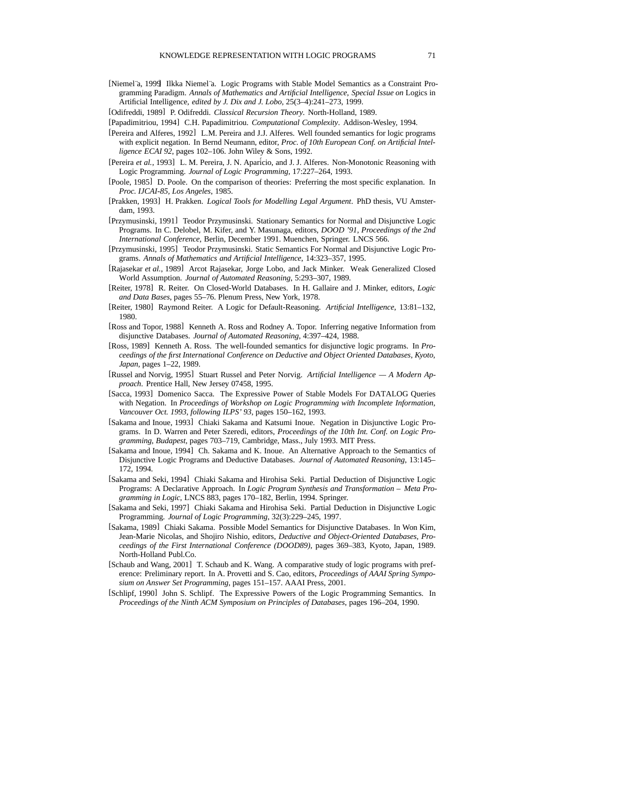- [Niemel¨a, 1999] Ilkka Niemel¨a. Logic Programs with Stable Model Semantics as a Constraint Programming Paradigm. *Annals of Mathematics and Artificial Intelligence, Special Issue on* Logics in Artificial Intelligence*, edited by J. Dix and J. Lobo*, 25(3–4):241–273, 1999.
- [Odifreddi, 1989] P. Odifreddi. *Classical Recursion Theory*. North-Holland, 1989.
- [Papadimitriou, 1994] C.H. Papadimitriou. *Computational Complexity*. Addison-Wesley, 1994.
- [Pereira and Alferes, 1992] L.M. Pereira and J.J. Alferes. Well founded semantics for logic programs with explicit negation. In Bernd Neumann, editor, *Proc. of 10th European Conf. on Artificial Intelligence ECAI 92*, pages 102–106. John Wiley & Sons, 1992.
- [Pereira *et al.*, 1993] L. M. Pereira, J. N. Aparicio, and J. J. Alferes. Non-Monotonic Reasoning with Logic Programming. *Journal of Logic Programming*, 17:227–264, 1993.
- [Poole, 1985] D. Poole. On the comparison of theories: Preferring the most specific explanation. In *Proc. IJCAI-85, Los Angeles*, 1985.
- [Prakken, 1993] H. Prakken. *Logical Tools for Modelling Legal Argument*. PhD thesis, VU Amsterdam, 1993.
- [Przymusinski, 1991] Teodor Przymusinski. Stationary Semantics for Normal and Disjunctive Logic Programs. In C. Delobel, M. Kifer, and Y. Masunaga, editors, *DOOD '91, Proceedings of the 2nd International Conference*, Berlin, December 1991. Muenchen, Springer. LNCS 566.
- [Przymusinski, 1995] Teodor Przymusinski. Static Semantics For Normal and Disjunctive Logic Programs. *Annals of Mathematics and Artificial Intelligence*, 14:323–357, 1995.
- [Rajasekar *et al.*, 1989] Arcot Rajasekar, Jorge Lobo, and Jack Minker. Weak Generalized Closed World Assumption. *Journal of Automated Reasoning*, 5:293–307, 1989.
- [Reiter, 1978] R. Reiter. On Closed-World Databases. In H. Gallaire and J. Minker, editors, *Logic and Data Bases*, pages 55–76. Plenum Press, New York, 1978.
- [Reiter, 1980] Raymond Reiter. A Logic for Default-Reasoning. *Artificial Intelligence*, 13:81–132, 1980.
- [Ross and Topor, 1988] Kenneth A. Ross and Rodney A. Topor. Inferring negative Information from disjunctive Databases. *Journal of Automated Reasoning*, 4:397–424, 1988.
- [Ross, 1989] Kenneth A. Ross. The well-founded semantics for disjunctive logic programs. In *Proceedings of the first International Conference on Deductive and Object Oriented Databases, Kyoto, Japan*, pages 1–22, 1989.
- [Russel and Norvig, 1995] Stuart Russel and Peter Norvig. *Artificial Intelligence — A Modern Approach*. Prentice Hall, New Jersey 07458, 1995.
- [Sacca, 1993] Domenico Sacca. The Expressive Power of Stable Models For DATALOG Queries with Negation. In *Proceedings of Workshop on Logic Programming with Incomplete Information, Vancouver Oct. 1993, following ILPS' 93*, pages 150–162, 1993.
- [Sakama and Inoue, 1993] Chiaki Sakama and Katsumi Inoue. Negation in Disjunctive Logic Programs. In D. Warren and Peter Szeredi, editors, *Proceedings of the 10th Int. Conf. on Logic Programming, Budapest*, pages 703–719, Cambridge, Mass., July 1993. MIT Press.
- [Sakama and Inoue, 1994] Ch. Sakama and K. Inoue. An Alternative Approach to the Semantics of Disjunctive Logic Programs and Deductive Databases. *Journal of Automated Reasoning*, 13:145– 172, 1994.
- [Sakama and Seki, 1994] Chiaki Sakama and Hirohisa Seki. Partial Deduction of Disjunctive Logic Programs: A Declarative Approach. In *Logic Program Synthesis and Transformation – Meta Programming in Logic*, LNCS 883, pages 170–182, Berlin, 1994. Springer.
- [Sakama and Seki, 1997] Chiaki Sakama and Hirohisa Seki. Partial Deduction in Disjunctive Logic Programming. *Journal of Logic Programming*, 32(3):229–245, 1997.
- [Sakama, 1989] Chiaki Sakama. Possible Model Semantics for Disjunctive Databases. In Won Kim, Jean-Marie Nicolas, and Shojiro Nishio, editors, *Deductive and Object-Oriented Databases, Proceedings of the First International Conference (DOOD89)*, pages 369–383, Kyoto, Japan, 1989. North-Holland Publ.Co.
- [Schaub and Wang, 2001] T. Schaub and K. Wang. A comparative study of logic programs with preference: Preliminary report. In A. Provetti and S. Cao, editors, *Proceedings of AAAI Spring Symposium on Answer Set Programming*, pages 151–157. AAAI Press, 2001.
- [Schlipf, 1990] John S. Schlipf. The Expressive Powers of the Logic Programming Semantics. In *Proceedings of the Ninth ACM Symposium on Principles of Databases*, pages 196–204, 1990.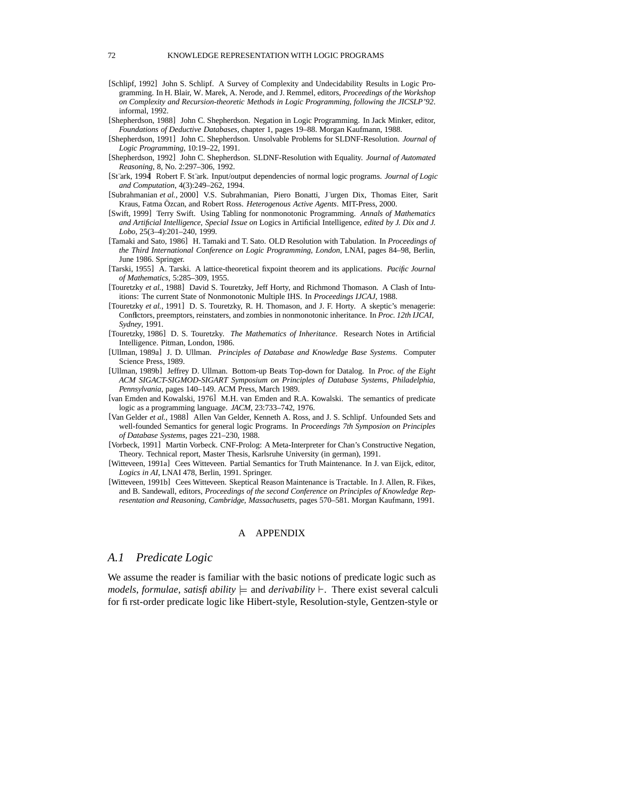- [Schlipf, 1992] John S. Schlipf. A Survey of Complexity and Undecidability Results in Logic Programming. In H. Blair, W. Marek, A. Nerode, and J. Remmel, editors, *Proceedings of the Workshop on Complexity and Recursion-theoretic Methods in Logic Programming, following the JICSLP'92*. informal, 1992.
- [Shepherdson, 1988] John C. Shepherdson. Negation in Logic Programming. In Jack Minker, editor, *Foundations of Deductive Databases*, chapter 1, pages 19–88. Morgan Kaufmann, 1988.
- [Shepherdson, 1991] John C. Shepherdson. Unsolvable Problems for SLDNF-Resolution. *Journal of Logic Programming*, 10:19–22, 1991.
- [Shepherdson, 1992] John C. Shepherdson. SLDNF-Resolution with Equality. *Journal of Automated Reasoning*, 8, No. 2:297–306, 1992.
- [St¨ark, 1994] Robert F. St¨ark. Input/output dependencies of normal logic programs. *Journal of Logic and Computation*, 4(3):249–262, 1994.
- [Subrahmanian *et al.*, 2000] V.S. Subrahmanian, Piero Bonatti, J¨urgen Dix, Thomas Eiter, Sarit Kraus, Fatma Özcan, and Robert Ross. *Heterogenous Active Agents*. MIT-Press, 2000.
- [Swift, 1999] Terry Swift. Using Tabling for nonmonotonic Programming. *Annals of Mathematics and Artificial Intelligence, Special Issue on* Logics in Artificial Intelligence*, edited by J. Dix and J. Lobo*, 25(3–4):201–240, 1999.
- [Tamaki and Sato, 1986] H. Tamaki and T. Sato. OLD Resolution with Tabulation. In *Proceedings of the Third International Conference on Logic Programming, London*, LNAI, pages 84–98, Berlin, June 1986. Springer.
- [Tarski, 1955] A. Tarski. A lattice-theoretical fixpoint theorem and its applications. *Pacific Journal of Mathematics*, 5:285–309, 1955.
- [Touretzky *et al.*, 1988] David S. Touretzky, Jeff Horty, and Richmond Thomason. A Clash of Intuitions: The current State of Nonmonotonic Multiple IHS. In *Proceedings IJCAJ*, 1988.
- [Touretzky *et al.*, 1991] D. S. Touretzky, R. H. Thomason, and J. F. Horty. A skeptic's menagerie: Conflictors, preemptors, reinstaters, and zombies in nonmonotonic inheritance. In *Proc. 12th IJCAI, Sydney*, 1991.
- [Touretzky, 1986] D. S. Touretzky. *The Mathematics of Inheritance*. Research Notes in Artificial Intelligence. Pitman, London, 1986.
- [Ullman, 1989a] J. D. Ullman. *Principles of Database and Knowledge Base Systems*. Computer Science Press, 1989.
- [Ullman, 1989b] Jeffrey D. Ullman. Bottom-up Beats Top-down for Datalog. In *Proc. of the Eight ACM SIGACT-SIGMOD-SIGART Symposium on Principles of Database Systems, Philadelphia, Pennsylvania*, pages 140–149. ACM Press, March 1989.
- [van Emden and Kowalski, 1976] M.H. van Emden and R.A. Kowalski. The semantics of predicate logic as a programming language. *JACM*, 23:733–742, 1976.
- [Van Gelder *et al.*, 1988] Allen Van Gelder, Kenneth A. Ross, and J. S. Schlipf. Unfounded Sets and well-founded Semantics for general logic Programs. In *Proceedings 7th Symposion on Principles of Database Systems*, pages 221–230, 1988.
- [Vorbeck, 1991] Martin Vorbeck. CNF-Prolog: A Meta-Interpreter for Chan's Constructive Negation, Theory. Technical report, Master Thesis, Karlsruhe University (in german), 1991.
- [Witteveen, 1991a] Cees Witteveen. Partial Semantics for Truth Maintenance. In J. van Eijck, editor, *Logics in AI*, LNAI 478, Berlin, 1991. Springer.
- [Witteveen, 1991b] Cees Witteveen. Skeptical Reason Maintenance is Tractable. In J. Allen, R. Fikes, and B. Sandewall, editors, *Proceedings of the second Conference on Principles of Knowledge Representation and Reasoning, Cambridge, Massachusetts*, pages 570–581. Morgan Kaufmann, 1991.

#### A APPENDIX

#### *A.1 Predicate Logic*

We assume the reader is familiar with the basic notions of predicate logic such as  $models, formulae, satisfy a bility \models and derivative \vdash$ . There exist several calculi for first-order predicate logic like Hibert-style, Resolution-style, Gentzen-style or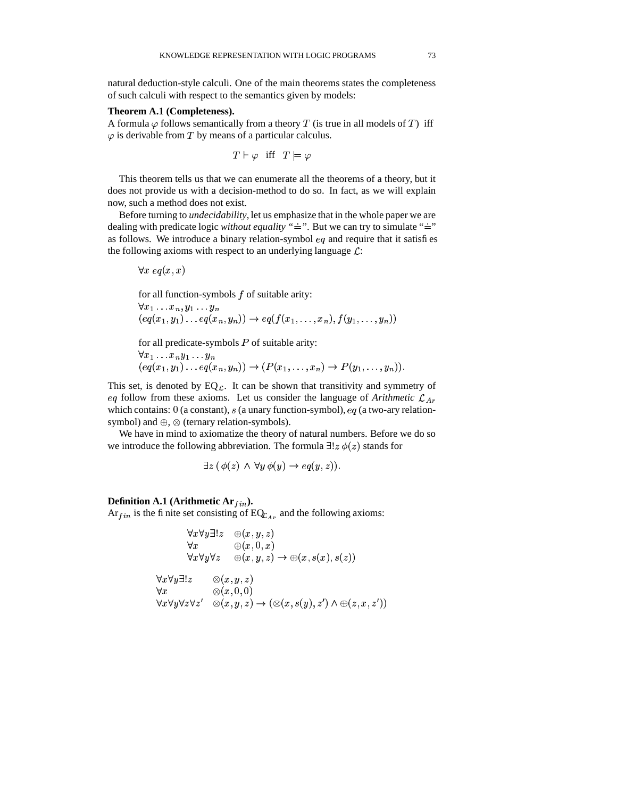natural deduction-style calculi. One of the main theorems states the completeness of such calculi with respect to the semantics given by models:

### **Theorem A.1 (Completeness).**

A formula  $\varphi$  follows semantically from a theory T (is true in all models of T) iff  $\varphi$  is derivable from T by means of a particular calculus.

$$
T \vdash \varphi \quad \text{iff} \quad T \models \varphi
$$

This theorem tells us that we can enumerate all the theorems of a theory, but it does not provide us with a decision-method to do so. In fact, as we will explain now, such a method does not exist.

Before turning to *undecidability*, let us emphasize that in the whole paper we are dealing with predicate logic *without equality* "=". But we can try to simulate "=" as follows. We introduce a binary relation-symbol  $eq$  and require that it satisfies the following axioms with respect to an underlying language  $\mathcal{L}$ :

$$
\forall x \; eq(x,x)
$$

for all function-symbols  $f$  of suitable arity:

$$
\forall x_1 \ldots x_n, y_1 \ldots y_n (eq(x_1, y_1) \ldots eq(x_n, y_n)) \rightarrow eq(f(x_1, \ldots, x_n), f(y_1, \ldots, y_n))
$$

for all predicate-symbols  $P$  of suitable arity:  $\forall x_1 \ldots x_n y_1 \ldots y_n$  $(eq(x_1, y_1) \dots eq(x_n, y_n)) \to (P(x_1, \dots, x_n) \to P(y_1, \dots, y_n)).$ 

This set, is denoted by  $EQ_{\mathcal{L}}$ . It can be shown that transitivity and symmetry of eq follow from these axioms. Let us consider the language of *Arithmetic*  $\mathcal{L}_{Ar}$ which contains:  $0$  (a constant),  $s$  (a unary function-symbol),  $eq$  (a two-ary relationsymbol) and  $\oplus$ ,  $\otimes$  (ternary relation-symbols).

We have in mind to axiomatize the theory of natural numbers. Before we do so we introduce the following abbreviation. The formula  $\exists ! z \phi(z)$  stands for

$$
\exists z (\phi(z) \land \forall y \phi(y) \to eq(y, z)).
$$

### **Definition A.1** (**Arithmetic**  $Ar_{fin}$ ).

 $Ar_{fin}$  is the finite set consisting of EQ<sub> $c_{Ar}$ </sub> and the following axioms:

 $\forall x \forall y \exists ! z \quad \oplus(x,y,z)$  $\forall x \qquad \qquad \oplus(x,0,x)$  $\forall x \forall y \forall z \quad \oplus (x, y, z) \rightarrow \oplus (x, s(x), s(z))$  $\forall x \forall y \exists ! z \qquad \otimes (x,y,z)$  $\forall x$  $\otimes(x,0,0)$  $\forall x \forall y \forall z \forall z' \quad \otimes (x, y, z) \rightarrow (\otimes (x, s(y), z') \land \oplus (z, x, z'))$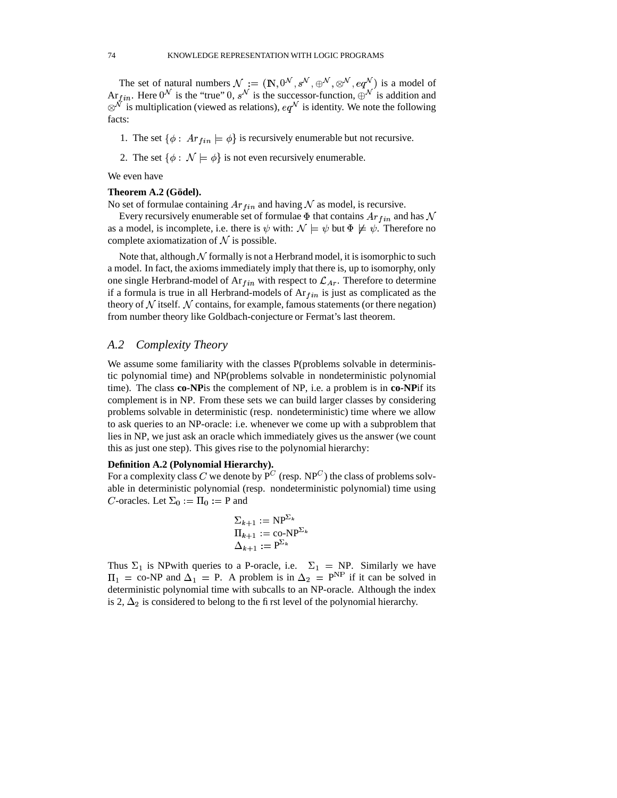The set of natural numbers  $:= (\mathbb{N}, 0^{\mathcal{N}}, s^{\mathcal{N}}, \oplus^{\mathcal{N}}, \otimes^{\mathcal{N}}, eq^{\mathcal{N}})$  is a model of Ar<sub>fin</sub>. Here  $0^{\mathcal{N}}$  is the "true" 0,  $s^{\mathcal{N}}$  is the successor-function,  $\oplus^{\mathcal{N}}$  is addition and  $\otimes^{\hat{\mathcal{N}}}$  is multiplication (viewed as relations),  $eq^{\mathcal{N}}$  is identity. We note the following facts:

- 1. The set  $\{\phi : Ar_{fin} \models \phi\}$  is recursively enumerable but not recursive.
- 2. The set  $\{\phi : \mathcal{N} \models \phi\}$  is not even recursively enumerable.

## We even have

## **Theorem A.2 (Godel). ¨**

No set of formulae containing  $Ar_{fin}$  and having N as model, is recursive.

Every recursively enumerable set of formulae  $\Phi$  that contains  $Ar_{fin}$  and has J as a model, is incomplete, i.e. there is  $\psi$  with:  $\mathcal{N} \models \psi$  but  $\Phi \not\models \psi$ . Therefore no complete axiomatization of  $N$  is possible.

Note that, although  $\mathcal N$  formally is not a Herbrand model, it is isomorphic to such a model. In fact, the axioms immediately imply that there is, up to isomorphy, only one single Herbrand-model of  $Ar_{fin}$  with respect to  $\mathcal{L}_{Ar}$ . Therefore to determine if a formula is true in all Herbrand-models of  $Ar<sub>fin</sub>$  is just as complicated as the theory of N itself. N contains, for example, famous statements (or there negation) from number theory like Goldbach-conjecture or Fermat's last theorem.

## *A.2 Complexity Theory*

We assume some familiarity with the classes P(problems solvable in deterministic polynomial time) and NP(problems solvable in nondeterministic polynomial time). The class **co-NP**is the complement of NP, i.e. a problem is in **co-NP**if its complement is in NP. From these sets we can build larger classes by considering problems solvable in deterministic (resp. nondeterministic) time where we allow to ask queries to an NP-oracle: i.e. whenever we come up with a subproblem that lies in NP, we just ask an oracle which immediately gives us the answer (we count this as just one step). This gives rise to the polynomial hierarchy:

# **Definition A.2 (Polynomial Hierarchy).**

For a complexity class  $C$  we denote by  $P^C$  (resp. NP $^C$ ) the class of problems solvable in deterministic polynomial (resp. nondeterministic polynomial) time using C-oracles. Let  $\Sigma_0 := \Pi_0 := P$  and

$$
\begin{array}{l} \Sigma_{k+1} := \text{NP}^{\Sigma_k} \\ \Pi_{k+1} := \text{co-NP}^{\Sigma_k} \\ \Delta_{k+1} := \text{P}^{\Sigma_k} \end{array}
$$

Thus  $\Sigma_1$  is NPwith queries to a P-oracle, i.e.  $\Sigma_1 = NP$ . Similarly we have  $\Pi_1 = \text{co-NP}$  and  $\Delta_1 = \text{P}$ . A problem is in  $\Delta_2 = \text{P}^{\text{NP}}$  if it can be solved in deterministic polynomial time with subcalls to an NP-oracle. Although the index is 2,  $\Delta_2$  is considered to belong to the first level of the polynomial hierarchy.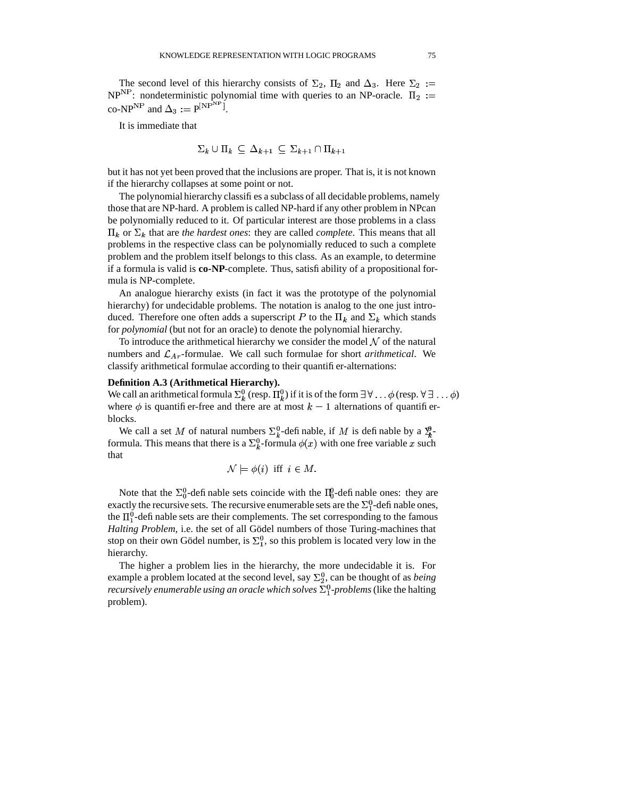The second level of this hierarchy consists of  $\Sigma_2$ ,  $\Pi_2$  and  $\Delta_3$ . Here  $\Sigma_2 :=$ NP<sup>NP</sup>: nondeterministic polynomial time with queries to an NP-oracle.  $\Pi_2 :=$ <br>co-NP<sup>NP</sup> and  $\Delta_3 := P^{[NP^{NP}]}$ .  $^{\rm NP}]$ .

It is immediate that

$$
\Sigma_k\cup\Pi_k\ \subseteq\ \Delta_{k+1}\ \subseteq\ \Sigma_{k+1}\cap\Pi_{k+1}
$$

but it has not yet been proved that the inclusions are proper. That is, it is not known if the hierarchy collapses at some point or not.

The polynomial hierarchy classifies a subclass of all decidable problems, namely those that are NP-hard. A problem is called NP-hard if any other problem in NPcan be polynomially reduced to it. Of particular interest are those problems in a class  $\Pi_k$  or  $\Sigma_k$  that are *the hardest ones*: they are called *complete*. This means that all problems in the respective class can be polynomially reduced to such a complete problem and the problem itself belongs to this class. As an example, to determine if a formula is valid is **co-NP**-complete. Thus, satisfiability of a propositional formula is NP-complete.

An analogue hierarchy exists (in fact it was the prototype of the polynomial hierarchy) for undecidable problems. The notation is analog to the one just introduced. Therefore one often adds a superscript P to the  $\Pi_k$  and  $\Sigma_k$  which stands for *polynomial* (but not for an oracle) to denote the polynomial hierarchy.

To introduce the arithmetical hierarchy we consider the model  $\mathcal N$  of the natural numbers and  $\mathcal{L}_{Ar}$ -formulae. We call such formulae for short *arithmetical*. We classify arithmetical formulae according to their quantifier-alternations:

### **Definition A.3 (Arithmetical Hierarchy).**

We call an arithmetical formula  $\Sigma_k^0$  (resp.  $\Pi_k^0$ ) if it is of the form  $\exists \forall \dots \phi$  (resp.  $\forall \exists \dots \phi$ ) where  $\phi$  is quantifier-free and there are at most  $k-1$  alternations of quantifierblocks.

We call a set M of natural numbers  $\Sigma_k^0$ -definable, if M is definable by a  $\frac{\mathfrak{B}}{k}$ formula. This means that there is a  $\Sigma_k^0$ -formula  $\phi(x)$  with one free variable x such that

$$
\mathcal{N} \models \phi(i)
$$
 iff  $i \in M$ .

Note that the  $\Sigma_0^0$ -definable sets coincide with the  $\Pi_0^0$ -definable ones: they are exactly the recursive sets. The recursive enumerable sets are the  $\Sigma_1^0$ -definable ones, the  $\Pi_1^0$ -definable sets are their complements. The set corresponding to the famous *Halting Problem, i.e. the set of all Godel numbers of those Turing-machines that* stop on their own Gödel number, is  $\Sigma_1^0$ , so this problem is located very low in the hierarchy.

The higher a problem lies in the hierarchy, the more undecidable it is. For example a problem located at the second level, say  $\Sigma^0_2$ , can be thought of as *being recursively enumerable using an oracle which solves*  $\Sigma_1^0$ -problems (like the halting problem).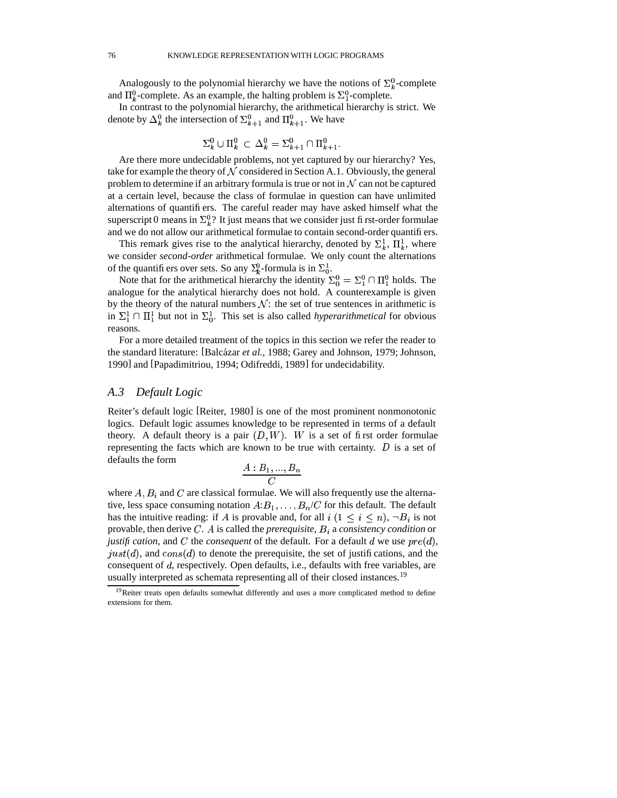Analogously to the polynomial hierarchy we have the notions of  $\Sigma_k^0$ -complete and  $\Pi_k^0$ -complete. As an example, the halting problem is  $\Sigma_1^0$ -complete.

In contrast to the polynomial hierarchy, the arithmetical hierarchy is strict. We denote by  $\Delta_k^0$  the intersection of  $\Sigma_{k+1}^0$  and  $\Pi_{k+1}^0$ . We have

$$
\Sigma^0_k\cup \Pi^0_k\,\subset\, \Delta^0_k=\Sigma^0_{k+1}\cap \Pi^0_{k+1}.
$$

 - Are there more undecidable problems, not yet captured by our hierarchy? Yes, take for example the theory of  $\cal N$  considered in Section A.1. Obviously, the general problem to determine if an arbitrary formula is true or not in  $\mathcal N$  can not be captured at a certain level, because the class of formulae in question can have unlimited alternations of quantifiers. The careful reader may have asked himself what the superscript 0 means in  $\Sigma_k^0$ ? It just means that we consider just first-order formulae and we do not allow our arithmetical formulae to contain second-order quantifiers.

This remark gives rise to the analytical hierarchy, denoted by  $\Sigma_k^1$ ,  $\Pi_k^1$ , where we consider *second-order* arithmetical formulae. We only count the alternations of the quantifiers over sets. So any  $\Sigma_k^0$ -formula is in  $\Sigma_0^1$ .

Note that for the arithmetical hierarchy the identity  $\Sigma_0^0 = \Sigma_1^0 \cap \Pi_1^0$  holds. The analogue for the analytical hierarchy does not hold. A counterexample is given by the theory of the natural numbers  $\mathcal{N}$ : the set of true sentences in arithmetic is in  $\Sigma^1_1 \cap \Pi^1_1$  but not in  $\Sigma^1_0$ . This set is also called *hyperarithmetical* for obvious reasons.

For a more detailed treatment of the topics in this section we refer the reader to the standard literature: [Balcázar *et al.*, 1988; Garey and Johnson, 1979; Johnson, 1990] and [Papadimitriou, 1994; Odifreddi, 1989] for undecidability.

## *A.3 Default Logic*

Reiter's default logic [Reiter, 1980] is one of the most prominent nonmonotonic logics. Default logic assumes knowledge to be represented in terms of a default theory. A default theory is a pair  $(D, W)$ . W is a set of first order formulae representing the facts which are known to be true with certainty.  $D$  is a set of defaults the form

$$
A:B_1,...,B_n
$$

where  $A, B_i$  and  $C$  are classical formulae. We will also frequently use the alternative, less space consuming notation  $A:B_1,\ldots,B_n/C$  for this default. The default has the intuitive reading: if A is provable and, for all  $i$   $(1 \le i \le n)$ ,  $\neg B_i$  is not provable, then derive  $C$ . A is called the *prerequisite*,  $B_i$  a *consistency condition* or *justification*, and C the *consequent* of the default. For a default  $d$  we use  $pre(d)$ ,  $just(d)$ , and  $cons(d)$  to denote the prerequisite, the set of justifications, and the consequent of  $d$ , respectively. Open defaults, i.e., defaults with free variables, are usually interpreted as schemata representing all of their closed instances.<sup>19</sup>

<sup>&</sup>lt;sup>19</sup>Reiter treats open defaults somewhat differently and uses a more complicated method to define extensions for them.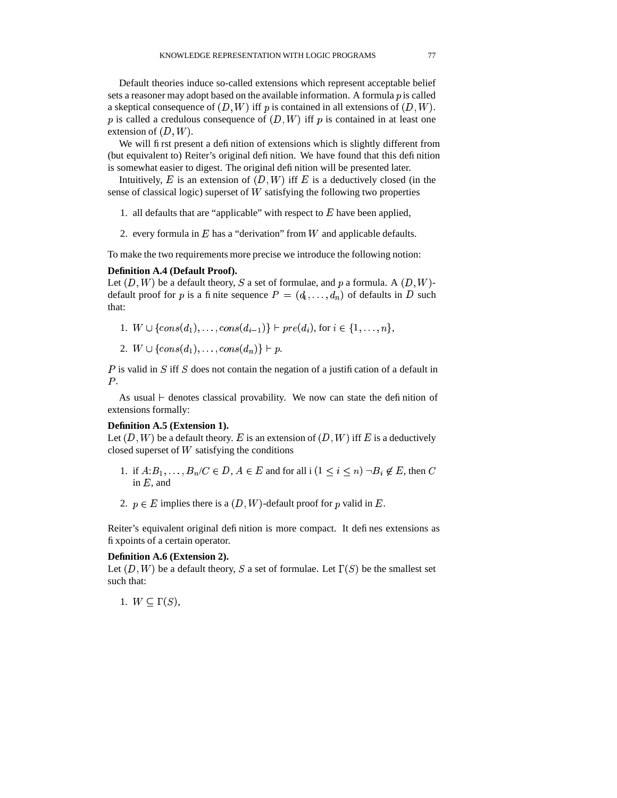Default theories induce so-called extensions which represent acceptable belief sets a reasoner may adopt based on the available information. A formula  $p$  is called a skeptical consequence of  $(D, W)$  iff p is contained in all extensions of  $(D, W)$ . p is called a credulous consequence of  $(D, W)$  iff p is contained in at least one extension of  $(D, W)$ .

We will first present a definition of extensions which is slightly different from (but equivalent to) Reiter's original definition. We have found that this definition is somewhat easier to digest. The original definition will be presented later.

Intuitively, E is an extension of  $(D, W)$  iff E is a deductively closed (in the sense of classical logic) superset of  $W$  satisfying the following two properties

- 1. all defaults that are "applicable" with respect to  $E$  have been applied,
- 2. every formula in  $E$  has a "derivation" from  $W$  and applicable defaults.

To make the two requirements more precise we introduce the following notion:

### **Definition A.4 (Default Proof).**

Let  $(D, W)$  be a default theory, S a set of formulae, and p a formula. A  $(D, W)$ default proof for p is a finite sequence  $P = (d_1, \ldots, d_n)$  of defaults in D such that:

- 1.  $W \cup \{cons(d_1), \ldots, cons(d_{i-1})\} \vdash pre(d_i)$ , for  $i \in \{1, \ldots, n\}$ ,
- 2.  $W \cup \{cons(d_1), \ldots, cons(d_n)\} \vdash p.$

P is valid in  $S$  iff  $S$  does not contain the negation of a justification of a default in  $P$ .

As usual  $\vdash$  denotes classical provability. We now can state the definition of extensions formally:

### **Definition A.5 (Extension 1).**

Let  $(D, W)$  be a default theory. E is an extension of  $(D, W)$  iff E is a deductively closed superset of  $W$  satisfying the conditions

- 1. if  $A:B_1,\ldots,B_n/C \in D$ ,  $A \in E$  and for all  $i (1 \leq i \leq n) \neg B_i \notin E$ , then  $C$ in  $E$ , and
- 2.  $p \in E$  implies there is a  $(D, W)$ -default proof for p valid in E.

Reiter's equivalent original definition is more compact. It defines extensions as fixpoints of a certain operator.

### **Definition A.6 (Extension 2).**

Let  $(D,W)$  be a default theory,  $S$  a set of formulae. Let  $\Gamma(S)$  be the smallest set such that:

1.  $W \subseteq \Gamma(S)$ ,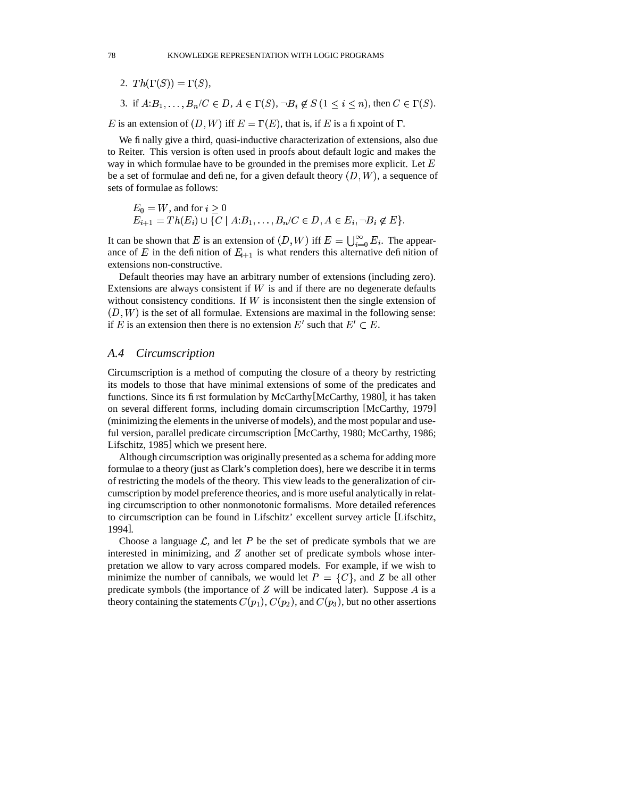- 2.  $Th(\Gamma(S)) = \Gamma(S)$ ,
- 3. if  $A:B_1,\ldots,B_n/C \in D$ ,  $A \in \Gamma(S)$ ,  $\neg B_i \notin S$   $(1 \leq i \leq n)$ , then  $C \in \Gamma(S)$ .

E is an extension of  $(D, W)$  iff  $E = \Gamma(E)$ , that is, if E is a fixpoint of  $\Gamma$ .

We finally give a third, quasi-inductive characterization of extensions, also due to Reiter. This version is often used in proofs about default logic and makes the way in which formulae have to be grounded in the premises more explicit. Let  $E$ be a set of formulae and define, for a given default theory  $(D, W)$ , a sequence of sets of formulae as follows:

$$
E_0 = W, \text{ and for } i \ge 0
$$
  
 
$$
E_{i+1} = Th(E_i) \cup \{C \mid A: B_1, \dots, B_n/C \in D, A \in E_i, \neg B_i \notin E\}.
$$

It can be shown that E is an extension of  $(D, W)$  iff  $E = \bigcup_{i=0}^{\infty} E_i$ . The appearance of E in the definition of  $E_{i+1}$  is what renders this alternative definition of extensions non-constructive.

Default theories may have an arbitrary number of extensions (including zero). Extensions are always consistent if  $W$  is and if there are no degenerate defaults without consistency conditions. If  $W$  is inconsistent then the single extension of  $(D, W)$  is the set of all formulae. Extensions are maximal in the following sense: if E is an extension then there is no extension  $E'$  such that  $E' \subset E$ .

## *A.4 Circumscription*

Circumscription is a method of computing the closure of a theory by restricting its models to those that have minimal extensions of some of the predicates and functions. Since its first formulation by McCarthy[McCarthy, 1980], it has taken on several different forms, including domain circumscription [McCarthy, 1979] (minimizing the elements in the universe of models), and the most popular and useful version, parallel predicate circumscription [McCarthy, 1980; McCarthy, 1986; Lifschitz, 1985] which we present here.

Although circumscription was originally presented as a schema for adding more formulae to a theory (just as Clark's completion does), here we describe it in terms of restricting the models of the theory. This view leads to the generalization of circumscription by model preference theories, and is more useful analytically in relating circumscription to other nonmonotonic formalisms. More detailed references to circumscription can be found in Lifschitz' excellent survey article [Lifschitz, 1994].

Choose a language  $\mathcal{L}$ , and let P be the set of predicate symbols that we are interested in minimizing, and  $Z$  another set of predicate symbols whose interpretation we allow to vary across compared models. For example, if we wish to minimize the number of cannibals, we would let  $P = \{C\}$ , and Z be all other predicate symbols (the importance of  $Z$  will be indicated later). Suppose  $A$  is a theory containing the statements  $C(p_1)$ ,  $C(p_2)$ , and  $C(p_3)$ , but no other assertions